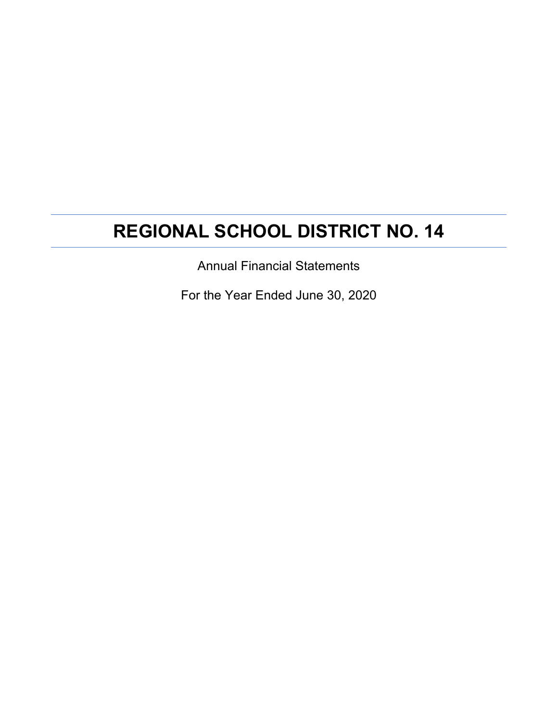Annual Financial Statements

For the Year Ended June 30, 2020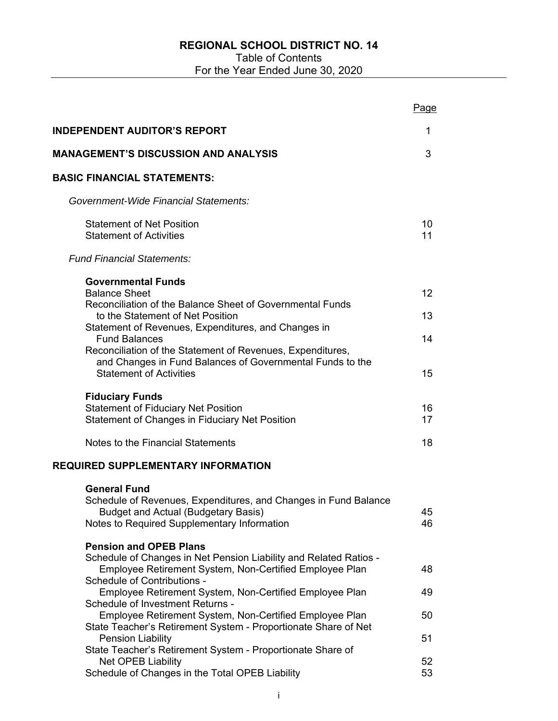Table of Contents

For the Year Ended June 30, 2020

|                                                                                                                                                                                              | Page     |
|----------------------------------------------------------------------------------------------------------------------------------------------------------------------------------------------|----------|
| <b>INDEPENDENT AUDITOR'S REPORT</b>                                                                                                                                                          | 1        |
| <b>MANAGEMENT'S DISCUSSION AND ANALYSIS</b>                                                                                                                                                  | 3        |
| <b>BASIC FINANCIAL STATEMENTS:</b>                                                                                                                                                           |          |
| Government-Wide Financial Statements:                                                                                                                                                        |          |
| <b>Statement of Net Position</b><br><b>Statement of Activities</b>                                                                                                                           | 10<br>11 |
| <b>Fund Financial Statements:</b>                                                                                                                                                            |          |
| <b>Governmental Funds</b><br><b>Balance Sheet</b><br>Reconciliation of the Balance Sheet of Governmental Funds<br>to the Statement of Net Position                                           | 12<br>13 |
| Statement of Revenues, Expenditures, and Changes in<br><b>Fund Balances</b>                                                                                                                  | 14       |
| Reconciliation of the Statement of Revenues, Expenditures,<br>and Changes in Fund Balances of Governmental Funds to the<br><b>Statement of Activities</b>                                    | 15       |
| <b>Fiduciary Funds</b><br><b>Statement of Fiduciary Net Position</b><br><b>Statement of Changes in Fiduciary Net Position</b>                                                                | 16<br>17 |
| Notes to the Financial Statements                                                                                                                                                            | 18       |
| <b>REQUIRED SUPPLEMENTARY INFORMATION</b>                                                                                                                                                    |          |
| <b>General Fund</b><br>Schedule of Revenues, Expenditures, and Changes in Fund Balance<br>Budget and Actual (Budgetary Basis)<br>Notes to Required Supplementary Information                 | 45<br>46 |
| <b>Pension and OPEB Plans</b><br>Schedule of Changes in Net Pension Liability and Related Ratios -<br>Employee Retirement System, Non-Certified Employee Plan<br>Schedule of Contributions - | 48       |
| Employee Retirement System, Non-Certified Employee Plan<br>Schedule of Investment Returns -                                                                                                  | 49       |
| Employee Retirement System, Non-Certified Employee Plan<br>State Teacher's Retirement System - Proportionate Share of Net                                                                    | 50       |
| <b>Pension Liability</b><br>State Teacher's Retirement System - Proportionate Share of                                                                                                       | 51       |
| <b>Net OPEB Liability</b><br>Schedule of Changes in the Total OPEB Liability                                                                                                                 | 52<br>53 |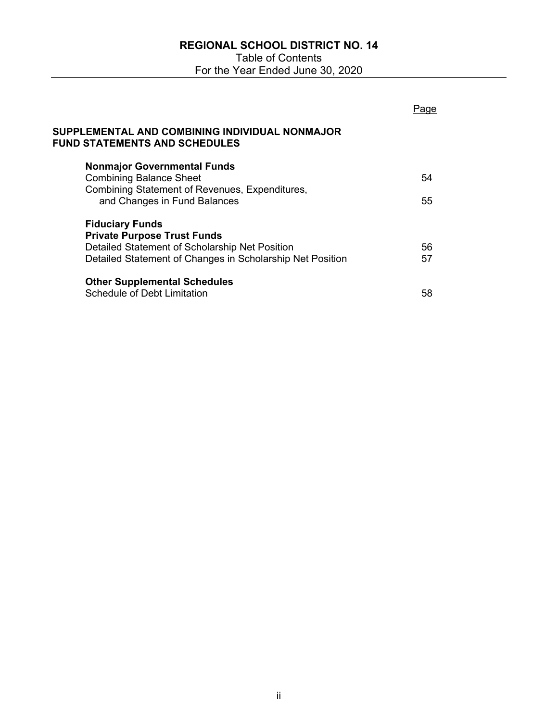## **REGIONAL SCHOOL DISTRICT NO. 14**  Table of Contents For the Year Ended June 30, 2020

<u>Page and the contract of the contract of the contract of the contract of the contract of the contract of the con</u> **SUPPLEMENTAL AND COMBINING INDIVIDUAL NONMAJOR FUND STATEMENTS AND SCHEDULES Nonmajor Governmental Funds**  Combining Balance Sheet 54 Combining Statement of Revenues, Expenditures, and Changes in Fund Balances **55 Fiduciary Funds Private Purpose Trust Funds**  Detailed Statement of Scholarship Net Position 66 and 56 Detailed Statement of Changes in Scholarship Net Position 57 **Other Supplemental Schedules**  Schedule of Debt Limitation 58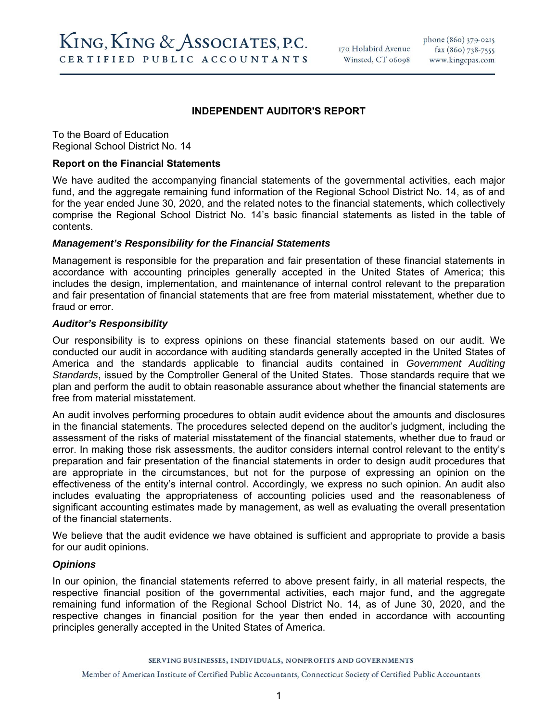170 Holabird Avenue Winsted, CT 06098

#### **INDEPENDENT AUDITOR'S REPORT**

To the Board of Education Regional School District No. 14

#### **Report on the Financial Statements**

We have audited the accompanying financial statements of the governmental activities, each major fund, and the aggregate remaining fund information of the Regional School District No. 14, as of and for the year ended June 30, 2020, and the related notes to the financial statements, which collectively comprise the Regional School District No. 14's basic financial statements as listed in the table of contents.

#### *Management's Responsibility for the Financial Statements*

Management is responsible for the preparation and fair presentation of these financial statements in accordance with accounting principles generally accepted in the United States of America; this includes the design, implementation, and maintenance of internal control relevant to the preparation and fair presentation of financial statements that are free from material misstatement, whether due to fraud or error.

#### *Auditor's Responsibility*

Our responsibility is to express opinions on these financial statements based on our audit. We conducted our audit in accordance with auditing standards generally accepted in the United States of America and the standards applicable to financial audits contained in *Government Auditing Standards*, issued by the Comptroller General of the United States. Those standards require that we plan and perform the audit to obtain reasonable assurance about whether the financial statements are free from material misstatement.

An audit involves performing procedures to obtain audit evidence about the amounts and disclosures in the financial statements. The procedures selected depend on the auditor's judgment, including the assessment of the risks of material misstatement of the financial statements, whether due to fraud or error. In making those risk assessments, the auditor considers internal control relevant to the entity's preparation and fair presentation of the financial statements in order to design audit procedures that are appropriate in the circumstances, but not for the purpose of expressing an opinion on the effectiveness of the entity's internal control. Accordingly, we express no such opinion. An audit also includes evaluating the appropriateness of accounting policies used and the reasonableness of significant accounting estimates made by management, as well as evaluating the overall presentation of the financial statements.

We believe that the audit evidence we have obtained is sufficient and appropriate to provide a basis for our audit opinions.

#### *Opinions*

In our opinion, the financial statements referred to above present fairly, in all material respects, the respective financial position of the governmental activities, each major fund, and the aggregate remaining fund information of the Regional School District No. 14, as of June 30, 2020, and the respective changes in financial position for the year then ended in accordance with accounting principles generally accepted in the United States of America.

SERVING BUSINESSES, INDIVIDUALS, NONPROFITS AND GOVERNMENTS

Member of American Institute of Certified Public Accountants, Connecticut Society of Certified Public Accountants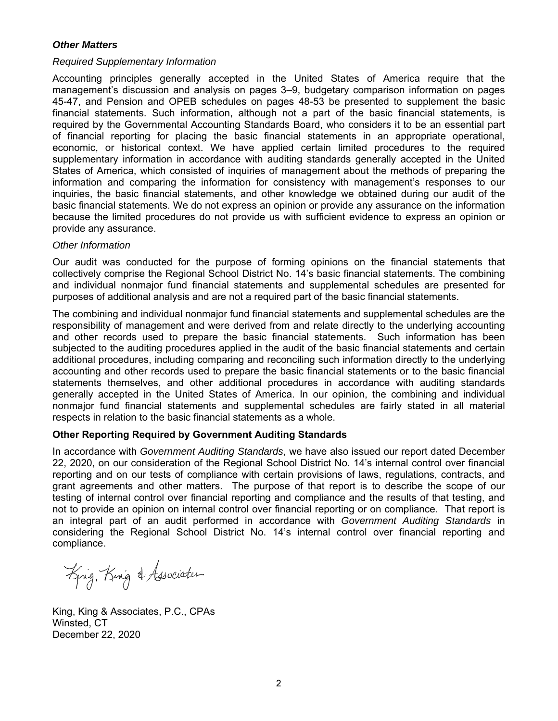#### *Other Matters*

#### *Required Supplementary Information*

Accounting principles generally accepted in the United States of America require that the management's discussion and analysis on pages 3–9, budgetary comparison information on pages 45-47, and Pension and OPEB schedules on pages 48-53 be presented to supplement the basic financial statements. Such information, although not a part of the basic financial statements, is required by the Governmental Accounting Standards Board, who considers it to be an essential part of financial reporting for placing the basic financial statements in an appropriate operational, economic, or historical context. We have applied certain limited procedures to the required supplementary information in accordance with auditing standards generally accepted in the United States of America, which consisted of inquiries of management about the methods of preparing the information and comparing the information for consistency with management's responses to our inquiries, the basic financial statements, and other knowledge we obtained during our audit of the basic financial statements. We do not express an opinion or provide any assurance on the information because the limited procedures do not provide us with sufficient evidence to express an opinion or provide any assurance.

#### *Other Information*

Our audit was conducted for the purpose of forming opinions on the financial statements that collectively comprise the Regional School District No. 14's basic financial statements. The combining and individual nonmajor fund financial statements and supplemental schedules are presented for purposes of additional analysis and are not a required part of the basic financial statements.

The combining and individual nonmajor fund financial statements and supplemental schedules are the responsibility of management and were derived from and relate directly to the underlying accounting and other records used to prepare the basic financial statements. Such information has been subjected to the auditing procedures applied in the audit of the basic financial statements and certain additional procedures, including comparing and reconciling such information directly to the underlying accounting and other records used to prepare the basic financial statements or to the basic financial statements themselves, and other additional procedures in accordance with auditing standards generally accepted in the United States of America. In our opinion, the combining and individual nonmajor fund financial statements and supplemental schedules are fairly stated in all material respects in relation to the basic financial statements as a whole.

#### **Other Reporting Required by Government Auditing Standards**

In accordance with *Government Auditing Standards*, we have also issued our report dated December 22, 2020, on our consideration of the Regional School District No. 14's internal control over financial reporting and on our tests of compliance with certain provisions of laws, regulations, contracts, and grant agreements and other matters. The purpose of that report is to describe the scope of our testing of internal control over financial reporting and compliance and the results of that testing, and not to provide an opinion on internal control over financial reporting or on compliance. That report is an integral part of an audit performed in accordance with *Government Auditing Standards* in considering the Regional School District No. 14's internal control over financial reporting and compliance.

King King & Associates

King, King & Associates, P.C., CPAs Winsted, CT December 22, 2020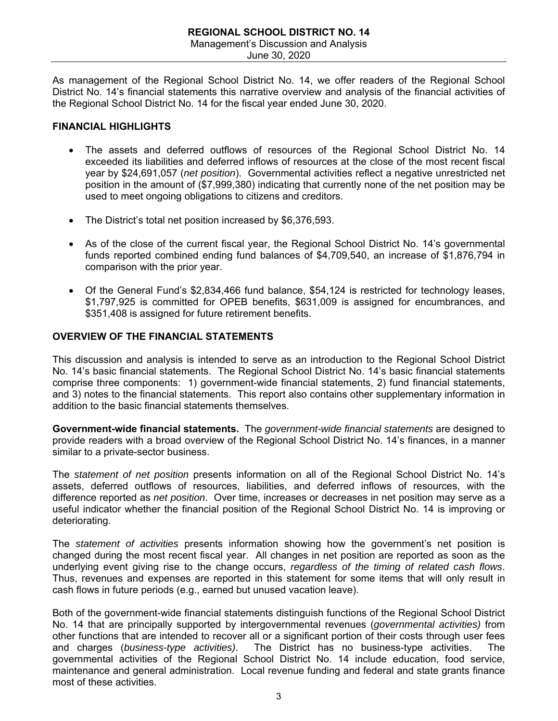As management of the Regional School District No. 14, we offer readers of the Regional School District No. 14's financial statements this narrative overview and analysis of the financial activities of the Regional School District No. 14 for the fiscal year ended June 30, 2020.

#### **FINANCIAL HIGHLIGHTS**

- The assets and deferred outflows of resources of the Regional School District No. 14 exceeded its liabilities and deferred inflows of resources at the close of the most recent fiscal year by \$24,691,057 (*net position*). Governmental activities reflect a negative unrestricted net position in the amount of (\$7,999,380) indicating that currently none of the net position may be used to meet ongoing obligations to citizens and creditors.
- The District's total net position increased by \$6,376,593.
- As of the close of the current fiscal year, the Regional School District No. 14's governmental funds reported combined ending fund balances of \$4,709,540, an increase of \$1,876,794 in comparison with the prior year.
- Of the General Fund's \$2,834,466 fund balance, \$54,124 is restricted for technology leases, \$1,797,925 is committed for OPEB benefits, \$631,009 is assigned for encumbrances, and \$351,408 is assigned for future retirement benefits.

## **OVERVIEW OF THE FINANCIAL STATEMENTS**

This discussion and analysis is intended to serve as an introduction to the Regional School District No. 14's basic financial statements. The Regional School District No. 14's basic financial statements comprise three components: 1) government-wide financial statements, 2) fund financial statements, and 3) notes to the financial statements. This report also contains other supplementary information in addition to the basic financial statements themselves.

**Government-wide financial statements.** The *government-wide financial statements* are designed to provide readers with a broad overview of the Regional School District No. 14's finances, in a manner similar to a private-sector business.

The *statement of net position* presents information on all of the Regional School District No. 14's assets, deferred outflows of resources, liabilities, and deferred inflows of resources, with the difference reported as *net position*. Over time, increases or decreases in net position may serve as a useful indicator whether the financial position of the Regional School District No. 14 is improving or deteriorating.

The *statement of activities* presents information showing how the government's net position is changed during the most recent fiscal year. All changes in net position are reported as soon as the underlying event giving rise to the change occurs, *regardless of the timing of related cash flows*. Thus, revenues and expenses are reported in this statement for some items that will only result in cash flows in future periods (e.g., earned but unused vacation leave).

Both of the government-wide financial statements distinguish functions of the Regional School District No. 14 that are principally supported by intergovernmental revenues (*governmental activities)* from other functions that are intended to recover all or a significant portion of their costs through user fees and charges (*business-type activities)*. The District has no business-type activities. The governmental activities of the Regional School District No. 14 include education, food service, maintenance and general administration. Local revenue funding and federal and state grants finance most of these activities.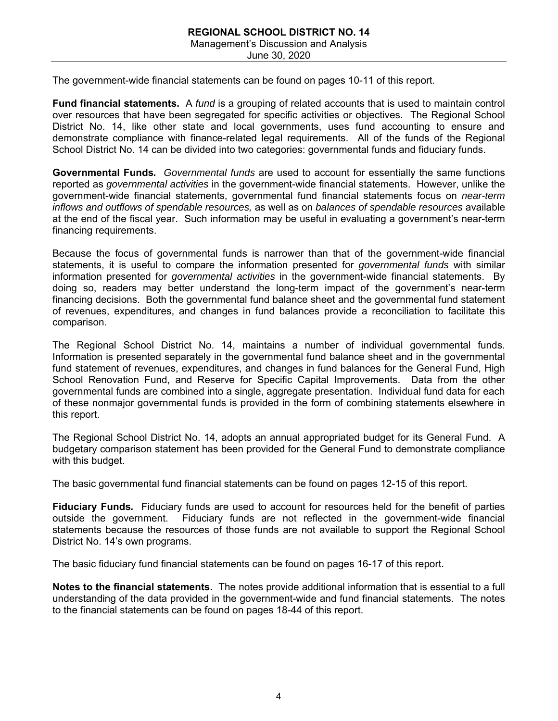The government-wide financial statements can be found on pages 10-11 of this report.

**Fund financial statements.** A *fund* is a grouping of related accounts that is used to maintain control over resources that have been segregated for specific activities or objectives. The Regional School District No. 14, like other state and local governments, uses fund accounting to ensure and demonstrate compliance with finance-related legal requirements. All of the funds of the Regional School District No. 14 can be divided into two categories: governmental funds and fiduciary funds.

**Governmental Funds***. Governmental funds* are used to account for essentially the same functions reported as *governmental activities* in the government-wide financial statements. However, unlike the government-wide financial statements, governmental fund financial statements focus on *near-term inflows and outflows of spendable resources,* as well as on *balances of spendable resources* available at the end of the fiscal year. Such information may be useful in evaluating a government's near-term financing requirements.

Because the focus of governmental funds is narrower than that of the government-wide financial statements, it is useful to compare the information presented for *governmental funds* with similar information presented for *governmental activities* in the government-wide financial statements. By doing so, readers may better understand the long-term impact of the government's near-term financing decisions. Both the governmental fund balance sheet and the governmental fund statement of revenues, expenditures, and changes in fund balances provide a reconciliation to facilitate this comparison.

The Regional School District No. 14, maintains a number of individual governmental funds. Information is presented separately in the governmental fund balance sheet and in the governmental fund statement of revenues, expenditures, and changes in fund balances for the General Fund, High School Renovation Fund, and Reserve for Specific Capital Improvements. Data from the other governmental funds are combined into a single, aggregate presentation. Individual fund data for each of these nonmajor governmental funds is provided in the form of combining statements elsewhere in this report.

The Regional School District No. 14, adopts an annual appropriated budget for its General Fund. A budgetary comparison statement has been provided for the General Fund to demonstrate compliance with this budget.

The basic governmental fund financial statements can be found on pages 12-15 of this report.

**Fiduciary Funds***.* Fiduciary funds are used to account for resources held for the benefit of parties outside the government. Fiduciary funds are not reflected in the government-wide financial statements because the resources of those funds are not available to support the Regional School District No. 14's own programs.

The basic fiduciary fund financial statements can be found on pages 16-17 of this report.

**Notes to the financial statements.** The notes provide additional information that is essential to a full understanding of the data provided in the government-wide and fund financial statements. The notes to the financial statements can be found on pages 18-44 of this report.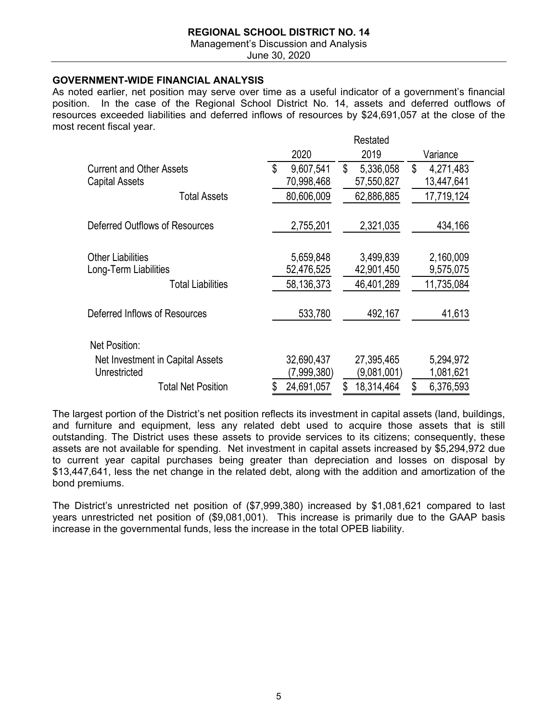#### **GOVERNMENT-WIDE FINANCIAL ANALYSIS**

As noted earlier, net position may serve over time as a useful indicator of a government's financial position. In the case of the Regional School District No. 14, assets and deferred outflows of resources exceeded liabilities and deferred inflows of resources by \$24,691,057 at the close of the most recent fiscal year.

Restated

|                                  |                 | Residieu         |                 |
|----------------------------------|-----------------|------------------|-----------------|
|                                  | 2020            | 2019             | Variance        |
| <b>Current and Other Assets</b>  | \$<br>9,607,541 | \$<br>5,336,058  | \$<br>4,271,483 |
| <b>Capital Assets</b>            | 70,998,468      | 57,550,827       | 13,447,641      |
| <b>Total Assets</b>              | 80,606,009      | 62,886,885       | 17,719,124      |
| Deferred Outflows of Resources   | 2,755,201       | 2,321,035        | 434,166         |
|                                  |                 |                  |                 |
| <b>Other Liabilities</b>         | 5,659,848       | 3,499,839        | 2,160,009       |
| Long-Term Liabilities            | 52,476,525      | 42,901,450       | 9,575,075       |
| <b>Total Liabilities</b>         | 58,136,373      | 46,401,289       | 11,735,084      |
| Deferred Inflows of Resources    | 533,780         | 492,167          | 41,613          |
| <b>Net Position:</b>             |                 |                  |                 |
| Net Investment in Capital Assets | 32,690,437      | 27,395,465       | 5,294,972       |
| Unrestricted                     | (7,999,380)     | (9,081,001)      | 1,081,621       |
| <b>Total Net Position</b>        | 24,691,057      | 18,314,464<br>\$ | \$<br>6,376,593 |

The largest portion of the District's net position reflects its investment in capital assets (land, buildings, and furniture and equipment, less any related debt used to acquire those assets that is still outstanding. The District uses these assets to provide services to its citizens; consequently, these assets are not available for spending. Net investment in capital assets increased by \$5,294,972 due to current year capital purchases being greater than depreciation and losses on disposal by \$13,447,641, less the net change in the related debt, along with the addition and amortization of the bond premiums.

The District's unrestricted net position of (\$7,999,380) increased by \$1,081,621 compared to last years unrestricted net position of (\$9,081,001). This increase is primarily due to the GAAP basis increase in the governmental funds, less the increase in the total OPEB liability.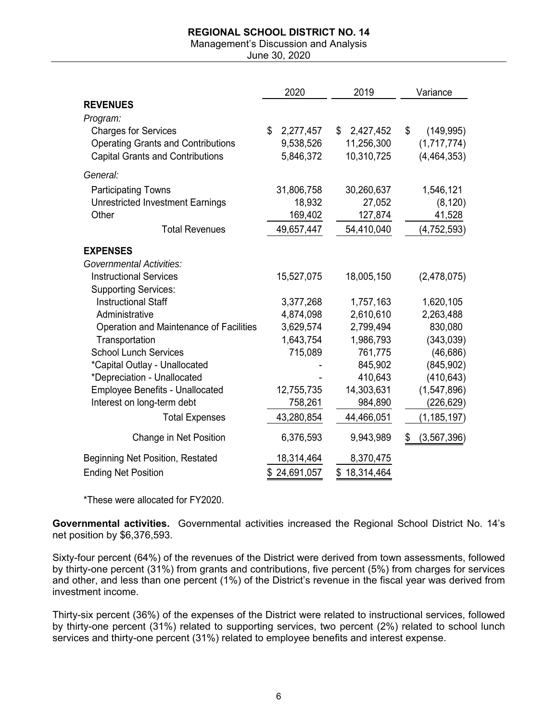Management's Discussion and Analysis

June 30, 2020

|                                           | 2020            | Variance        |                     |  |  |
|-------------------------------------------|-----------------|-----------------|---------------------|--|--|
| <b>REVENUES</b>                           |                 |                 |                     |  |  |
| Program:                                  |                 |                 |                     |  |  |
| <b>Charges for Services</b>               | \$<br>2,277,457 | \$<br>2,427,452 | \$<br>(149, 995)    |  |  |
| <b>Operating Grants and Contributions</b> | 9,538,526       | 11,256,300      | (1,717,774)         |  |  |
| <b>Capital Grants and Contributions</b>   | 5,846,372       | 10,310,725      | (4, 464, 353)       |  |  |
| General:                                  |                 |                 |                     |  |  |
| <b>Participating Towns</b>                | 31,806,758      | 30,260,637      | 1,546,121           |  |  |
| <b>Unrestricted Investment Earnings</b>   | 18,932          | 27,052          | (8, 120)            |  |  |
| Other                                     | 169,402         | 127,874         | 41,528              |  |  |
| <b>Total Revenues</b>                     | 49,657,447      | 54,410,040      | (4, 752, 593)       |  |  |
| <b>EXPENSES</b>                           |                 |                 |                     |  |  |
| <b>Governmental Activities:</b>           |                 |                 |                     |  |  |
| <b>Instructional Services</b>             | 15,527,075      | 18,005,150      | (2,478,075)         |  |  |
| <b>Supporting Services:</b>               |                 |                 |                     |  |  |
| <b>Instructional Staff</b>                | 3,377,268       | 1,757,163       | 1,620,105           |  |  |
| Administrative                            | 4,874,098       | 2,610,610       | 2,263,488           |  |  |
| Operation and Maintenance of Facilities   | 3,629,574       | 2,799,494       | 830,080             |  |  |
| Transportation                            | 1,643,754       | 1,986,793       | (343,039)           |  |  |
| <b>School Lunch Services</b>              | 715,089         | 761,775         | (46, 686)           |  |  |
| *Capital Outlay - Unallocated             |                 | 845,902         | (845,902)           |  |  |
| *Depreciation - Unallocated               |                 | 410,643         | (410, 643)          |  |  |
| <b>Employee Benefits - Unallocated</b>    | 12,755,735      | 14,303,631      | (1,547,896)         |  |  |
| Interest on long-term debt                | 758,261         | 984,890         | (226, 629)          |  |  |
| <b>Total Expenses</b>                     | 43,280,854      | 44,466,051      | (1, 185, 197)       |  |  |
| Change in Net Position                    | 6,376,593       | 9,943,989       | (3, 567, 396)<br>\$ |  |  |
| Beginning Net Position, Restated          | 18,314,464      | 8,370,475       |                     |  |  |
| <b>Ending Net Position</b>                | \$24,691,057    | \$18,314,464    |                     |  |  |

\*These were allocated for FY2020.

**Governmental activities.** Governmental activities increased the Regional School District No. 14's net position by \$6,376,593.

Sixty-four percent (64%) of the revenues of the District were derived from town assessments, followed by thirty-one percent (31%) from grants and contributions, five percent (5%) from charges for services and other, and less than one percent (1%) of the District's revenue in the fiscal year was derived from investment income.

Thirty-six percent (36%) of the expenses of the District were related to instructional services, followed by thirty-one percent (31%) related to supporting services, two percent (2%) related to school lunch services and thirty-one percent (31%) related to employee benefits and interest expense.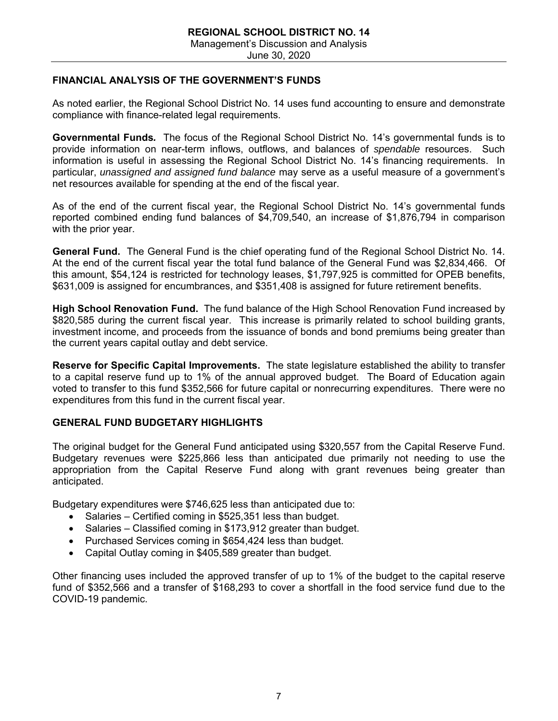#### **FINANCIAL ANALYSIS OF THE GOVERNMENT'S FUNDS**

As noted earlier, the Regional School District No. 14 uses fund accounting to ensure and demonstrate compliance with finance-related legal requirements.

**Governmental Funds***.* The focus of the Regional School District No. 14's governmental funds is to provide information on near-term inflows, outflows, and balances of *spendable* resources. Such information is useful in assessing the Regional School District No. 14's financing requirements. In particular, *unassigned and assigned fund balance* may serve as a useful measure of a government's net resources available for spending at the end of the fiscal year.

As of the end of the current fiscal year, the Regional School District No. 14's governmental funds reported combined ending fund balances of \$4,709,540, an increase of \$1,876,794 in comparison with the prior year.

**General Fund.** The General Fund is the chief operating fund of the Regional School District No. 14. At the end of the current fiscal year the total fund balance of the General Fund was \$2,834,466. Of this amount, \$54,124 is restricted for technology leases, \$1,797,925 is committed for OPEB benefits, \$631,009 is assigned for encumbrances, and \$351,408 is assigned for future retirement benefits.

**High School Renovation Fund.** The fund balance of the High School Renovation Fund increased by \$820,585 during the current fiscal year. This increase is primarily related to school building grants, investment income, and proceeds from the issuance of bonds and bond premiums being greater than the current years capital outlay and debt service.

**Reserve for Specific Capital Improvements.** The state legislature established the ability to transfer to a capital reserve fund up to 1% of the annual approved budget. The Board of Education again voted to transfer to this fund \$352,566 for future capital or nonrecurring expenditures. There were no expenditures from this fund in the current fiscal year.

### **GENERAL FUND BUDGETARY HIGHLIGHTS**

The original budget for the General Fund anticipated using \$320,557 from the Capital Reserve Fund. Budgetary revenues were \$225,866 less than anticipated due primarily not needing to use the appropriation from the Capital Reserve Fund along with grant revenues being greater than anticipated.

Budgetary expenditures were \$746,625 less than anticipated due to:

- Salaries Certified coming in \$525,351 less than budget.
- Salaries Classified coming in \$173,912 greater than budget.
- Purchased Services coming in \$654,424 less than budget.
- Capital Outlay coming in \$405,589 greater than budget.

Other financing uses included the approved transfer of up to 1% of the budget to the capital reserve fund of \$352,566 and a transfer of \$168,293 to cover a shortfall in the food service fund due to the COVID-19 pandemic.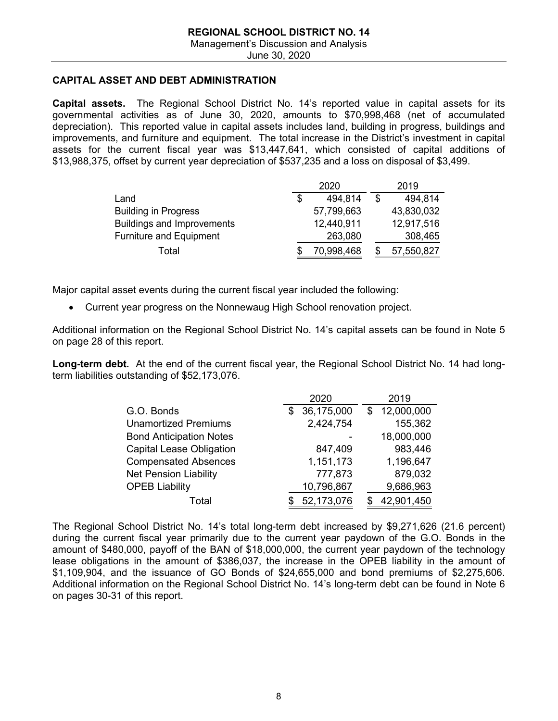#### **CAPITAL ASSET AND DEBT ADMINISTRATION**

**Capital assets.** The Regional School District No. 14's reported value in capital assets for its governmental activities as of June 30, 2020, amounts to \$70,998,468 (net of accumulated depreciation). This reported value in capital assets includes land, building in progress, buildings and improvements, and furniture and equipment. The total increase in the District's investment in capital assets for the current fiscal year was \$13,447,641, which consisted of capital additions of \$13,988,375, offset by current year depreciation of \$537,235 and a loss on disposal of \$3,499.

|                                   | 2020          | 2019          |
|-----------------------------------|---------------|---------------|
| Land                              | \$<br>494,814 | \$<br>494,814 |
| <b>Building in Progress</b>       | 57,799,663    | 43,830,032    |
| <b>Buildings and Improvements</b> | 12,440,911    | 12,917,516    |
| <b>Furniture and Equipment</b>    | 263,080       | 308,465       |
| Total                             | 70,998,468    | 57,550,827    |

Major capital asset events during the current fiscal year included the following:

Current year progress on the Nonnewaug High School renovation project.

Additional information on the Regional School District No. 14's capital assets can be found in Note 5 on page 28 of this report.

**Long-term debt.** At the end of the current fiscal year, the Regional School District No. 14 had longterm liabilities outstanding of \$52,173,076.

|                                 | 2020            | 2019         |
|---------------------------------|-----------------|--------------|
| G.O. Bonds                      | 36,175,000<br>S | \$12,000,000 |
| <b>Unamortized Premiums</b>     | 2,424,754       | 155,362      |
| <b>Bond Anticipation Notes</b>  |                 | 18,000,000   |
| <b>Capital Lease Obligation</b> | 847,409         | 983,446      |
| <b>Compensated Absences</b>     | 1,151,173       | 1,196,647    |
| <b>Net Pension Liability</b>    | 777,873         | 879,032      |
| <b>OPEB Liability</b>           | 10,796,867      | 9,686,963    |
| Total                           | 52,173,076      | 42,901,450   |

The Regional School District No. 14's total long-term debt increased by \$9,271,626 (21.6 percent) during the current fiscal year primarily due to the current year paydown of the G.O. Bonds in the amount of \$480,000, payoff of the BAN of \$18,000,000, the current year paydown of the technology lease obligations in the amount of \$386,037, the increase in the OPEB liability in the amount of \$1,109,904, and the issuance of GO Bonds of \$24,655,000 and bond premiums of \$2,275,606. Additional information on the Regional School District No. 14's long-term debt can be found in Note 6 on pages 30-31 of this report.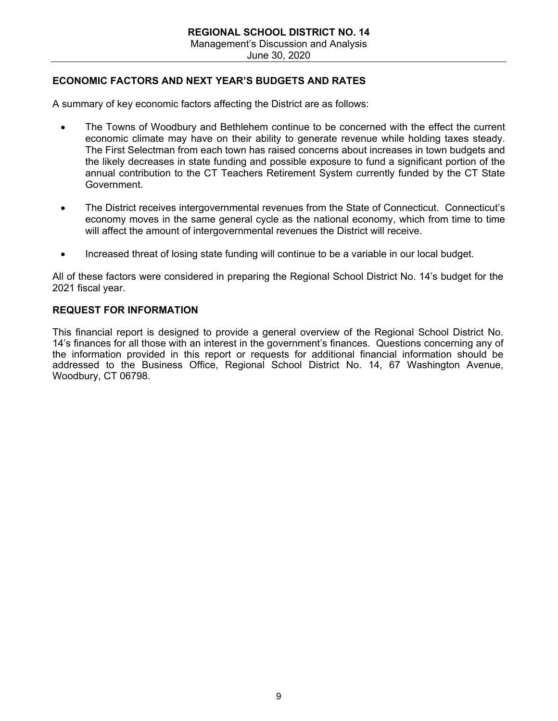## **ECONOMIC FACTORS AND NEXT YEAR'S BUDGETS AND RATES**

A summary of key economic factors affecting the District are as follows:

- The Towns of Woodbury and Bethlehem continue to be concerned with the effect the current economic climate may have on their ability to generate revenue while holding taxes steady. The First Selectman from each town has raised concerns about increases in town budgets and the likely decreases in state funding and possible exposure to fund a significant portion of the annual contribution to the CT Teachers Retirement System currently funded by the CT State Government.
- The District receives intergovernmental revenues from the State of Connecticut. Connecticut's economy moves in the same general cycle as the national economy, which from time to time will affect the amount of intergovernmental revenues the District will receive.
- Increased threat of losing state funding will continue to be a variable in our local budget.

All of these factors were considered in preparing the Regional School District No. 14's budget for the 2021 fiscal year.

#### **REQUEST FOR INFORMATION**

This financial report is designed to provide a general overview of the Regional School District No. 14's finances for all those with an interest in the government's finances. Questions concerning any of the information provided in this report or requests for additional financial information should be addressed to the Business Office, Regional School District No. 14, 67 Washington Avenue, Woodbury, CT 06798.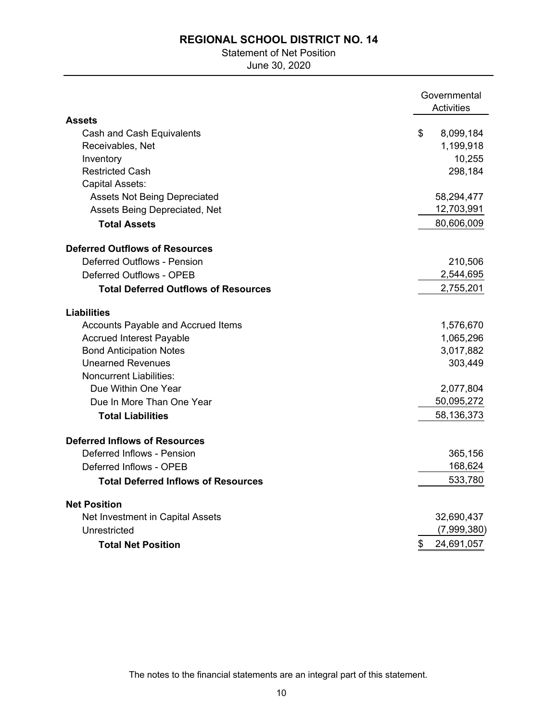## Statement of Net Position

June 30, 2020

|                                             | Governmental      |  |  |
|---------------------------------------------|-------------------|--|--|
|                                             | <b>Activities</b> |  |  |
| <b>Assets</b>                               |                   |  |  |
| Cash and Cash Equivalents                   | \$<br>8,099,184   |  |  |
| Receivables, Net                            | 1,199,918         |  |  |
| Inventory                                   | 10,255            |  |  |
| <b>Restricted Cash</b>                      | 298,184           |  |  |
| <b>Capital Assets:</b>                      |                   |  |  |
| <b>Assets Not Being Depreciated</b>         | 58,294,477        |  |  |
| Assets Being Depreciated, Net               | 12,703,991        |  |  |
| <b>Total Assets</b>                         | 80,606,009        |  |  |
| <b>Deferred Outflows of Resources</b>       |                   |  |  |
| <b>Deferred Outflows - Pension</b>          | 210,506           |  |  |
| <b>Deferred Outflows - OPEB</b>             | 2,544,695         |  |  |
| <b>Total Deferred Outflows of Resources</b> | 2,755,201         |  |  |
| <b>Liabilities</b>                          |                   |  |  |
| <b>Accounts Payable and Accrued Items</b>   | 1,576,670         |  |  |
| <b>Accrued Interest Payable</b>             | 1,065,296         |  |  |
| <b>Bond Anticipation Notes</b>              | 3,017,882         |  |  |
| <b>Unearned Revenues</b>                    | 303,449           |  |  |
| <b>Noncurrent Liabilities:</b>              |                   |  |  |
| Due Within One Year                         | 2,077,804         |  |  |
| Due In More Than One Year                   | 50,095,272        |  |  |
| <b>Total Liabilities</b>                    | 58,136,373        |  |  |
| <b>Deferred Inflows of Resources</b>        |                   |  |  |
| Deferred Inflows - Pension                  | 365,156           |  |  |
| Deferred Inflows - OPEB                     | 168,624           |  |  |
| <b>Total Deferred Inflows of Resources</b>  | 533,780           |  |  |
| <b>Net Position</b>                         |                   |  |  |
| Net Investment in Capital Assets            | 32,690,437        |  |  |
| Unrestricted                                | (7,999,380)       |  |  |
| <b>Total Net Position</b>                   | \$<br>24,691,057  |  |  |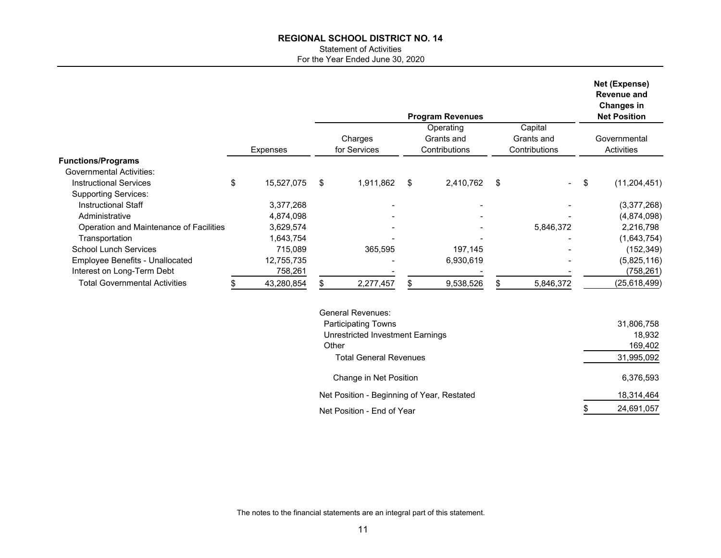#### Statement of Activities

For the Year Ended June 30, 2020

|                                         |                  |                         |    | <b>Program Revenues</b>                  |                                        |        | Net (Expense)<br>Revenue and<br>Changes in<br><b>Net Position</b> |
|-----------------------------------------|------------------|-------------------------|----|------------------------------------------|----------------------------------------|--------|-------------------------------------------------------------------|
|                                         | Expenses         | Charges<br>for Services |    | Operating<br>Grants and<br>Contributions | Capital<br>Grants and<br>Contributions |        | Governmental<br>Activities                                        |
| <b>Functions/Programs</b>               |                  |                         |    |                                          |                                        |        |                                                                   |
| <b>Governmental Activities:</b>         |                  |                         |    |                                          |                                        |        |                                                                   |
| <b>Instructional Services</b>           | \$<br>15,527,075 | \$<br>1,911,862         | \$ | 2,410,762                                | \$                                     | $-$ \$ | (11, 204, 451)                                                    |
| <b>Supporting Services:</b>             |                  |                         |    |                                          |                                        |        |                                                                   |
| Instructional Staff                     | 3,377,268        |                         |    |                                          |                                        |        | (3,377,268)                                                       |
| Administrative                          | 4,874,098        |                         |    |                                          |                                        |        | (4,874,098)                                                       |
| Operation and Maintenance of Facilities | 3,629,574        |                         |    |                                          | 5,846,372                              |        | 2,216,798                                                         |
| Transportation                          | 1,643,754        |                         |    |                                          |                                        |        | (1,643,754)                                                       |
| <b>School Lunch Services</b>            | 715,089          | 365,595                 |    | 197,145                                  |                                        |        | (152, 349)                                                        |
| Employee Benefits - Unallocated         | 12,755,735       |                         |    | 6,930,619                                |                                        |        | (5,825,116)                                                       |
| Interest on Long-Term Debt              | 758,261          |                         |    |                                          |                                        |        | (758, 261)                                                        |
| <b>Total Governmental Activities</b>    | 43,280,854       | 2,277,457               | S. | 9,538,526                                | 5,846,372                              |        | (25, 618, 499)                                                    |

| General Revenues:                          |                  |
|--------------------------------------------|------------------|
| <b>Participating Towns</b>                 | 31,806,758       |
| Unrestricted Investment Earnings           | 18.932           |
| Other                                      | 169,402          |
| Total General Revenues                     | 31,995,092       |
| Change in Net Position                     | 6.376.593        |
| Net Position - Beginning of Year, Restated | 18,314,464       |
| Net Position - End of Year                 | \$<br>24,691,057 |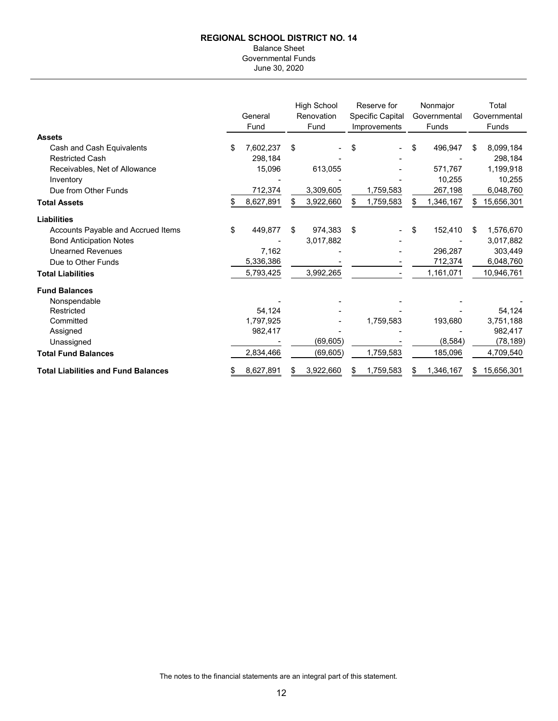Balance Sheet Governmental Funds

June 30, 2020

|                                            |                 |           |                    | <b>High School</b> |                                  | Reserve for |                       | Nonmajor  |                       | Total      |
|--------------------------------------------|-----------------|-----------|--------------------|--------------------|----------------------------------|-------------|-----------------------|-----------|-----------------------|------------|
|                                            | General<br>Fund |           | Renovation<br>Fund |                    | Specific Capital<br>Improvements |             | Governmental<br>Funds |           | Governmental<br>Funds |            |
| <b>Assets</b>                              |                 |           |                    |                    |                                  |             |                       |           |                       |            |
| Cash and Cash Equivalents                  | \$              | 7,602,237 | \$                 |                    | \$                               |             | \$                    | 496,947   | \$                    | 8,099,184  |
| <b>Restricted Cash</b>                     |                 | 298,184   |                    |                    |                                  |             |                       |           |                       | 298,184    |
| Receivables, Net of Allowance              |                 | 15,096    |                    | 613,055            |                                  |             |                       | 571,767   |                       | 1,199,918  |
| Inventory                                  |                 |           |                    |                    |                                  |             |                       | 10,255    |                       | 10,255     |
| Due from Other Funds                       |                 | 712,374   |                    | 3,309,605          |                                  | 1,759,583   |                       | 267,198   |                       | 6,048,760  |
| <b>Total Assets</b>                        |                 | 8,627,891 |                    | 3,922,660          | S                                | 1,759,583   |                       | 1,346,167 |                       | 15,656,301 |
| <b>Liabilities</b>                         |                 |           |                    |                    |                                  |             |                       |           |                       |            |
| Accounts Payable and Accrued Items         | \$              | 449,877   | \$                 | 974,383            | \$                               |             | \$                    | 152,410   | S                     | 1,576,670  |
| <b>Bond Anticipation Notes</b>             |                 |           |                    | 3,017,882          |                                  |             |                       |           |                       | 3,017,882  |
| <b>Unearned Revenues</b>                   |                 | 7,162     |                    |                    |                                  |             |                       | 296.287   |                       | 303,449    |
| Due to Other Funds                         |                 | 5,336,386 |                    |                    |                                  |             |                       | 712,374   |                       | 6,048,760  |
| <b>Total Liabilities</b>                   |                 | 5,793,425 |                    | 3,992,265          |                                  |             |                       | 1,161,071 |                       | 10,946,761 |
| <b>Fund Balances</b>                       |                 |           |                    |                    |                                  |             |                       |           |                       |            |
| Nonspendable                               |                 |           |                    |                    |                                  |             |                       |           |                       |            |
| Restricted                                 |                 | 54,124    |                    |                    |                                  |             |                       |           |                       | 54,124     |
| Committed                                  |                 | 1,797,925 |                    |                    |                                  | 1,759,583   |                       | 193,680   |                       | 3,751,188  |
| Assigned                                   |                 | 982,417   |                    |                    |                                  |             |                       |           |                       | 982,417    |
| Unassigned                                 |                 |           |                    | (69, 605)          |                                  |             |                       | (8, 584)  |                       | (78, 189)  |
| <b>Total Fund Balances</b>                 |                 | 2,834,466 |                    | (69, 605)          |                                  | 1,759,583   |                       | 185,096   |                       | 4,709,540  |
| <b>Total Liabilities and Fund Balances</b> | S.              | 8,627,891 | \$                 | 3,922,660          | S                                | 1,759,583   | S                     | 1,346,167 | \$                    | 15,656,301 |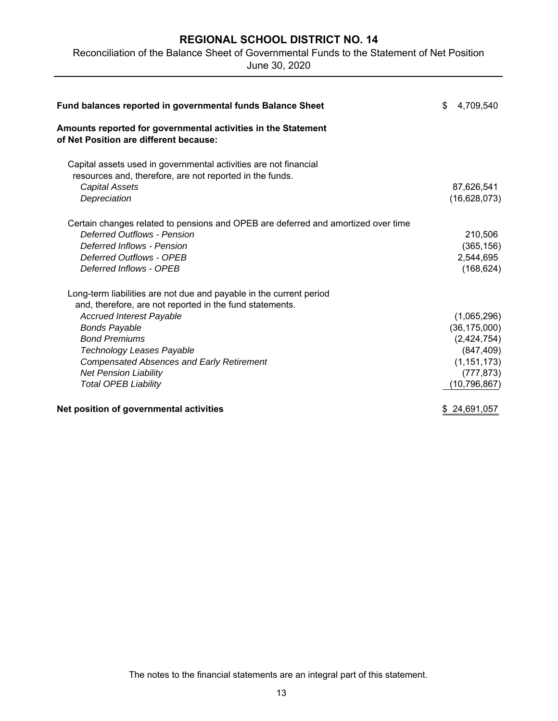Reconciliation of the Balance Sheet of Governmental Funds to the Statement of Net Position

June 30, 2020

| Fund balances reported in governmental funds Balance Sheet                                                                   | \$<br>4,709,540 |
|------------------------------------------------------------------------------------------------------------------------------|-----------------|
| Amounts reported for governmental activities in the Statement<br>of Net Position are different because:                      |                 |
| Capital assets used in governmental activities are not financial<br>resources and, therefore, are not reported in the funds. |                 |
| <b>Capital Assets</b>                                                                                                        | 87,626,541      |
| Depreciation                                                                                                                 | (16, 628, 073)  |
| Certain changes related to pensions and OPEB are deferred and amortized over time                                            |                 |
| Deferred Outflows - Pension                                                                                                  | 210,506         |
| Deferred Inflows - Pension                                                                                                   | (365, 156)      |
| Deferred Outflows - OPEB                                                                                                     | 2,544,695       |
| Deferred Inflows - OPEB                                                                                                      | (168, 624)      |
| Long-term liabilities are not due and payable in the current period                                                          |                 |
| and, therefore, are not reported in the fund statements.                                                                     |                 |
| <b>Accrued Interest Payable</b>                                                                                              | (1,065,296)     |
| <b>Bonds Payable</b>                                                                                                         | (36, 175, 000)  |
| <b>Bond Premiums</b>                                                                                                         | (2,424,754)     |
| Technology Leases Payable                                                                                                    | (847, 409)      |
| <b>Compensated Absences and Early Retirement</b>                                                                             | (1, 151, 173)   |
| <b>Net Pension Liability</b>                                                                                                 | (777, 873)      |
| <b>Total OPEB Liability</b>                                                                                                  | (10, 796, 867)  |
| Net position of governmental activities                                                                                      | \$24,691,057    |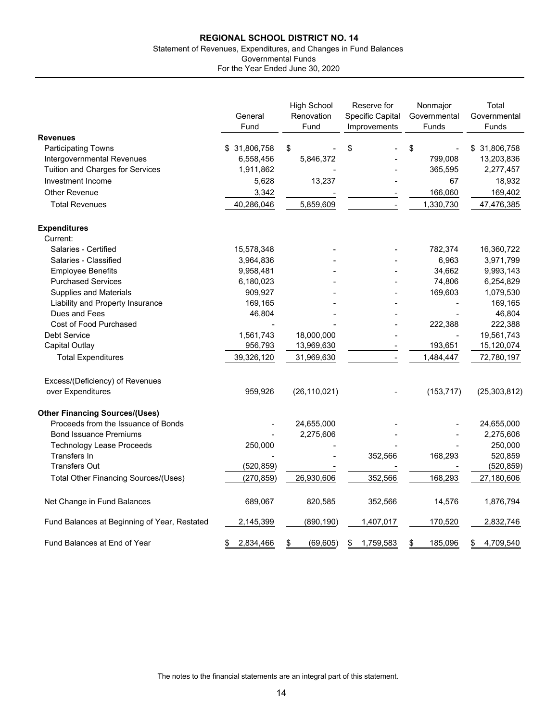#### **REGIONAL SCHOOL DISTRICT NO. 14** Statement of Revenues, Expenditures, and Changes in Fund Balances

Governmental Funds

For the Year Ended June 30, 2020

|                                              |                 | <b>High School</b> | Reserve for      | Nonmajor      | Total           |
|----------------------------------------------|-----------------|--------------------|------------------|---------------|-----------------|
|                                              | General         | Renovation         | Specific Capital | Governmental  | Governmental    |
|                                              | Fund            | Fund               | Improvements     | Funds         | Funds           |
| <b>Revenues</b>                              |                 |                    |                  |               |                 |
| <b>Participating Towns</b>                   | \$31,806,758    | \$                 | \$               | \$            | \$31,806,758    |
| Intergovernmental Revenues                   | 6,558,456       | 5,846,372          |                  | 799,008       | 13,203,836      |
| Tuition and Charges for Services             | 1,911,862       |                    |                  | 365,595       | 2,277,457       |
| Investment Income                            | 5,628           | 13,237             |                  | 67            | 18,932          |
| <b>Other Revenue</b>                         | 3,342           |                    |                  | 166,060       | 169,402         |
| <b>Total Revenues</b>                        | 40,286,046      | 5,859,609          |                  | 1,330,730     | 47,476,385      |
| <b>Expenditures</b>                          |                 |                    |                  |               |                 |
| Current:                                     |                 |                    |                  |               |                 |
| Salaries - Certified                         | 15,578,348      |                    |                  | 782,374       | 16,360,722      |
| Salaries - Classified                        | 3,964,836       |                    |                  | 6,963         | 3,971,799       |
| <b>Employee Benefits</b>                     | 9,958,481       |                    |                  | 34,662        | 9,993,143       |
| <b>Purchased Services</b>                    | 6,180,023       |                    |                  | 74,806        | 6,254,829       |
| <b>Supplies and Materials</b>                | 909,927         |                    |                  | 169,603       | 1,079,530       |
| Liability and Property Insurance             | 169,165         |                    |                  |               | 169,165         |
| Dues and Fees                                | 46,804          |                    |                  |               | 46,804          |
| Cost of Food Purchased                       |                 |                    |                  | 222,388       | 222,388         |
| <b>Debt Service</b>                          | 1,561,743       | 18,000,000         |                  |               | 19,561,743      |
| <b>Capital Outlay</b>                        | 956,793         | 13,969,630         |                  | 193,651       | 15,120,074      |
| <b>Total Expenditures</b>                    | 39,326,120      | 31,969,630         |                  | 1,484,447     | 72,780,197      |
| Excess/(Deficiency) of Revenues              |                 |                    |                  |               |                 |
| over Expenditures                            | 959,926         | (26, 110, 021)     |                  | (153, 717)    | (25, 303, 812)  |
| <b>Other Financing Sources/(Uses)</b>        |                 |                    |                  |               |                 |
| Proceeds from the Issuance of Bonds          |                 | 24,655,000         |                  |               | 24,655,000      |
| <b>Bond Issuance Premiums</b>                |                 | 2,275,606          |                  |               | 2,275,606       |
| <b>Technology Lease Proceeds</b>             | 250,000         |                    |                  |               | 250,000         |
| Transfers In                                 |                 |                    | 352,566          | 168,293       | 520,859         |
| <b>Transfers Out</b>                         | (520, 859)      |                    |                  |               | (520, 859)      |
| Total Other Financing Sources/(Uses)         | (270, 859)      | 26,930,606         | 352,566          | 168,293       | 27,180,606      |
| Net Change in Fund Balances                  | 689,067         | 820,585            | 352,566          | 14,576        | 1,876,794       |
| Fund Balances at Beginning of Year, Restated | 2,145,399       | (890, 190)         | 1,407,017        | 170,520       | 2,832,746       |
| Fund Balances at End of Year                 | 2,834,466<br>\$ | (69, 605)<br>\$    | 1,759,583<br>\$  | \$<br>185,096 | 4,709,540<br>\$ |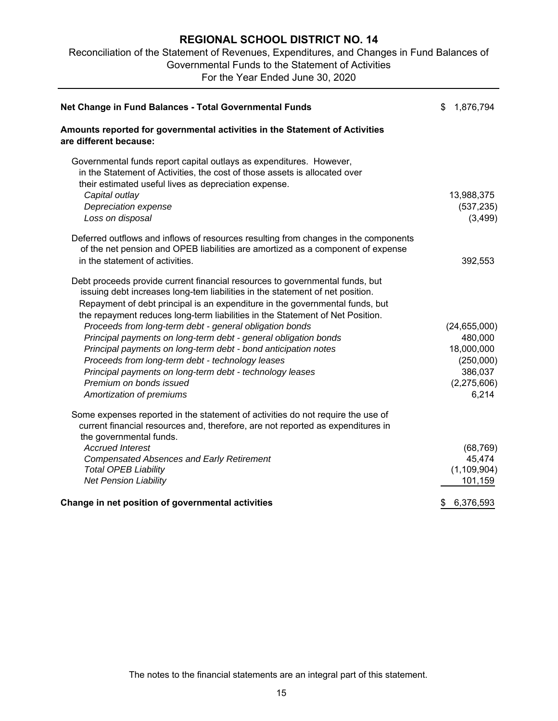## Reconciliation of the Statement of Revenues, Expenditures, and Changes in Fund Balances of Governmental Funds to the Statement of Activities For the Year Ended June 30, 2020

| Net Change in Fund Balances - Total Governmental Funds                                                                                                                                                                                        | \$<br>1,876,794                      |
|-----------------------------------------------------------------------------------------------------------------------------------------------------------------------------------------------------------------------------------------------|--------------------------------------|
| Amounts reported for governmental activities in the Statement of Activities<br>are different because:                                                                                                                                         |                                      |
| Governmental funds report capital outlays as expenditures. However,<br>in the Statement of Activities, the cost of those assets is allocated over<br>their estimated useful lives as depreciation expense.                                    |                                      |
| Capital outlay<br>Depreciation expense<br>Loss on disposal                                                                                                                                                                                    | 13,988,375<br>(537, 235)<br>(3, 499) |
| Deferred outflows and inflows of resources resulting from changes in the components<br>of the net pension and OPEB liabilities are amortized as a component of expense<br>in the statement of activities.                                     | 392,553                              |
| Debt proceeds provide current financial resources to governmental funds, but<br>issuing debt increases long-tem liabilities in the statement of net position.<br>Repayment of debt principal is an expenditure in the governmental funds, but |                                      |
| the repayment reduces long-term liabilities in the Statement of Net Position.<br>Proceeds from long-term debt - general obligation bonds                                                                                                      | (24, 655, 000)                       |
| Principal payments on long-term debt - general obligation bonds                                                                                                                                                                               | 480,000                              |
| Principal payments on long-term debt - bond anticipation notes                                                                                                                                                                                | 18,000,000                           |
| Proceeds from long-term debt - technology leases                                                                                                                                                                                              | (250,000)                            |
| Principal payments on long-term debt - technology leases                                                                                                                                                                                      | 386,037                              |
| Premium on bonds issued                                                                                                                                                                                                                       | (2, 275, 606)                        |
| Amortization of premiums                                                                                                                                                                                                                      | 6,214                                |
| Some expenses reported in the statement of activities do not require the use of<br>current financial resources and, therefore, are not reported as expenditures in<br>the governmental funds.                                                 |                                      |
| <b>Accrued Interest</b>                                                                                                                                                                                                                       | (68, 769)                            |
| <b>Compensated Absences and Early Retirement</b>                                                                                                                                                                                              | 45,474                               |
| <b>Total OPEB Liability</b>                                                                                                                                                                                                                   | (1, 109, 904)                        |
| <b>Net Pension Liability</b>                                                                                                                                                                                                                  | 101,159                              |
| Change in net position of governmental activities                                                                                                                                                                                             | \$<br>6,376,593                      |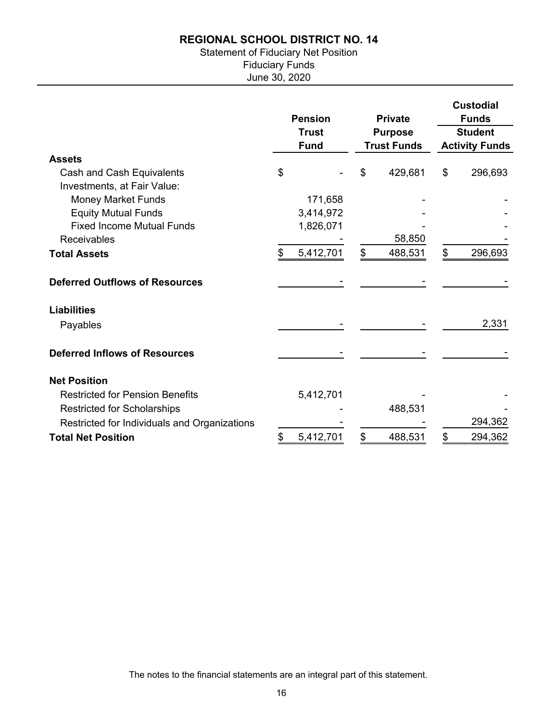## Statement of Fiduciary Net Position Fiduciary Funds June 30, 2020

|                                              | <b>Pension</b><br><b>Trust</b><br><b>Fund</b> |    | <b>Private</b><br><b>Purpose</b><br><b>Trust Funds</b> | <b>Custodial</b><br><b>Funds</b><br><b>Student</b><br><b>Activity Funds</b> |
|----------------------------------------------|-----------------------------------------------|----|--------------------------------------------------------|-----------------------------------------------------------------------------|
| <b>Assets</b>                                |                                               |    |                                                        |                                                                             |
| Cash and Cash Equivalents                    | \$                                            | \$ | 429,681                                                | \$<br>296,693                                                               |
| Investments, at Fair Value:                  |                                               |    |                                                        |                                                                             |
| <b>Money Market Funds</b>                    | 171,658                                       |    |                                                        |                                                                             |
| <b>Equity Mutual Funds</b>                   | 3,414,972                                     |    |                                                        |                                                                             |
| <b>Fixed Income Mutual Funds</b>             | 1,826,071                                     |    |                                                        |                                                                             |
| <b>Receivables</b>                           |                                               |    | 58,850                                                 |                                                                             |
| <b>Total Assets</b>                          | 5,412,701                                     | \$ | 488,531                                                | \$<br>296,693                                                               |
| <b>Deferred Outflows of Resources</b>        |                                               |    |                                                        |                                                                             |
| <b>Liabilities</b>                           |                                               |    |                                                        |                                                                             |
| Payables                                     |                                               |    |                                                        | 2,331                                                                       |
| <b>Deferred Inflows of Resources</b>         |                                               |    |                                                        |                                                                             |
| <b>Net Position</b>                          |                                               |    |                                                        |                                                                             |
| <b>Restricted for Pension Benefits</b>       | 5,412,701                                     |    |                                                        |                                                                             |
| <b>Restricted for Scholarships</b>           |                                               |    | 488,531                                                |                                                                             |
| Restricted for Individuals and Organizations |                                               |    |                                                        | 294,362                                                                     |
| <b>Total Net Position</b>                    | \$<br>5,412,701                               | \$ | 488,531                                                | \$<br>294,362                                                               |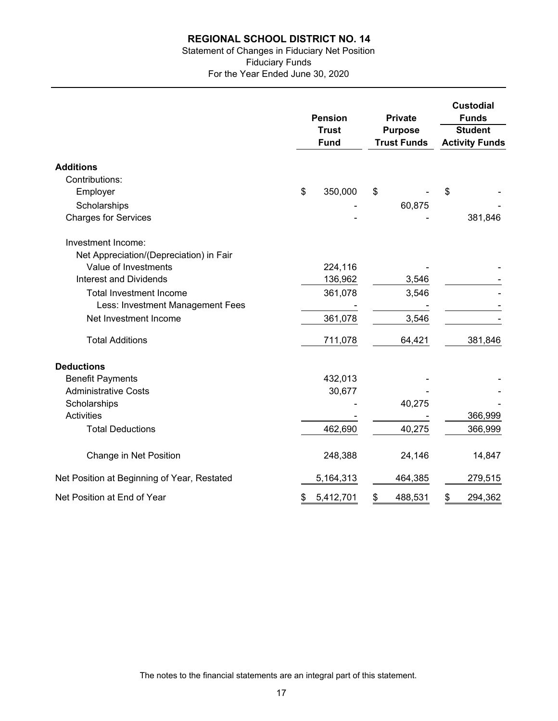Statement of Changes in Fiduciary Net Position Fiduciary Funds For the Year Ended June 30, 2020

|                                             | <b>Pension</b><br><b>Trust</b><br><b>Fund</b> |    | <b>Private</b><br><b>Purpose</b><br><b>Trust Funds</b> |    | <b>Custodial</b><br><b>Funds</b><br>Student<br><b>Activity Funds</b> |  |
|---------------------------------------------|-----------------------------------------------|----|--------------------------------------------------------|----|----------------------------------------------------------------------|--|
| <b>Additions</b>                            |                                               |    |                                                        |    |                                                                      |  |
| Contributions:                              |                                               |    |                                                        |    |                                                                      |  |
| Employer                                    | \$<br>350,000                                 | \$ |                                                        | \$ |                                                                      |  |
| Scholarships                                |                                               |    | 60,875                                                 |    |                                                                      |  |
| <b>Charges for Services</b>                 |                                               |    |                                                        |    | 381,846                                                              |  |
| Investment Income:                          |                                               |    |                                                        |    |                                                                      |  |
| Net Appreciation/(Depreciation) in Fair     |                                               |    |                                                        |    |                                                                      |  |
| Value of Investments                        | 224,116                                       |    |                                                        |    |                                                                      |  |
| <b>Interest and Dividends</b>               | 136,962                                       |    | 3,546                                                  |    |                                                                      |  |
| <b>Total Investment Income</b>              | 361,078                                       |    | 3,546                                                  |    |                                                                      |  |
| Less: Investment Management Fees            |                                               |    |                                                        |    |                                                                      |  |
| Net Investment Income                       | 361,078                                       |    | 3,546                                                  |    |                                                                      |  |
| <b>Total Additions</b>                      | 711,078                                       |    | 64,421                                                 |    | 381,846                                                              |  |
| <b>Deductions</b>                           |                                               |    |                                                        |    |                                                                      |  |
| <b>Benefit Payments</b>                     | 432,013                                       |    |                                                        |    |                                                                      |  |
| <b>Administrative Costs</b>                 | 30,677                                        |    |                                                        |    |                                                                      |  |
| Scholarships                                |                                               |    | 40,275                                                 |    |                                                                      |  |
| <b>Activities</b>                           |                                               |    |                                                        |    | 366,999                                                              |  |
| <b>Total Deductions</b>                     | 462,690                                       |    | 40,275                                                 |    | 366,999                                                              |  |
| Change in Net Position                      | 248,388                                       |    | 24,146                                                 |    | 14,847                                                               |  |
| Net Position at Beginning of Year, Restated | 5,164,313                                     |    | 464,385                                                |    | 279,515                                                              |  |
| Net Position at End of Year                 | \$<br>5,412,701                               | \$ | 488,531                                                | \$ | 294,362                                                              |  |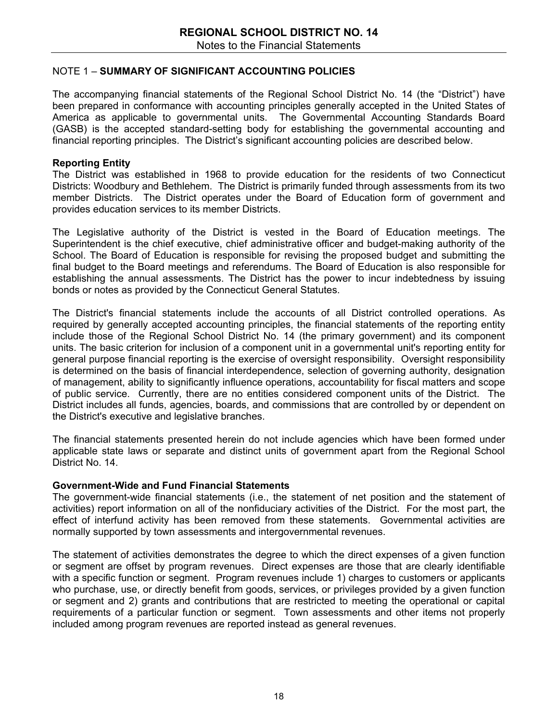### NOTE 1 – **SUMMARY OF SIGNIFICANT ACCOUNTING POLICIES**

The accompanying financial statements of the Regional School District No. 14 (the "District") have been prepared in conformance with accounting principles generally accepted in the United States of America as applicable to governmental units. The Governmental Accounting Standards Board (GASB) is the accepted standard-setting body for establishing the governmental accounting and financial reporting principles. The District's significant accounting policies are described below.

### **Reporting Entity**

The District was established in 1968 to provide education for the residents of two Connecticut Districts: Woodbury and Bethlehem. The District is primarily funded through assessments from its two member Districts. The District operates under the Board of Education form of government and provides education services to its member Districts.

The Legislative authority of the District is vested in the Board of Education meetings. The Superintendent is the chief executive, chief administrative officer and budget-making authority of the School. The Board of Education is responsible for revising the proposed budget and submitting the final budget to the Board meetings and referendums. The Board of Education is also responsible for establishing the annual assessments. The District has the power to incur indebtedness by issuing bonds or notes as provided by the Connecticut General Statutes.

The District's financial statements include the accounts of all District controlled operations. As required by generally accepted accounting principles, the financial statements of the reporting entity include those of the Regional School District No. 14 (the primary government) and its component units. The basic criterion for inclusion of a component unit in a governmental unit's reporting entity for general purpose financial reporting is the exercise of oversight responsibility. Oversight responsibility is determined on the basis of financial interdependence, selection of governing authority, designation of management, ability to significantly influence operations, accountability for fiscal matters and scope of public service. Currently, there are no entities considered component units of the District. The District includes all funds, agencies, boards, and commissions that are controlled by or dependent on the District's executive and legislative branches.

The financial statements presented herein do not include agencies which have been formed under applicable state laws or separate and distinct units of government apart from the Regional School District No. 14.

### **Government-Wide and Fund Financial Statements**

The government-wide financial statements (i.e., the statement of net position and the statement of activities) report information on all of the nonfiduciary activities of the District. For the most part, the effect of interfund activity has been removed from these statements. Governmental activities are normally supported by town assessments and intergovernmental revenues.

The statement of activities demonstrates the degree to which the direct expenses of a given function or segment are offset by program revenues. Direct expenses are those that are clearly identifiable with a specific function or segment. Program revenues include 1) charges to customers or applicants who purchase, use, or directly benefit from goods, services, or privileges provided by a given function or segment and 2) grants and contributions that are restricted to meeting the operational or capital requirements of a particular function or segment. Town assessments and other items not properly included among program revenues are reported instead as general revenues.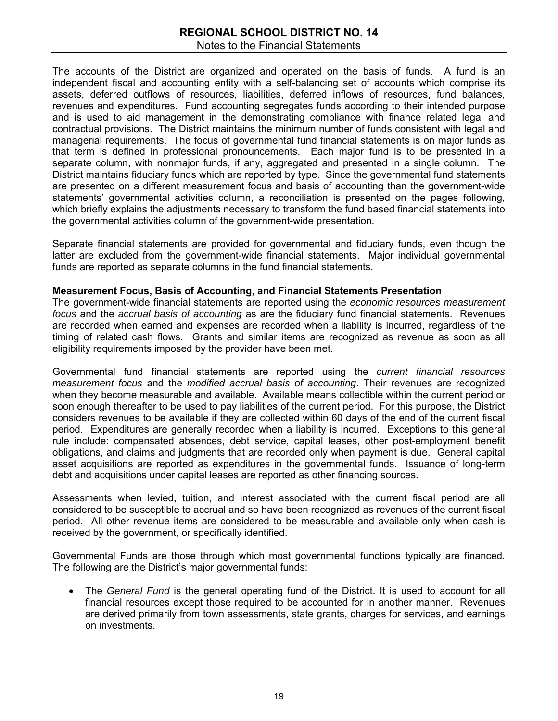### **REGIONAL SCHOOL DISTRICT NO. 14**  Notes to the Financial Statements

The accounts of the District are organized and operated on the basis of funds. A fund is an independent fiscal and accounting entity with a self-balancing set of accounts which comprise its assets, deferred outflows of resources, liabilities, deferred inflows of resources, fund balances, revenues and expenditures. Fund accounting segregates funds according to their intended purpose and is used to aid management in the demonstrating compliance with finance related legal and contractual provisions. The District maintains the minimum number of funds consistent with legal and managerial requirements. The focus of governmental fund financial statements is on major funds as that term is defined in professional pronouncements. Each major fund is to be presented in a separate column, with nonmajor funds, if any, aggregated and presented in a single column. The District maintains fiduciary funds which are reported by type. Since the governmental fund statements are presented on a different measurement focus and basis of accounting than the government-wide statements' governmental activities column, a reconciliation is presented on the pages following, which briefly explains the adjustments necessary to transform the fund based financial statements into the governmental activities column of the government-wide presentation.

Separate financial statements are provided for governmental and fiduciary funds, even though the latter are excluded from the government-wide financial statements. Major individual governmental funds are reported as separate columns in the fund financial statements.

#### **Measurement Focus, Basis of Accounting, and Financial Statements Presentation**

The government-wide financial statements are reported using the *economic resources measurement focus* and the *accrual basis of accounting* as are the fiduciary fund financial statements. Revenues are recorded when earned and expenses are recorded when a liability is incurred, regardless of the timing of related cash flows. Grants and similar items are recognized as revenue as soon as all eligibility requirements imposed by the provider have been met.

Governmental fund financial statements are reported using the *current financial resources measurement focus* and the *modified accrual basis of accounting*. Their revenues are recognized when they become measurable and available. Available means collectible within the current period or soon enough thereafter to be used to pay liabilities of the current period. For this purpose, the District considers revenues to be available if they are collected within 60 days of the end of the current fiscal period. Expenditures are generally recorded when a liability is incurred. Exceptions to this general rule include: compensated absences, debt service, capital leases, other post-employment benefit obligations, and claims and judgments that are recorded only when payment is due. General capital asset acquisitions are reported as expenditures in the governmental funds. Issuance of long-term debt and acquisitions under capital leases are reported as other financing sources.

Assessments when levied, tuition, and interest associated with the current fiscal period are all considered to be susceptible to accrual and so have been recognized as revenues of the current fiscal period. All other revenue items are considered to be measurable and available only when cash is received by the government, or specifically identified.

Governmental Funds are those through which most governmental functions typically are financed. The following are the District's major governmental funds:

• The *General Fund* is the general operating fund of the District. It is used to account for all financial resources except those required to be accounted for in another manner. Revenues are derived primarily from town assessments, state grants, charges for services, and earnings on investments.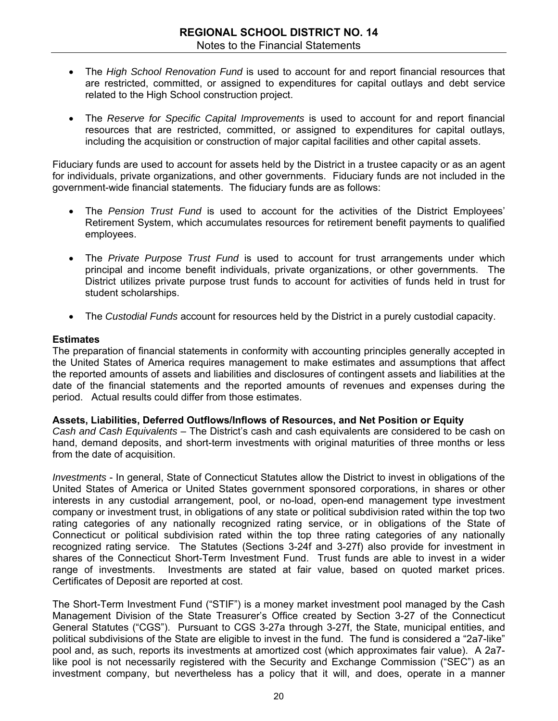- The *High School Renovation Fund* is used to account for and report financial resources that are restricted, committed, or assigned to expenditures for capital outlays and debt service related to the High School construction project.
- The *Reserve for Specific Capital Improvements* is used to account for and report financial resources that are restricted, committed, or assigned to expenditures for capital outlays, including the acquisition or construction of major capital facilities and other capital assets.

Fiduciary funds are used to account for assets held by the District in a trustee capacity or as an agent for individuals, private organizations, and other governments. Fiduciary funds are not included in the government-wide financial statements. The fiduciary funds are as follows:

- The *Pension Trust Fund* is used to account for the activities of the District Employees' Retirement System, which accumulates resources for retirement benefit payments to qualified employees.
- The *Private Purpose Trust Fund* is used to account for trust arrangements under which principal and income benefit individuals, private organizations, or other governments. The District utilizes private purpose trust funds to account for activities of funds held in trust for student scholarships.
- The *Custodial Funds* account for resources held by the District in a purely custodial capacity.

#### **Estimates**

The preparation of financial statements in conformity with accounting principles generally accepted in the United States of America requires management to make estimates and assumptions that affect the reported amounts of assets and liabilities and disclosures of contingent assets and liabilities at the date of the financial statements and the reported amounts of revenues and expenses during the period. Actual results could differ from those estimates.

#### **Assets, Liabilities, Deferred Outflows/Inflows of Resources, and Net Position or Equity**

*Cash and Cash Equivalents* – The District's cash and cash equivalents are considered to be cash on hand, demand deposits, and short-term investments with original maturities of three months or less from the date of acquisition.

*Investments* - In general, State of Connecticut Statutes allow the District to invest in obligations of the United States of America or United States government sponsored corporations, in shares or other interests in any custodial arrangement, pool, or no-load, open-end management type investment company or investment trust, in obligations of any state or political subdivision rated within the top two rating categories of any nationally recognized rating service, or in obligations of the State of Connecticut or political subdivision rated within the top three rating categories of any nationally recognized rating service. The Statutes (Sections 3-24f and 3-27f) also provide for investment in shares of the Connecticut Short-Term Investment Fund. Trust funds are able to invest in a wider range of investments. Investments are stated at fair value, based on quoted market prices. Certificates of Deposit are reported at cost.

The Short-Term Investment Fund ("STIF") is a money market investment pool managed by the Cash Management Division of the State Treasurer's Office created by Section 3-27 of the Connecticut General Statutes ("CGS"). Pursuant to CGS 3-27a through 3-27f, the State, municipal entities, and political subdivisions of the State are eligible to invest in the fund. The fund is considered a "2a7-like" pool and, as such, reports its investments at amortized cost (which approximates fair value). A 2a7 like pool is not necessarily registered with the Security and Exchange Commission ("SEC") as an investment company, but nevertheless has a policy that it will, and does, operate in a manner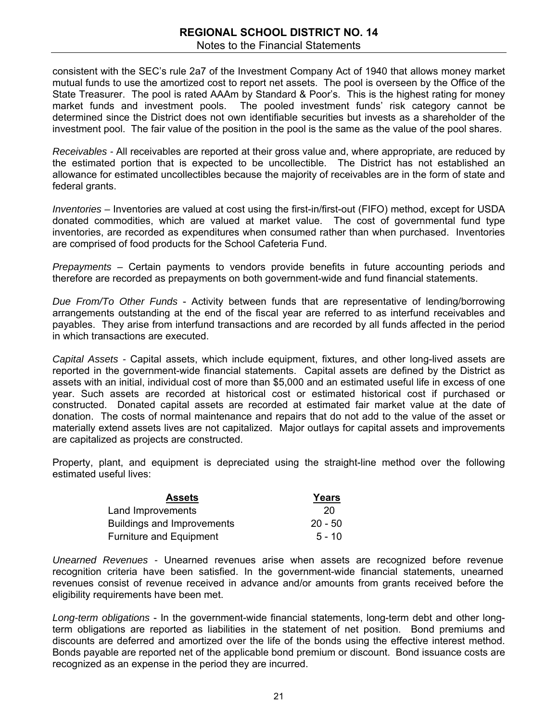consistent with the SEC's rule 2a7 of the Investment Company Act of 1940 that allows money market mutual funds to use the amortized cost to report net assets. The pool is overseen by the Office of the State Treasurer. The pool is rated AAAm by Standard & Poor's. This is the highest rating for money market funds and investment pools. The pooled investment funds' risk category cannot be determined since the District does not own identifiable securities but invests as a shareholder of the investment pool. The fair value of the position in the pool is the same as the value of the pool shares.

*Receivables -* All receivables are reported at their gross value and, where appropriate, are reduced by the estimated portion that is expected to be uncollectible. The District has not established an allowance for estimated uncollectibles because the majority of receivables are in the form of state and federal grants.

*Inventories –* Inventories are valued at cost using the first-in/first-out (FIFO) method, except for USDA donated commodities, which are valued at market value. The cost of governmental fund type inventories, are recorded as expenditures when consumed rather than when purchased. Inventories are comprised of food products for the School Cafeteria Fund.

*Prepayments –* Certain payments to vendors provide benefits in future accounting periods and therefore are recorded as prepayments on both government-wide and fund financial statements.

*Due From/To Other Funds* - Activity between funds that are representative of lending/borrowing arrangements outstanding at the end of the fiscal year are referred to as interfund receivables and payables. They arise from interfund transactions and are recorded by all funds affected in the period in which transactions are executed.

*Capital Assets -* Capital assets, which include equipment, fixtures, and other long-lived assets are reported in the government-wide financial statements. Capital assets are defined by the District as assets with an initial, individual cost of more than \$5,000 and an estimated useful life in excess of one year. Such assets are recorded at historical cost or estimated historical cost if purchased or constructed. Donated capital assets are recorded at estimated fair market value at the date of donation. The costs of normal maintenance and repairs that do not add to the value of the asset or materially extend assets lives are not capitalized. Major outlays for capital assets and improvements are capitalized as projects are constructed.

Property, plant, and equipment is depreciated using the straight-line method over the following estimated useful lives:

| <b>Assets</b>                     | Years     |
|-----------------------------------|-----------|
| Land Improvements                 | 20        |
| <b>Buildings and Improvements</b> | $20 - 50$ |
| <b>Furniture and Equipment</b>    | $5 - 10$  |

*Unearned Revenues -* Unearned revenues arise when assets are recognized before revenue recognition criteria have been satisfied. In the government-wide financial statements, unearned revenues consist of revenue received in advance and/or amounts from grants received before the eligibility requirements have been met.

*Long-term obligations* - In the government-wide financial statements, long-term debt and other longterm obligations are reported as liabilities in the statement of net position. Bond premiums and discounts are deferred and amortized over the life of the bonds using the effective interest method. Bonds payable are reported net of the applicable bond premium or discount. Bond issuance costs are recognized as an expense in the period they are incurred.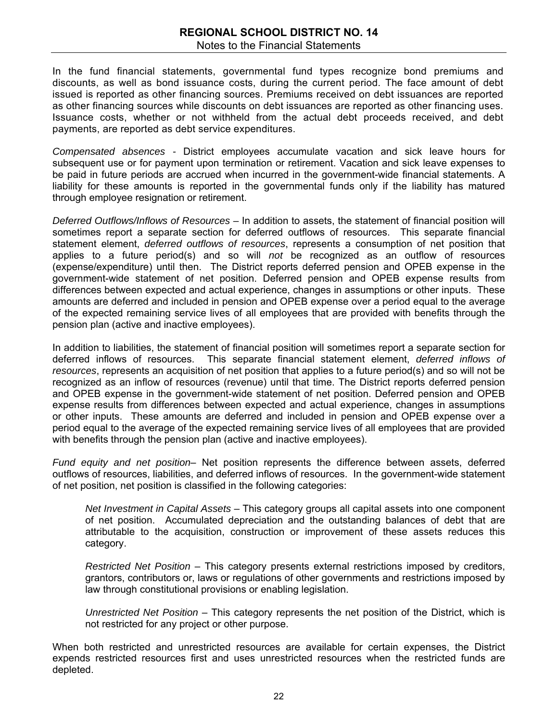In the fund financial statements, governmental fund types recognize bond premiums and discounts, as well as bond issuance costs, during the current period. The face amount of debt issued is reported as other financing sources. Premiums received on debt issuances are reported as other financing sources while discounts on debt issuances are reported as other financing uses. Issuance costs, whether or not withheld from the actual debt proceeds received, and debt payments, are reported as debt service expenditures.

*Compensated absences -* District employees accumulate vacation and sick leave hours for subsequent use or for payment upon termination or retirement. Vacation and sick leave expenses to be paid in future periods are accrued when incurred in the government-wide financial statements. A liability for these amounts is reported in the governmental funds only if the liability has matured through employee resignation or retirement.

*Deferred Outflows/Inflows of Resources –* In addition to assets, the statement of financial position will sometimes report a separate section for deferred outflows of resources. This separate financial statement element, *deferred outflows of resources*, represents a consumption of net position that applies to a future period(s) and so will *not* be recognized as an outflow of resources (expense/expenditure) until then. The District reports deferred pension and OPEB expense in the government-wide statement of net position. Deferred pension and OPEB expense results from differences between expected and actual experience, changes in assumptions or other inputs. These amounts are deferred and included in pension and OPEB expense over a period equal to the average of the expected remaining service lives of all employees that are provided with benefits through the pension plan (active and inactive employees).

In addition to liabilities, the statement of financial position will sometimes report a separate section for deferred inflows of resources. This separate financial statement element, *deferred inflows of resources*, represents an acquisition of net position that applies to a future period(s) and so will not be recognized as an inflow of resources (revenue) until that time. The District reports deferred pension and OPEB expense in the government-wide statement of net position. Deferred pension and OPEB expense results from differences between expected and actual experience, changes in assumptions or other inputs. These amounts are deferred and included in pension and OPEB expense over a period equal to the average of the expected remaining service lives of all employees that are provided with benefits through the pension plan (active and inactive employees).

*Fund equity and net position*– Net position represents the difference between assets, deferred outflows of resources, liabilities, and deferred inflows of resources. In the government-wide statement of net position, net position is classified in the following categories:

*Net Investment in Capital Assets* – This category groups all capital assets into one component of net position. Accumulated depreciation and the outstanding balances of debt that are attributable to the acquisition, construction or improvement of these assets reduces this category.

*Restricted Net Position* – This category presents external restrictions imposed by creditors, grantors, contributors or, laws or regulations of other governments and restrictions imposed by law through constitutional provisions or enabling legislation.

*Unrestricted Net Position* – This category represents the net position of the District, which is not restricted for any project or other purpose.

When both restricted and unrestricted resources are available for certain expenses, the District expends restricted resources first and uses unrestricted resources when the restricted funds are depleted.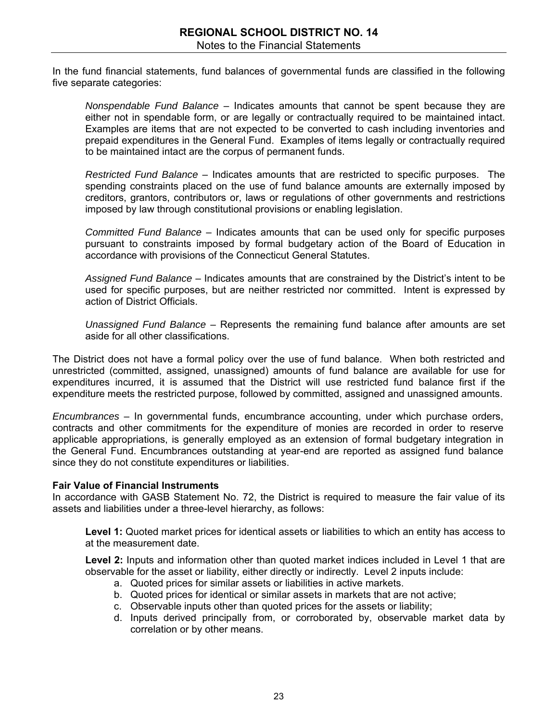In the fund financial statements, fund balances of governmental funds are classified in the following five separate categories:

*Nonspendable Fund Balance* – Indicates amounts that cannot be spent because they are either not in spendable form, or are legally or contractually required to be maintained intact. Examples are items that are not expected to be converted to cash including inventories and prepaid expenditures in the General Fund. Examples of items legally or contractually required to be maintained intact are the corpus of permanent funds.

*Restricted Fund Balance* – Indicates amounts that are restricted to specific purposes. The spending constraints placed on the use of fund balance amounts are externally imposed by creditors, grantors, contributors or, laws or regulations of other governments and restrictions imposed by law through constitutional provisions or enabling legislation.

*Committed Fund Balance* – Indicates amounts that can be used only for specific purposes pursuant to constraints imposed by formal budgetary action of the Board of Education in accordance with provisions of the Connecticut General Statutes.

*Assigned Fund Balance* – Indicates amounts that are constrained by the District's intent to be used for specific purposes, but are neither restricted nor committed. Intent is expressed by action of District Officials.

*Unassigned Fund Balance* – Represents the remaining fund balance after amounts are set aside for all other classifications.

The District does not have a formal policy over the use of fund balance. When both restricted and unrestricted (committed, assigned, unassigned) amounts of fund balance are available for use for expenditures incurred, it is assumed that the District will use restricted fund balance first if the expenditure meets the restricted purpose, followed by committed, assigned and unassigned amounts.

*Encumbrances* – In governmental funds, encumbrance accounting, under which purchase orders, contracts and other commitments for the expenditure of monies are recorded in order to reserve applicable appropriations, is generally employed as an extension of formal budgetary integration in the General Fund. Encumbrances outstanding at year-end are reported as assigned fund balance since they do not constitute expenditures or liabilities.

#### **Fair Value of Financial Instruments**

In accordance with GASB Statement No. 72, the District is required to measure the fair value of its assets and liabilities under a three-level hierarchy, as follows:

**Level 1:** Quoted market prices for identical assets or liabilities to which an entity has access to at the measurement date.

**Level 2:** Inputs and information other than quoted market indices included in Level 1 that are observable for the asset or liability, either directly or indirectly. Level 2 inputs include:

- a. Quoted prices for similar assets or liabilities in active markets.
- b. Quoted prices for identical or similar assets in markets that are not active;
- c. Observable inputs other than quoted prices for the assets or liability;
- d. Inputs derived principally from, or corroborated by, observable market data by correlation or by other means.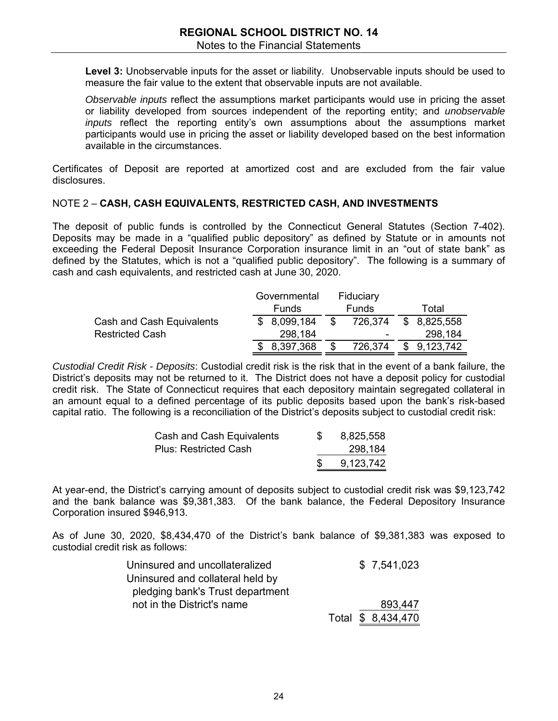**Level 3:** Unobservable inputs for the asset or liability. Unobservable inputs should be used to measure the fair value to the extent that observable inputs are not available.

*Observable inputs* reflect the assumptions market participants would use in pricing the asset or liability developed from sources independent of the reporting entity; and *unobservable inputs* reflect the reporting entity's own assumptions about the assumptions market participants would use in pricing the asset or liability developed based on the best information available in the circumstances.

Certificates of Deposit are reported at amortized cost and are excluded from the fair value disclosures.

## NOTE 2 – **CASH, CASH EQUIVALENTS, RESTRICTED CASH, AND INVESTMENTS**

The deposit of public funds is controlled by the Connecticut General Statutes (Section 7-402). Deposits may be made in a "qualified public depository" as defined by Statute or in amounts not exceeding the Federal Deposit Insurance Corporation insurance limit in an "out of state bank" as defined by the Statutes, which is not a "qualified public depository". The following is a summary of cash and cash equivalents, and restricted cash at June 30, 2020.

|                           | Governmental |     | Fiduciary      |     |             |
|---------------------------|--------------|-----|----------------|-----|-------------|
|                           | <b>Funds</b> |     | Funds          |     | Total       |
| Cash and Cash Equivalents | \$8,099,184  | -SS | 726,374        |     | \$8,825,558 |
| <b>Restricted Cash</b>    | 298,184      |     | $\blacksquare$ |     | 298,184     |
|                           | \$8,397,368  | \$  | 726,374        | \$. | 9.123.742   |

*Custodial Credit Risk - Deposits*: Custodial credit risk is the risk that in the event of a bank failure, the District's deposits may not be returned to it. The District does not have a deposit policy for custodial credit risk. The State of Connecticut requires that each depository maintain segregated collateral in an amount equal to a defined percentage of its public deposits based upon the bank's risk-based capital ratio. The following is a reconciliation of the District's deposits subject to custodial credit risk:

| Cash and Cash Equivalents    | 8,825,558 |
|------------------------------|-----------|
| <b>Plus: Restricted Cash</b> | 298,184   |
|                              | 9,123,742 |

At year-end, the District's carrying amount of deposits subject to custodial credit risk was \$9,123,742 and the bank balance was \$9,381,383. Of the bank balance, the Federal Depository Insurance Corporation insured \$946,913.

As of June 30, 2020, \$8,434,470 of the District's bank balance of \$9,381,383 was exposed to custodial credit risk as follows:

| Uninsured and uncollateralized   | \$7,541,023        |
|----------------------------------|--------------------|
| Uninsured and collateral held by |                    |
| pledging bank's Trust department |                    |
| not in the District's name       | 893.447            |
|                                  | Total \$ 8,434,470 |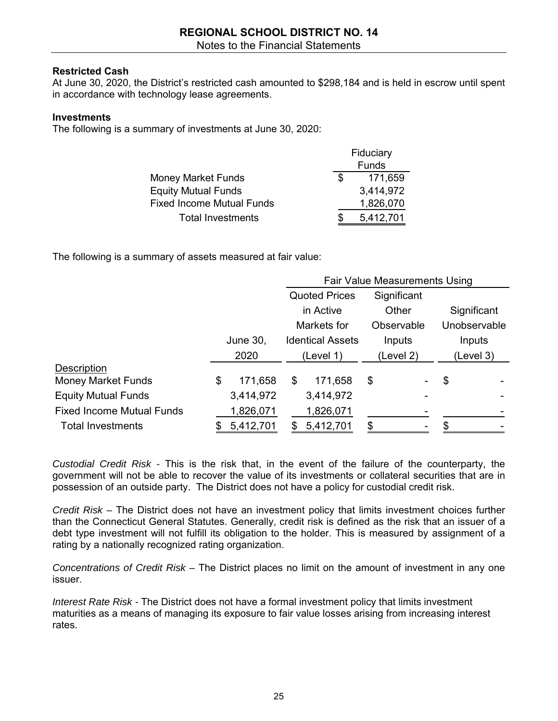## **Restricted Cash**

At June 30, 2020, the District's restricted cash amounted to \$298,184 and is held in escrow until spent in accordance with technology lease agreements.

#### **Investments**

The following is a summary of investments at June 30, 2020:

|                                  |     | Fiduciary    |
|----------------------------------|-----|--------------|
|                                  |     | <b>Funds</b> |
| <b>Money Market Funds</b>        | \$. | 171,659      |
| <b>Equity Mutual Funds</b>       |     | 3,414,972    |
| <b>Fixed Income Mutual Funds</b> |     | 1,826,070    |
| <b>Total Investments</b>         |     | 5,412,701    |

The following is a summary of assets measured at fair value:

|                                  |               | <b>Fair Value Measurements Using</b> |                         |    |             |    |              |
|----------------------------------|---------------|--------------------------------------|-------------------------|----|-------------|----|--------------|
|                                  |               |                                      | <b>Quoted Prices</b>    |    | Significant |    |              |
|                                  |               |                                      | in Active               |    | Other       |    | Significant  |
|                                  |               |                                      | Markets for             |    | Observable  |    | Unobservable |
|                                  | June 30,      |                                      | <b>Identical Assets</b> |    | Inputs      |    | Inputs       |
|                                  | 2020          |                                      | (Level 1)               |    | (Level 2)   |    | (Level 3)    |
| <b>Description</b>               |               |                                      |                         |    |             |    |              |
| <b>Money Market Funds</b>        | \$<br>171,658 | S                                    | 171,658                 | \$ |             | \$ |              |
| <b>Equity Mutual Funds</b>       | 3,414,972     |                                      | 3,414,972               |    |             |    |              |
| <b>Fixed Income Mutual Funds</b> | 1,826,071     |                                      | 1,826,071               |    |             |    |              |
| <b>Total Investments</b>         | 5,412,701     |                                      | 5,412,701               | \$ |             |    |              |

*Custodial Credit Risk -* This is the risk that, in the event of the failure of the counterparty, the government will not be able to recover the value of its investments or collateral securities that are in possession of an outside party. The District does not have a policy for custodial credit risk.

*Credit Risk –* The District does not have an investment policy that limits investment choices further than the Connecticut General Statutes. Generally, credit risk is defined as the risk that an issuer of a debt type investment will not fulfill its obligation to the holder. This is measured by assignment of a rating by a nationally recognized rating organization.

*Concentrations of Credit Risk –* The District places no limit on the amount of investment in any one issuer.

*Interest Rate Risk -* The District does not have a formal investment policy that limits investment maturities as a means of managing its exposure to fair value losses arising from increasing interest rates.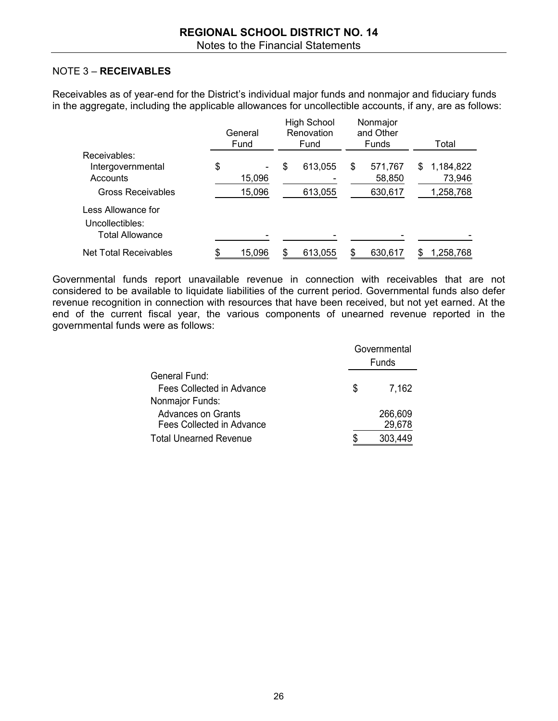### NOTE 3 – **RECEIVABLES**

Receivables as of year-end for the District's individual major funds and nonmajor and fiduciary funds in the aggregate, including the applicable allowances for uncollectible accounts, if any, are as follows:

|                                                                           | General<br>Fund             | <b>High School</b><br>Renovation<br>Fund | Nonmajor<br>and Other<br>Funds     |   | Total                            |
|---------------------------------------------------------------------------|-----------------------------|------------------------------------------|------------------------------------|---|----------------------------------|
| Receivables:<br>Intergovernmental<br>Accounts<br><b>Gross Receivables</b> | \$<br>-<br>15,096<br>15,096 | \$<br>613,055<br>613,055                 | \$<br>571,767<br>58,850<br>630,617 | S | 1,184,822<br>73,946<br>1,258,768 |
| Less Allowance for<br>Uncollectibles:<br><b>Total Allowance</b>           |                             |                                          |                                    |   |                                  |
| <b>Net Total Receivables</b>                                              | \$<br>15,096                | \$<br>613,055                            | 630,617                            |   | 1,258,768                        |

Governmental funds report unavailable revenue in connection with receivables that are not considered to be available to liquidate liabilities of the current period. Governmental funds also defer revenue recognition in connection with resources that have been received, but not yet earned. At the end of the current fiscal year, the various components of unearned revenue reported in the governmental funds were as follows:

|                                                        |   | Governmental<br><b>Funds</b> |
|--------------------------------------------------------|---|------------------------------|
| General Fund:                                          |   |                              |
| Fees Collected in Advance                              | S | 7,162                        |
| Nonmajor Funds:                                        |   |                              |
| <b>Advances on Grants</b><br>Fees Collected in Advance |   | 266,609<br>29,678            |
| <b>Total Unearned Revenue</b>                          |   | 303,449                      |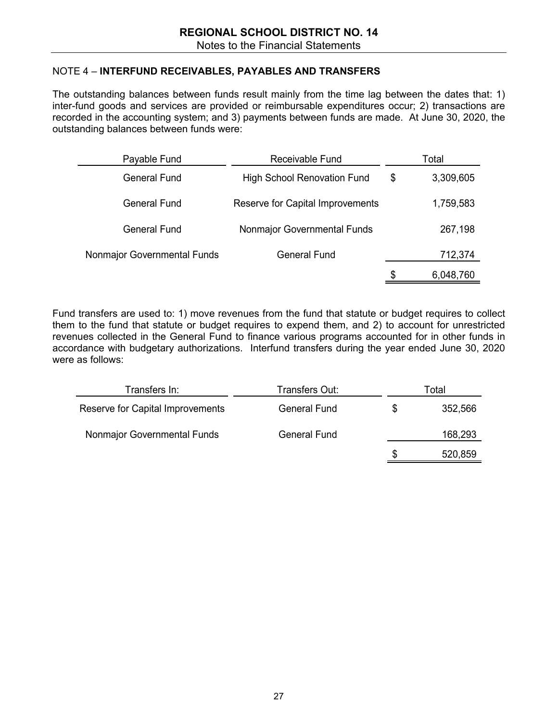## NOTE 4 – **INTERFUND RECEIVABLES, PAYABLES AND TRANSFERS**

The outstanding balances between funds result mainly from the time lag between the dates that: 1) inter-fund goods and services are provided or reimbursable expenditures occur; 2) transactions are recorded in the accounting system; and 3) payments between funds are made. At June 30, 2020, the outstanding balances between funds were:

| Payable Fund                | Receivable Fund                    | Total           |
|-----------------------------|------------------------------------|-----------------|
| <b>General Fund</b>         | <b>High School Renovation Fund</b> | \$<br>3,309,605 |
| <b>General Fund</b>         | Reserve for Capital Improvements   | 1,759,583       |
| <b>General Fund</b>         | Nonmajor Governmental Funds        | 267,198         |
| Nonmajor Governmental Funds | <b>General Fund</b>                | 712,374         |
|                             |                                    | \$<br>6,048,760 |

Fund transfers are used to: 1) move revenues from the fund that statute or budget requires to collect them to the fund that statute or budget requires to expend them, and 2) to account for unrestricted revenues collected in the General Fund to finance various programs accounted for in other funds in accordance with budgetary authorizations. Interfund transfers during the year ended June 30, 2020 were as follows:

| Transfers In:                    | Transfers Out:      | Total   |
|----------------------------------|---------------------|---------|
| Reserve for Capital Improvements | <b>General Fund</b> | 352,566 |
| Nonmajor Governmental Funds      | <b>General Fund</b> | 168,293 |
|                                  |                     | 520,859 |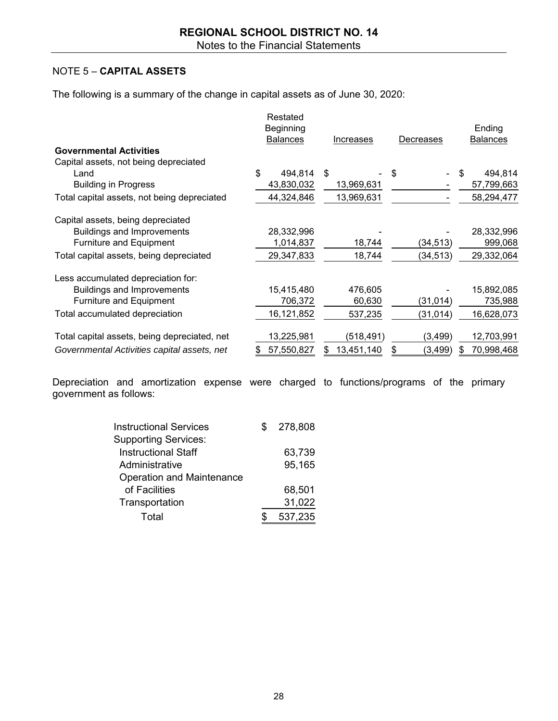Notes to the Financial Statements

## NOTE 5 – **CAPITAL ASSETS**

The following is a summary of the change in capital assets as of June 30, 2020:

|                                              | Restated        |            |           |                 |
|----------------------------------------------|-----------------|------------|-----------|-----------------|
|                                              | Beginning       |            |           | Ending          |
|                                              | <b>Balances</b> | Increases  | Decreases | <b>Balances</b> |
| <b>Governmental Activities</b>               |                 |            |           |                 |
| Capital assets, not being depreciated        |                 |            |           |                 |
| Land                                         | \$<br>494,814   | -\$        | -\$       | 494,814<br>\$   |
| <b>Building in Progress</b>                  | 43,830,032      | 13,969,631 |           | 57,799,663      |
| Total capital assets, not being depreciated  | 44,324,846      | 13,969,631 |           | 58,294,477      |
| Capital assets, being depreciated            |                 |            |           |                 |
| <b>Buildings and Improvements</b>            | 28,332,996      |            |           | 28,332,996      |
| <b>Furniture and Equipment</b>               | 1,014,837       | 18,744     | (34,513)  | 999,068         |
| Total capital assets, being depreciated      | 29,347,833      | 18,744     | (34, 513) | 29,332,064      |
| Less accumulated depreciation for:           |                 |            |           |                 |
| <b>Buildings and Improvements</b>            | 15,415,480      | 476,605    |           | 15,892,085      |
| <b>Furniture and Equipment</b>               | 706,372         | 60,630     | (31, 014) | 735,988         |
| Total accumulated depreciation               | 16,121,852      | 537,235    | (31,014)  | 16,628,073      |
| Total capital assets, being depreciated, net | 13,225,981      | (518,491)  | (3, 499)  | 12,703,991      |
| Governmental Activities capital assets, net  | 57,550,827      | 13,451,140 | (3, 499)  | 70,998,468      |

Depreciation and amortization expense were charged to functions/programs of the primary government as follows:

| Instructional Services           | 278,808 |
|----------------------------------|---------|
| <b>Supporting Services:</b>      |         |
| <b>Instructional Staff</b>       | 63,739  |
| Administrative                   | 95,165  |
| <b>Operation and Maintenance</b> |         |
| of Facilities                    | 68,501  |
| Transportation                   | 31,022  |
| Total                            | 537,235 |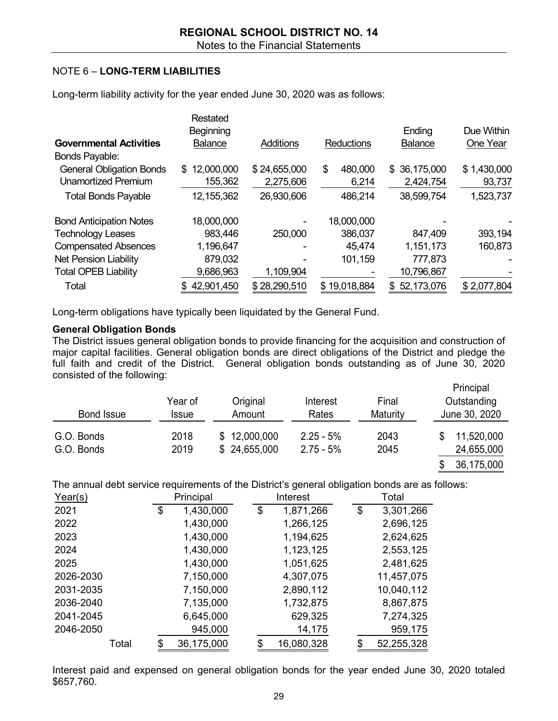Notes to the Financial Statements

## NOTE 6 – **LONG-TERM LIABILITIES**

Long-term liability activity for the year ended June 30, 2020 was as follows:

|                                 | Restated          |                  |                   |                   |             |
|---------------------------------|-------------------|------------------|-------------------|-------------------|-------------|
|                                 | Beginning         |                  |                   | Ending            | Due Within  |
| <b>Governmental Activities</b>  | Balance           | <b>Additions</b> | <b>Reductions</b> | <b>Balance</b>    | One Year    |
| <b>Bonds Payable:</b>           |                   |                  |                   |                   |             |
| <b>General Obligation Bonds</b> | 12,000,000<br>\$. | \$24,655,000     | \$<br>480,000     | \$36,175,000      | \$1,430,000 |
| <b>Unamortized Premium</b>      | 155,362           | 2,275,606        | 6,214             | 2,424,754         | 93,737      |
| <b>Total Bonds Payable</b>      | 12, 155, 362      | 26,930,606       | 486,214           | 38,599,754        | 1,523,737   |
| <b>Bond Anticipation Notes</b>  | 18,000,000        |                  | 18,000,000        |                   |             |
| <b>Technology Leases</b>        | 983,446           | 250,000          | 386,037           | 847,409           | 393,194     |
| <b>Compensated Absences</b>     | 1,196,647         |                  | 45,474            | 1,151,173         | 160,873     |
| Net Pension Liability           | 879,032           |                  | 101,159           | 777,873           |             |
| <b>Total OPEB Liability</b>     | 9,686,963         | 1,109,904        |                   | 10,796,867        |             |
| Total                           | 42,901,450        | \$28,290,510     | \$19,018,884      | 52,173,076<br>\$. | \$2,077,804 |

Long-term obligations have typically been liquidated by the General Fund.

### **General Obligation Bonds**

The District issues general obligation bonds to provide financing for the acquisition and construction of major capital facilities. General obligation bonds are direct obligations of the District and pledge the full faith and credit of the District. General obligation bonds outstanding as of June 30, 2020 consisted of the following: **Dringinal** 

| Bond Issue               | Year of<br>Issue | Original<br>Amount           | Interest<br>Rates          | Final<br>Maturity | Principal<br>Outstanding<br>June 30, 2020 |
|--------------------------|------------------|------------------------------|----------------------------|-------------------|-------------------------------------------|
| G.O. Bonds<br>G.O. Bonds | 2018<br>2019     | \$12,000,000<br>\$24,655,000 | $2.25 - 5%$<br>$2.75 - 5%$ | 2043<br>2045      | 11,520,000<br>24,655,000                  |
|                          |                  |                              |                            |                   | 36,175,000                                |

The annual debt service requirements of the District's general obligation bonds are as follows:

| Year(s)   |       | Principal       |    | Interest   |    | Total      |
|-----------|-------|-----------------|----|------------|----|------------|
| 2021      |       | \$<br>1,430,000 | \$ | 1,871,266  | \$ | 3,301,266  |
| 2022      |       | 1,430,000       |    | 1,266,125  |    | 2,696,125  |
| 2023      |       | 1,430,000       |    | 1,194,625  |    | 2,624,625  |
| 2024      |       | 1,430,000       |    | 1,123,125  |    | 2,553,125  |
| 2025      |       | 1,430,000       |    | 1,051,625  |    | 2,481,625  |
| 2026-2030 |       | 7,150,000       |    | 4,307,075  |    | 11,457,075 |
| 2031-2035 |       | 7,150,000       |    | 2,890,112  |    | 10,040,112 |
| 2036-2040 |       | 7,135,000       |    | 1,732,875  |    | 8,867,875  |
| 2041-2045 |       | 6,645,000       |    | 629,325    |    | 7,274,325  |
| 2046-2050 |       | 945,000         |    | 14,175     |    | 959,175    |
|           | Total | 36,175,000      | \$ | 16,080,328 | \$ | 52,255,328 |

Interest paid and expensed on general obligation bonds for the year ended June 30, 2020 totaled \$657,760.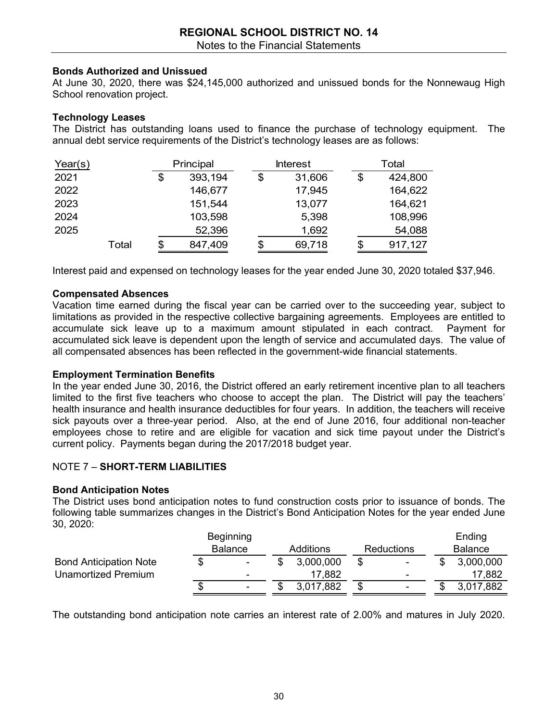### **Bonds Authorized and Unissued**

At June 30, 2020, there was \$24,145,000 authorized and unissued bonds for the Nonnewaug High School renovation project.

#### **Technology Leases**

The District has outstanding loans used to finance the purchase of technology equipment. The annual debt service requirements of the District's technology leases are as follows:

| Year(s) |       |    | Principal |    | <b>Interest</b> |    | Total   |
|---------|-------|----|-----------|----|-----------------|----|---------|
| 2021    |       | \$ | 393,194   | \$ | 31,606          | \$ | 424,800 |
| 2022    |       |    | 146,677   |    | 17,945          |    | 164,622 |
| 2023    |       |    | 151,544   |    | 13,077          |    | 164,621 |
| 2024    |       |    | 103,598   |    | 5,398           |    | 108,996 |
| 2025    |       |    | 52,396    |    | 1,692           |    | 54,088  |
|         | Total | S  | 847,409   | S  | 69,718          | S  | 917,127 |

Interest paid and expensed on technology leases for the year ended June 30, 2020 totaled \$37,946.

#### **Compensated Absences**

Vacation time earned during the fiscal year can be carried over to the succeeding year, subject to limitations as provided in the respective collective bargaining agreements. Employees are entitled to accumulate sick leave up to a maximum amount stipulated in each contract. Payment for accumulated sick leave is dependent upon the length of service and accumulated days. The value of all compensated absences has been reflected in the government-wide financial statements.

### **Employment Termination Benefits**

In the year ended June 30, 2016, the District offered an early retirement incentive plan to all teachers limited to the first five teachers who choose to accept the plan. The District will pay the teachers' health insurance and health insurance deductibles for four years. In addition, the teachers will receive sick payouts over a three-year period. Also, at the end of June 2016, four additional non-teacher employees chose to retire and are eligible for vacation and sick time payout under the District's current policy. Payments began during the 2017/2018 budget year.

### NOTE 7 – **SHORT-TERM LIABILITIES**

#### **Bond Anticipation Notes**

The District uses bond anticipation notes to fund construction costs prior to issuance of bonds. The following table summarizes changes in the District's Bond Anticipation Notes for the year ended June 30, 2020:

|                               |    | Beginning      |  |           |  |                   |  | Ending         |
|-------------------------------|----|----------------|--|-----------|--|-------------------|--|----------------|
|                               |    | <b>Balance</b> |  | Additions |  | <b>Reductions</b> |  | <b>Balance</b> |
| <b>Bond Anticipation Note</b> | \$ | ۰              |  | 3,000,000 |  | $\blacksquare$    |  | 3,000,000      |
| Unamortized Premium           |    |                |  | 17,882    |  |                   |  | 17,882         |
|                               | S  | ۰.             |  | 3,017,882 |  | ۰.                |  | 3,017,882      |

The outstanding bond anticipation note carries an interest rate of 2.00% and matures in July 2020.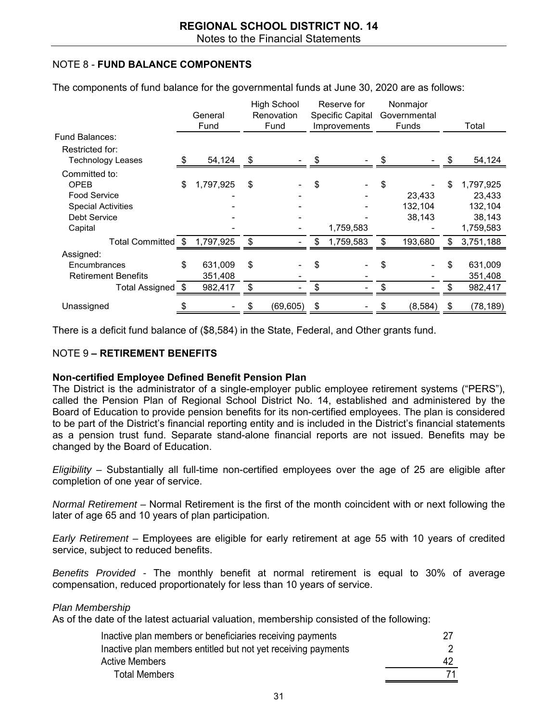## NOTE 8 - **FUND BALANCE COMPONENTS**

|                                             | General<br>Fund | <b>High School</b><br>Renovation<br>Fund | Reserve for<br>Specific Capital<br>Improvements | Nonmajor<br>Governmental<br><b>Funds</b> | Total           |
|---------------------------------------------|-----------------|------------------------------------------|-------------------------------------------------|------------------------------------------|-----------------|
| Fund Balances:                              |                 |                                          |                                                 |                                          |                 |
| Restricted for:<br><b>Technology Leases</b> | 54,124          | \$                                       |                                                 |                                          | 54,124          |
| Committed to:                               |                 |                                          |                                                 |                                          |                 |
| <b>OPEB</b>                                 | \$<br>1,797,925 | \$                                       | \$                                              | \$                                       | \$<br>1,797,925 |
| Food Service                                |                 |                                          |                                                 | 23,433                                   | 23,433          |
| <b>Special Activities</b>                   |                 |                                          |                                                 | 132,104                                  | 132,104         |
| Debt Service                                |                 |                                          |                                                 | 38,143                                   | 38,143          |
| Capital                                     |                 |                                          | 1,759,583                                       |                                          | 1,759,583       |
| Total Committed \$                          | 1,797,925       | \$                                       | 1,759,583                                       | \$<br>193,680                            | \$<br>3,751,188 |
| Assigned:                                   |                 |                                          |                                                 |                                          |                 |
| Encumbrances                                | \$<br>631,009   | \$                                       | \$                                              | \$                                       | \$<br>631,009   |
| <b>Retirement Benefits</b>                  | 351,408         |                                          |                                                 |                                          | 351,408         |
| Total Assigned                              | \$<br>982,417   | \$                                       |                                                 | \$                                       | 982,417         |
| Unassigned                                  |                 | (69,605)                                 | \$                                              | (8, 584)                                 | \$<br>(78, 189) |

The components of fund balance for the governmental funds at June 30, 2020 are as follows:

There is a deficit fund balance of (\$8,584) in the State, Federal, and Other grants fund.

#### NOTE 9 **– RETIREMENT BENEFITS**

#### **Non-certified Employee Defined Benefit Pension Plan**

The District is the administrator of a single-employer public employee retirement systems ("PERS"), called the Pension Plan of Regional School District No. 14, established and administered by the Board of Education to provide pension benefits for its non-certified employees. The plan is considered to be part of the District's financial reporting entity and is included in the District's financial statements as a pension trust fund. Separate stand-alone financial reports are not issued. Benefits may be changed by the Board of Education.

*Eligibility –* Substantially all full-time non-certified employees over the age of 25 are eligible after completion of one year of service.

*Normal Retirement –* Normal Retirement is the first of the month coincident with or next following the later of age 65 and 10 years of plan participation.

*Early Retirement –* Employees are eligible for early retirement at age 55 with 10 years of credited service, subject to reduced benefits.

*Benefits Provided -* The monthly benefit at normal retirement is equal to 30% of average compensation, reduced proportionately for less than 10 years of service.

#### *Plan Membership*

As of the date of the latest actuarial valuation, membership consisted of the following:

| Inactive plan members or beneficiaries receiving payments     |    |
|---------------------------------------------------------------|----|
| Inactive plan members entitled but not yet receiving payments |    |
| Active Members                                                | 42 |
| <b>Total Members</b>                                          |    |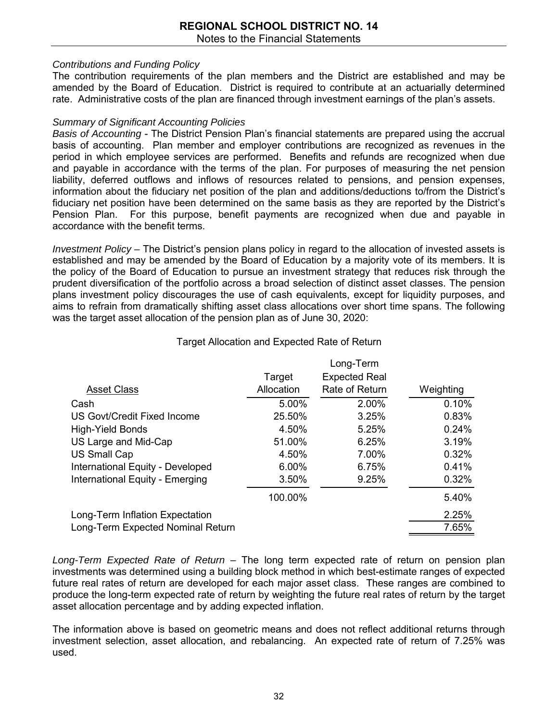### *Contributions and Funding Policy*

The contribution requirements of the plan members and the District are established and may be amended by the Board of Education. District is required to contribute at an actuarially determined rate. Administrative costs of the plan are financed through investment earnings of the plan's assets.

#### *Summary of Significant Accounting Policies*

*Basis of Accounting* - The District Pension Plan's financial statements are prepared using the accrual basis of accounting. Plan member and employer contributions are recognized as revenues in the period in which employee services are performed. Benefits and refunds are recognized when due and payable in accordance with the terms of the plan. For purposes of measuring the net pension liability, deferred outflows and inflows of resources related to pensions, and pension expenses, information about the fiduciary net position of the plan and additions/deductions to/from the District's fiduciary net position have been determined on the same basis as they are reported by the District's Pension Plan. For this purpose, benefit payments are recognized when due and payable in accordance with the benefit terms.

*Investment Policy –* The District's pension plans policy in regard to the allocation of invested assets is established and may be amended by the Board of Education by a majority vote of its members. It is the policy of the Board of Education to pursue an investment strategy that reduces risk through the prudent diversification of the portfolio across a broad selection of distinct asset classes. The pension plans investment policy discourages the use of cash equivalents, except for liquidity purposes, and aims to refrain from dramatically shifting asset class allocations over short time spans. The following was the target asset allocation of the pension plan as of June 30, 2020:

|                                   |            | Long-Term            |           |
|-----------------------------------|------------|----------------------|-----------|
|                                   | Target     | <b>Expected Real</b> |           |
| <b>Asset Class</b>                | Allocation | Rate of Return       | Weighting |
| Cash                              | 5.00%      | 2.00%                | 0.10%     |
| US Govt/Credit Fixed Income       | 25.50%     | 3.25%                | 0.83%     |
| <b>High-Yield Bonds</b>           | 4.50%      | 5.25%                | 0.24%     |
| US Large and Mid-Cap              | 51.00%     | 6.25%                | 3.19%     |
| US Small Cap                      | 4.50%      | 7.00%                | 0.32%     |
| International Equity - Developed  | 6.00%      | 6.75%                | 0.41%     |
| International Equity - Emerging   | 3.50%      | 9.25%                | 0.32%     |
|                                   | 100.00%    |                      | 5.40%     |
| Long-Term Inflation Expectation   |            |                      | 2.25%     |
| Long-Term Expected Nominal Return |            |                      | 7.65%     |

#### Target Allocation and Expected Rate of Return

*Long-Term Expected Rate of Return* – The long term expected rate of return on pension plan investments was determined using a building block method in which best-estimate ranges of expected future real rates of return are developed for each major asset class. These ranges are combined to produce the long-term expected rate of return by weighting the future real rates of return by the target asset allocation percentage and by adding expected inflation.

The information above is based on geometric means and does not reflect additional returns through investment selection, asset allocation, and rebalancing. An expected rate of return of 7.25% was used.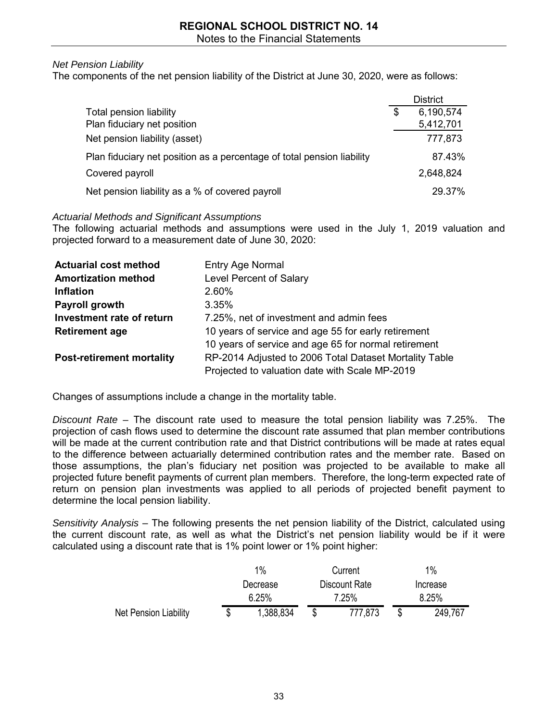### *Net Pension Liability*

The components of the net pension liability of the District at June 30, 2020, were as follows:

|                                                                        |   | <b>District</b> |
|------------------------------------------------------------------------|---|-----------------|
| Total pension liability                                                | S | 6,190,574       |
| Plan fiduciary net position                                            |   | 5,412,701       |
| Net pension liability (asset)                                          |   | 777,873         |
| Plan fiduciary net position as a percentage of total pension liability |   | 87.43%          |
| Covered payroll                                                        |   | 2,648,824       |
| Net pension liability as a % of covered payroll                        |   | 29.37%          |

### *Actuarial Methods and Significant Assumptions*

The following actuarial methods and assumptions were used in the July 1, 2019 valuation and projected forward to a measurement date of June 30, 2020:

| <b>Actuarial cost method</b>     | Entry Age Normal                                       |
|----------------------------------|--------------------------------------------------------|
| <b>Amortization method</b>       | <b>Level Percent of Salary</b>                         |
| Inflation                        | 2.60%                                                  |
| Payroll growth                   | 3.35%                                                  |
| Investment rate of return        | 7.25%, net of investment and admin fees                |
| <b>Retirement age</b>            | 10 years of service and age 55 for early retirement    |
|                                  | 10 years of service and age 65 for normal retirement   |
| <b>Post-retirement mortality</b> | RP-2014 Adjusted to 2006 Total Dataset Mortality Table |
|                                  | Projected to valuation date with Scale MP-2019         |

Changes of assumptions include a change in the mortality table.

*Discount Rate –* The discount rate used to measure the total pension liability was 7.25%. The projection of cash flows used to determine the discount rate assumed that plan member contributions will be made at the current contribution rate and that District contributions will be made at rates equal to the difference between actuarially determined contribution rates and the member rate. Based on those assumptions, the plan's fiduciary net position was projected to be available to make all projected future benefit payments of current plan members. Therefore, the long-term expected rate of return on pension plan investments was applied to all periods of projected benefit payment to determine the local pension liability.

*Sensitivity Analysis* – The following presents the net pension liability of the District, calculated using the current discount rate, as well as what the District's net pension liability would be if it were calculated using a discount rate that is 1% point lower or 1% point higher:

|                       | $1\%$ |           |  | Current       |  | $1\%$    |  |
|-----------------------|-------|-----------|--|---------------|--|----------|--|
|                       |       | Decrease  |  | Discount Rate |  | Increase |  |
|                       |       | 6.25%     |  | 7.25%         |  | 8.25%    |  |
| Net Pension Liability |       | 1,388,834 |  | 777.873       |  | 249,767  |  |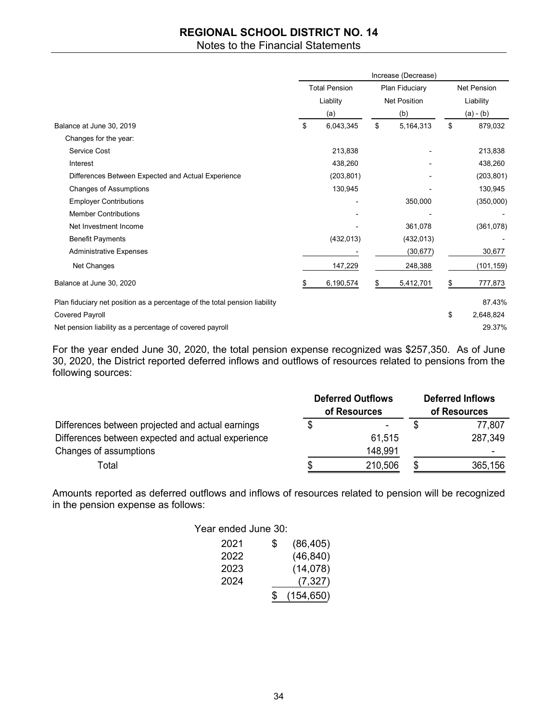## Notes to the Financial Statements

|                                                                            | Increase (Decrease)  |            |                     |                |    |                  |
|----------------------------------------------------------------------------|----------------------|------------|---------------------|----------------|----|------------------|
|                                                                            | <b>Total Pension</b> |            |                     | Plan Fiduciary |    | Net Pension      |
|                                                                            |                      | Liablity   | <b>Net Position</b> |                |    | Liability        |
|                                                                            |                      | (a)        |                     | (b)            |    | $(a) - (b)$      |
| Balance at June 30, 2019                                                   | \$                   | 6,043,345  | \$                  | 5,164,313      | \$ | 879,032          |
| Changes for the year:                                                      |                      |            |                     |                |    |                  |
| Service Cost                                                               |                      | 213,838    |                     |                |    | 213,838          |
| Interest                                                                   |                      | 438,260    |                     |                |    | 438,260          |
| Differences Between Expected and Actual Experience                         |                      | (203, 801) |                     |                |    | (203, 801)       |
| <b>Changes of Assumptions</b>                                              |                      | 130,945    |                     |                |    | 130,945          |
| <b>Employer Contributions</b>                                              |                      |            |                     | 350,000        |    | (350,000)        |
| <b>Member Contributions</b>                                                |                      |            |                     |                |    |                  |
| Net Investment Income                                                      |                      |            |                     | 361,078        |    | (361,078)        |
| <b>Benefit Payments</b>                                                    |                      | (432, 013) |                     | (432, 013)     |    |                  |
| <b>Administrative Expenses</b>                                             |                      |            |                     | (30, 677)      |    | 30,677           |
| Net Changes                                                                |                      | 147,229    |                     | 248,388        |    | <u>(101,159)</u> |
| Balance at June 30, 2020                                                   |                      | 6,190,574  | \$                  | 5,412,701      | \$ | 777,873          |
| Plan fiduciary net position as a percentage of the total pension liability |                      |            |                     |                |    | 87.43%           |
| <b>Covered Payroll</b>                                                     |                      |            |                     |                | \$ | 2,648,824        |
| Net pension liability as a percentage of covered payroll                   |                      |            |                     |                |    | 29.37%           |

For the year ended June 30, 2020, the total pension expense recognized was \$257,350. As of June 30, 2020, the District reported deferred inflows and outflows of resources related to pensions from the following sources:

|                                                    | <b>Deferred Outflows</b><br>of Resources |         | <b>Deferred Inflows</b><br>of Resources |         |
|----------------------------------------------------|------------------------------------------|---------|-----------------------------------------|---------|
| Differences between projected and actual earnings  | \$                                       |         |                                         | 77,807  |
| Differences between expected and actual experience |                                          | 61,515  |                                         | 287,349 |
| Changes of assumptions                             |                                          | 148,991 |                                         | $\sim$  |
| Total                                              | S                                        | 210,506 | S                                       | 365,156 |

Amounts reported as deferred outflows and inflows of resources related to pension will be recognized in the pension expense as follows:

| Year ended June 30: |   |            |
|---------------------|---|------------|
| 2021                | S | (86, 405)  |
| 2022                |   | (46, 840)  |
| 2023                |   | (14, 078)  |
| 2024                |   | (7, 327)   |
|                     |   | (154, 650) |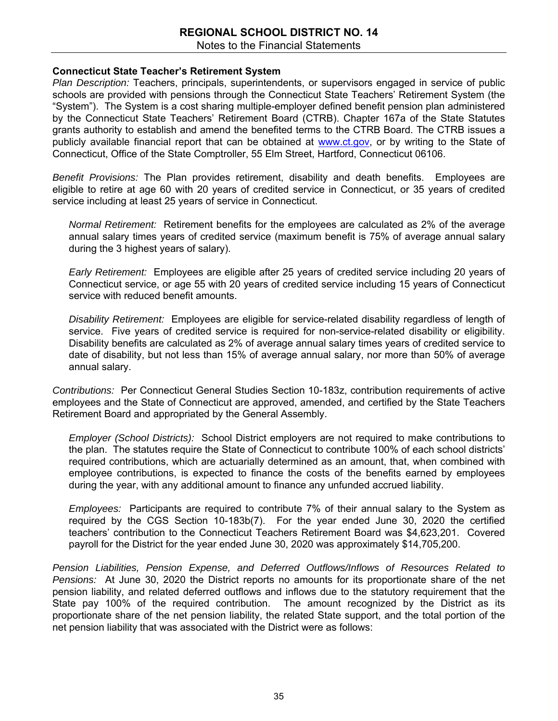#### **Connecticut State Teacher's Retirement System**

*Plan Description:* Teachers, principals, superintendents, or supervisors engaged in service of public schools are provided with pensions through the Connecticut State Teachers' Retirement System (the "System"). The System is a cost sharing multiple-employer defined benefit pension plan administered by the Connecticut State Teachers' Retirement Board (CTRB). Chapter 167a of the State Statutes grants authority to establish and amend the benefited terms to the CTRB Board. The CTRB issues a publicly available financial report that can be obtained at www.ct.gov, or by writing to the State of Connecticut, Office of the State Comptroller, 55 Elm Street, Hartford, Connecticut 06106.

*Benefit Provisions:* The Plan provides retirement, disability and death benefits. Employees are eligible to retire at age 60 with 20 years of credited service in Connecticut, or 35 years of credited service including at least 25 years of service in Connecticut.

*Normal Retirement:* Retirement benefits for the employees are calculated as 2% of the average annual salary times years of credited service (maximum benefit is 75% of average annual salary during the 3 highest years of salary).

*Early Retirement:* Employees are eligible after 25 years of credited service including 20 years of Connecticut service, or age 55 with 20 years of credited service including 15 years of Connecticut service with reduced benefit amounts.

*Disability Retirement:* Employees are eligible for service-related disability regardless of length of service. Five years of credited service is required for non-service-related disability or eligibility. Disability benefits are calculated as 2% of average annual salary times years of credited service to date of disability, but not less than 15% of average annual salary, nor more than 50% of average annual salary.

*Contributions:* Per Connecticut General Studies Section 10-183z, contribution requirements of active employees and the State of Connecticut are approved, amended, and certified by the State Teachers Retirement Board and appropriated by the General Assembly.

*Employer (School Districts):* School District employers are not required to make contributions to the plan. The statutes require the State of Connecticut to contribute 100% of each school districts' required contributions, which are actuarially determined as an amount, that, when combined with employee contributions, is expected to finance the costs of the benefits earned by employees during the year, with any additional amount to finance any unfunded accrued liability.

*Employees:* Participants are required to contribute 7% of their annual salary to the System as required by the CGS Section 10-183b(7). For the year ended June 30, 2020 the certified teachers' contribution to the Connecticut Teachers Retirement Board was \$4,623,201. Covered payroll for the District for the year ended June 30, 2020 was approximately \$14,705,200.

*Pension Liabilities, Pension Expense, and Deferred Outflows/Inflows of Resources Related to Pensions:* At June 30, 2020 the District reports no amounts for its proportionate share of the net pension liability, and related deferred outflows and inflows due to the statutory requirement that the State pay 100% of the required contribution. The amount recognized by the District as its proportionate share of the net pension liability, the related State support, and the total portion of the net pension liability that was associated with the District were as follows: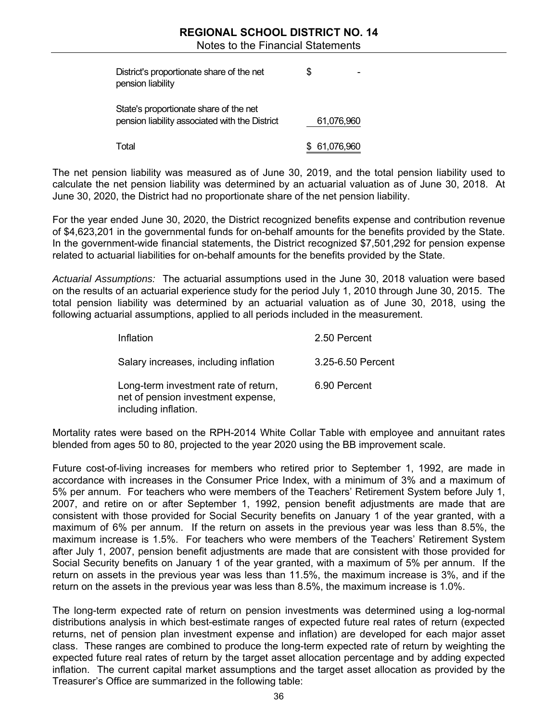| District's proportionate share of the net<br>pension liability                           | \$           |
|------------------------------------------------------------------------------------------|--------------|
| State's proportionate share of the net<br>pension liability associated with the District | 61,076,960   |
| Total                                                                                    | \$61,076,960 |

The net pension liability was measured as of June 30, 2019, and the total pension liability used to calculate the net pension liability was determined by an actuarial valuation as of June 30, 2018. At June 30, 2020, the District had no proportionate share of the net pension liability.

For the year ended June 30, 2020, the District recognized benefits expense and contribution revenue of \$4,623,201 in the governmental funds for on-behalf amounts for the benefits provided by the State. In the government-wide financial statements, the District recognized \$7,501,292 for pension expense related to actuarial liabilities for on-behalf amounts for the benefits provided by the State.

*Actuarial Assumptions:* The actuarial assumptions used in the June 30, 2018 valuation were based on the results of an actuarial experience study for the period July 1, 2010 through June 30, 2015. The total pension liability was determined by an actuarial valuation as of June 30, 2018, using the following actuarial assumptions, applied to all periods included in the measurement.

| Inflation                                                                                          | 2.50 Percent      |
|----------------------------------------------------------------------------------------------------|-------------------|
| Salary increases, including inflation                                                              | 3.25-6.50 Percent |
| Long-term investment rate of return,<br>net of pension investment expense,<br>including inflation. | 6.90 Percent      |

Mortality rates were based on the RPH-2014 White Collar Table with employee and annuitant rates blended from ages 50 to 80, projected to the year 2020 using the BB improvement scale.

Future cost-of-living increases for members who retired prior to September 1, 1992, are made in accordance with increases in the Consumer Price Index, with a minimum of 3% and a maximum of 5% per annum. For teachers who were members of the Teachers' Retirement System before July 1, 2007, and retire on or after September 1, 1992, pension benefit adjustments are made that are consistent with those provided for Social Security benefits on January 1 of the year granted, with a maximum of 6% per annum. If the return on assets in the previous year was less than 8.5%, the maximum increase is 1.5%. For teachers who were members of the Teachers' Retirement System after July 1, 2007, pension benefit adjustments are made that are consistent with those provided for Social Security benefits on January 1 of the year granted, with a maximum of 5% per annum. If the return on assets in the previous year was less than 11.5%, the maximum increase is 3%, and if the return on the assets in the previous year was less than 8.5%, the maximum increase is 1.0%.

The long-term expected rate of return on pension investments was determined using a log-normal distributions analysis in which best-estimate ranges of expected future real rates of return (expected returns, net of pension plan investment expense and inflation) are developed for each major asset class. These ranges are combined to produce the long-term expected rate of return by weighting the expected future real rates of return by the target asset allocation percentage and by adding expected inflation. The current capital market assumptions and the target asset allocation as provided by the Treasurer's Office are summarized in the following table: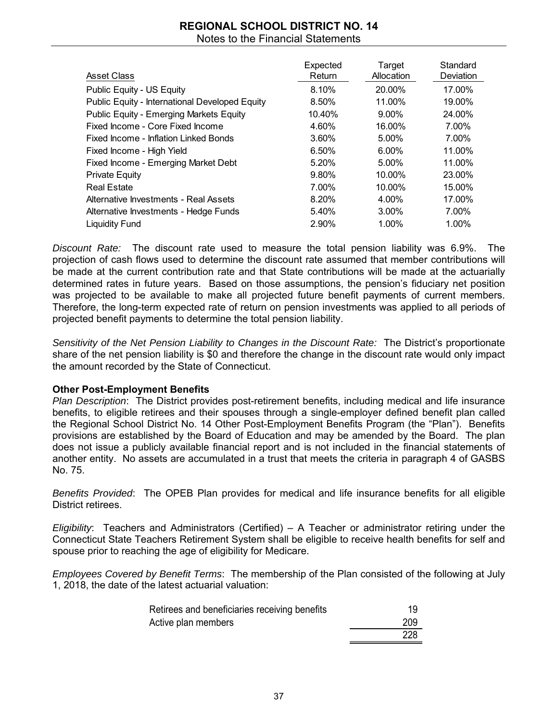Notes to the Financial Statements

| <b>Asset Class</b>                             | Expected<br>Return | Target<br>Allocation | Standard<br>Deviation |
|------------------------------------------------|--------------------|----------------------|-----------------------|
| Public Equity - US Equity                      | 8.10%              | 20.00%               | 17.00%                |
| Public Equity - International Developed Equity | 8.50%              | 11.00%               | 19.00%                |
| <b>Public Equity - Emerging Markets Equity</b> | 10.40%             | 9.00%                | 24.00%                |
| Fixed Income - Core Fixed Income               | 4.60%              | 16.00%               | 7.00%                 |
| Fixed Income - Inflation Linked Bonds          | 3.60%              | 5.00%                | 7.00%                 |
| Fixed Income - High Yield                      | 6.50%              | 6.00%                | 11.00%                |
| Fixed Income - Emerging Market Debt            | 5.20%              | 5.00%                | 11.00%                |
| <b>Private Equity</b>                          | 9.80%              | 10.00%               | 23.00%                |
| <b>Real Estate</b>                             | 7.00%              | 10.00%               | 15.00%                |
| Alternative Investments - Real Assets          | 8.20%              | 4.00%                | 17.00%                |
| Alternative Investments - Hedge Funds          | 5.40%              | 3.00%                | 7.00%                 |
| <b>Liquidity Fund</b>                          | 2.90%              | 1.00%                | 1.00%                 |

*Discount Rate:* The discount rate used to measure the total pension liability was 6.9%. The projection of cash flows used to determine the discount rate assumed that member contributions will be made at the current contribution rate and that State contributions will be made at the actuarially determined rates in future years. Based on those assumptions, the pension's fiduciary net position was projected to be available to make all projected future benefit payments of current members. Therefore, the long-term expected rate of return on pension investments was applied to all periods of projected benefit payments to determine the total pension liability.

*Sensitivity of the Net Pension Liability to Changes in the Discount Rate:* The District's proportionate share of the net pension liability is \$0 and therefore the change in the discount rate would only impact the amount recorded by the State of Connecticut.

### **Other Post-Employment Benefits**

*Plan Description*: The District provides post-retirement benefits, including medical and life insurance benefits, to eligible retirees and their spouses through a single-employer defined benefit plan called the Regional School District No. 14 Other Post-Employment Benefits Program (the "Plan"). Benefits provisions are established by the Board of Education and may be amended by the Board. The plan does not issue a publicly available financial report and is not included in the financial statements of another entity. No assets are accumulated in a trust that meets the criteria in paragraph 4 of GASBS No. 75.

*Benefits Provided*: The OPEB Plan provides for medical and life insurance benefits for all eligible District retirees.

*Eligibility*: Teachers and Administrators (Certified) – A Teacher or administrator retiring under the Connecticut State Teachers Retirement System shall be eligible to receive health benefits for self and spouse prior to reaching the age of eligibility for Medicare.

*Employees Covered by Benefit Terms*: The membership of the Plan consisted of the following at July 1, 2018, the date of the latest actuarial valuation:

| Retirees and beneficiaries receiving benefits | 19  |
|-----------------------------------------------|-----|
| Active plan members                           | 209 |
|                                               | 228 |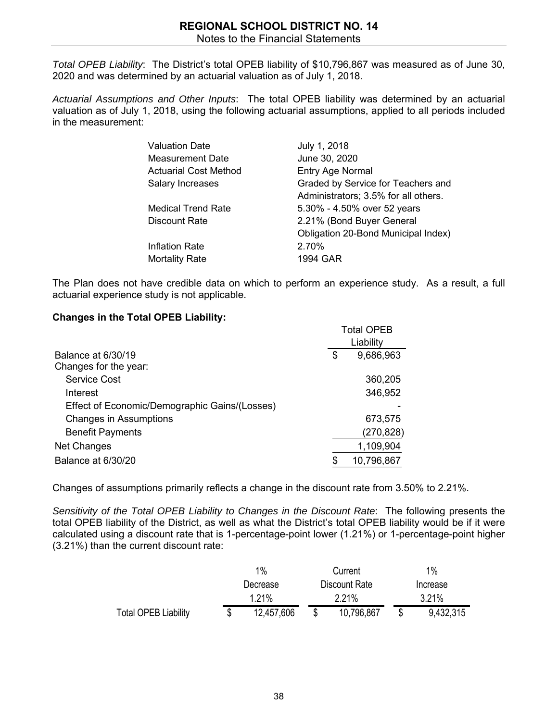*Total OPEB Liability*: The District's total OPEB liability of \$10,796,867 was measured as of June 30, 2020 and was determined by an actuarial valuation as of July 1, 2018.

*Actuarial Assumptions and Other Inputs*: The total OPEB liability was determined by an actuarial valuation as of July 1, 2018, using the following actuarial assumptions, applied to all periods included in the measurement:

| <b>Valuation Date</b>        | July 1, 2018                         |
|------------------------------|--------------------------------------|
| Measurement Date             | June 30, 2020                        |
| <b>Actuarial Cost Method</b> | Entry Age Normal                     |
| Salary Increases             | Graded by Service for Teachers and   |
|                              | Administrators; 3.5% for all others. |
| <b>Medical Trend Rate</b>    | 5.30% - 4.50% over 52 years          |
| Discount Rate                | 2.21% (Bond Buyer General            |
|                              | Obligation 20-Bond Municipal Index)  |
| <b>Inflation Rate</b>        | 2.70%                                |
| <b>Mortality Rate</b>        | 1994 GAR                             |

The Plan does not have credible data on which to perform an experience study. As a result, a full actuarial experience study is not applicable.

### **Changes in the Total OPEB Liability:**

|                                               | <b>Total OPEB</b> |            |  |
|-----------------------------------------------|-------------------|------------|--|
|                                               |                   | Liability  |  |
| Balance at 6/30/19                            | \$                | 9,686,963  |  |
| Changes for the year:                         |                   |            |  |
| <b>Service Cost</b>                           |                   | 360,205    |  |
| Interest                                      |                   | 346,952    |  |
| Effect of Economic/Demographic Gains/(Losses) |                   |            |  |
| <b>Changes in Assumptions</b>                 |                   | 673,575    |  |
| <b>Benefit Payments</b>                       |                   | (270,828)  |  |
| Net Changes                                   |                   | 1,109,904  |  |
| Balance at 6/30/20                            |                   | 10,796,867 |  |
|                                               |                   |            |  |

Changes of assumptions primarily reflects a change in the discount rate from 3.50% to 2.21%.

*Sensitivity of the Total OPEB Liability to Changes in the Discount Rate*: The following presents the total OPEB liability of the District, as well as what the District's total OPEB liability would be if it were calculated using a discount rate that is 1-percentage-point lower (1.21%) or 1-percentage-point higher (3.21%) than the current discount rate:

|                      | 1% |            | Current |               | $1\%$     |
|----------------------|----|------------|---------|---------------|-----------|
|                      |    | Decrease   |         | Discount Rate | Increase  |
|                      |    | 1 21%      |         | 2.21%         | 3.21%     |
| Total OPEB Liability |    | 12,457,606 | \$      | 10,796,867    | 9,432,315 |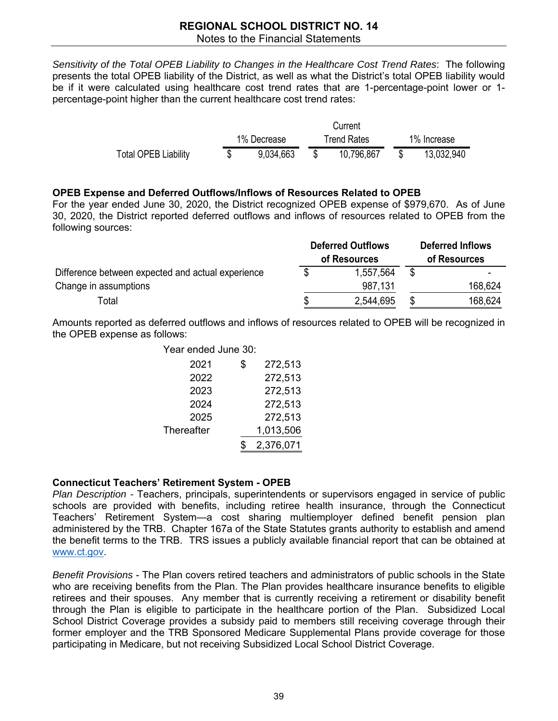*Sensitivity of the Total OPEB Liability to Changes in the Healthcare Cost Trend Rates*: The following presents the total OPEB liability of the District, as well as what the District's total OPEB liability would be if it were calculated using healthcare cost trend rates that are 1-percentage-point lower or 1 percentage-point higher than the current healthcare cost trend rates:

|                             | Current     |             |            |             |            |
|-----------------------------|-------------|-------------|------------|-------------|------------|
|                             | 1% Decrease | Trend Rates |            | 1% Increase |            |
| <b>Total OPEB Liability</b> | 9,034,663   |             | 10.796.867 |             | 13,032,940 |

## **OPEB Expense and Deferred Outflows/Inflows of Resources Related to OPEB**

For the year ended June 30, 2020, the District recognized OPEB expense of \$979,670. As of June 30, 2020, the District reported deferred outflows and inflows of resources related to OPEB from the following sources:

|                                                   | <b>Deferred Outflows</b><br>of Resources | <b>Deferred Inflows</b><br>of Resources |         |  |
|---------------------------------------------------|------------------------------------------|-----------------------------------------|---------|--|
| Difference between expected and actual experience | 1.557.564                                |                                         |         |  |
| Change in assumptions                             | 987,131                                  |                                         | 168,624 |  |
| $\tau$ otal                                       | 2,544,695                                |                                         | 168,624 |  |

Amounts reported as deferred outflows and inflows of resources related to OPEB will be recognized in the OPEB expense as follows:

| Year ended June 30: |               |
|---------------------|---------------|
| 2021                | \$<br>272,513 |
| 2022                | 272,513       |
| 2023                | 272,513       |
| 2024                | 272,513       |
| 2025                | 272,513       |
| <b>Thereafter</b>   | 1,013,506     |
|                     | 2,376,071     |

## **Connecticut Teachers' Retirement System - OPEB**

*Plan Description -* Teachers, principals, superintendents or supervisors engaged in service of public schools are provided with benefits, including retiree health insurance, through the Connecticut Teachers' Retirement System—a cost sharing multiemployer defined benefit pension plan administered by the TRB. Chapter 167a of the State Statutes grants authority to establish and amend the benefit terms to the TRB. TRS issues a publicly available financial report that can be obtained at www.ct.gov.

*Benefit Provisions* - The Plan covers retired teachers and administrators of public schools in the State who are receiving benefits from the Plan. The Plan provides healthcare insurance benefits to eligible retirees and their spouses. Any member that is currently receiving a retirement or disability benefit through the Plan is eligible to participate in the healthcare portion of the Plan. Subsidized Local School District Coverage provides a subsidy paid to members still receiving coverage through their former employer and the TRB Sponsored Medicare Supplemental Plans provide coverage for those participating in Medicare, but not receiving Subsidized Local School District Coverage.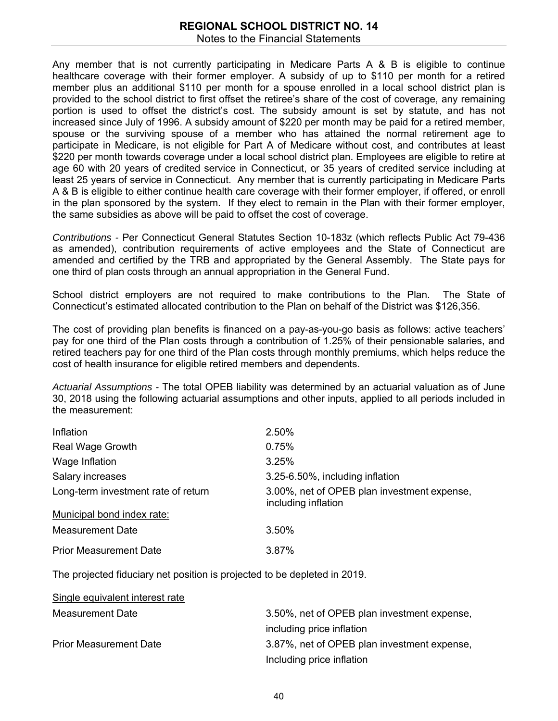Any member that is not currently participating in Medicare Parts A & B is eligible to continue healthcare coverage with their former employer. A subsidy of up to \$110 per month for a retired member plus an additional \$110 per month for a spouse enrolled in a local school district plan is provided to the school district to first offset the retiree's share of the cost of coverage, any remaining portion is used to offset the district's cost. The subsidy amount is set by statute, and has not increased since July of 1996. A subsidy amount of \$220 per month may be paid for a retired member, spouse or the surviving spouse of a member who has attained the normal retirement age to participate in Medicare, is not eligible for Part A of Medicare without cost, and contributes at least \$220 per month towards coverage under a local school district plan. Employees are eligible to retire at age 60 with 20 years of credited service in Connecticut, or 35 years of credited service including at least 25 years of service in Connecticut. Any member that is currently participating in Medicare Parts A & B is eligible to either continue health care coverage with their former employer, if offered, or enroll in the plan sponsored by the system. If they elect to remain in the Plan with their former employer, the same subsidies as above will be paid to offset the cost of coverage.

*Contributions -* Per Connecticut General Statutes Section 10-183z (which reflects Public Act 79-436 as amended), contribution requirements of active employees and the State of Connecticut are amended and certified by the TRB and appropriated by the General Assembly. The State pays for one third of plan costs through an annual appropriation in the General Fund.

School district employers are not required to make contributions to the Plan. The State of Connecticut's estimated allocated contribution to the Plan on behalf of the District was \$126,356.

The cost of providing plan benefits is financed on a pay-as-you-go basis as follows: active teachers' pay for one third of the Plan costs through a contribution of 1.25% of their pensionable salaries, and retired teachers pay for one third of the Plan costs through monthly premiums, which helps reduce the cost of health insurance for eligible retired members and dependents.

*Actuarial Assumptions -* The total OPEB liability was determined by an actuarial valuation as of June 30, 2018 using the following actuarial assumptions and other inputs, applied to all periods included in the measurement:

| Inflation                           | 2.50%                                                              |
|-------------------------------------|--------------------------------------------------------------------|
| <b>Real Wage Growth</b>             | 0.75%                                                              |
| Wage Inflation                      | 3.25%                                                              |
| Salary increases                    | 3.25-6.50%, including inflation                                    |
| Long-term investment rate of return | 3.00%, net of OPEB plan investment expense,<br>including inflation |
| Municipal bond index rate:          |                                                                    |
| <b>Measurement Date</b>             | 3.50%                                                              |
| <b>Prior Measurement Date</b>       | 3.87%                                                              |

The projected fiduciary net position is projected to be depleted in 2019.

| Single equivalent interest rate |                                             |
|---------------------------------|---------------------------------------------|
| Measurement Date                | 3.50%, net of OPEB plan investment expense, |
|                                 | including price inflation                   |
| <b>Prior Measurement Date</b>   | 3.87%, net of OPEB plan investment expense, |
|                                 | Including price inflation                   |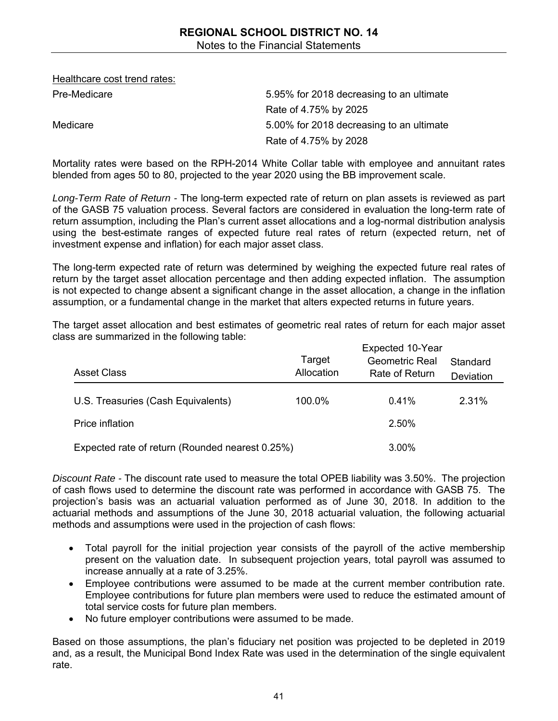#### Healthcare cost trend rates:

| Pre-Medicare | 5.95% for 2018 decreasing to an ultimate |
|--------------|------------------------------------------|
|              | Rate of 4.75% by 2025                    |
| Medicare     | 5.00% for 2018 decreasing to an ultimate |
|              | Rate of 4.75% by 2028                    |

Mortality rates were based on the RPH-2014 White Collar table with employee and annuitant rates blended from ages 50 to 80, projected to the year 2020 using the BB improvement scale.

*Long-Term Rate of Return -* The long-term expected rate of return on plan assets is reviewed as part of the GASB 75 valuation process. Several factors are considered in evaluation the long-term rate of return assumption, including the Plan's current asset allocations and a log-normal distribution analysis using the best-estimate ranges of expected future real rates of return (expected return, net of investment expense and inflation) for each major asset class.

The long-term expected rate of return was determined by weighing the expected future real rates of return by the target asset allocation percentage and then adding expected inflation. The assumption is not expected to change absent a significant change in the asset allocation, a change in the inflation assumption, or a fundamental change in the market that alters expected returns in future years.

The target asset allocation and best estimates of geometric real rates of return for each major asset class are summarized in the following table:

|                                                 |                      | Expected 10-Year                 |                       |  |  |
|-------------------------------------------------|----------------------|----------------------------------|-----------------------|--|--|
| <b>Asset Class</b>                              | Target<br>Allocation | Geometric Real<br>Rate of Return | Standard<br>Deviation |  |  |
| U.S. Treasuries (Cash Equivalents)              | 100.0%               | 0.41%                            | 2.31%                 |  |  |
| Price inflation                                 |                      | 2.50%                            |                       |  |  |
| Expected rate of return (Rounded nearest 0.25%) |                      | 3.00%                            |                       |  |  |

*Discount Rate -* The discount rate used to measure the total OPEB liability was 3.50%. The projection of cash flows used to determine the discount rate was performed in accordance with GASB 75. The projection's basis was an actuarial valuation performed as of June 30, 2018. In addition to the actuarial methods and assumptions of the June 30, 2018 actuarial valuation, the following actuarial methods and assumptions were used in the projection of cash flows:

- Total payroll for the initial projection year consists of the payroll of the active membership present on the valuation date. In subsequent projection years, total payroll was assumed to increase annually at a rate of 3.25%.
- Employee contributions were assumed to be made at the current member contribution rate. Employee contributions for future plan members were used to reduce the estimated amount of total service costs for future plan members.
- No future employer contributions were assumed to be made.

Based on those assumptions, the plan's fiduciary net position was projected to be depleted in 2019 and, as a result, the Municipal Bond Index Rate was used in the determination of the single equivalent rate.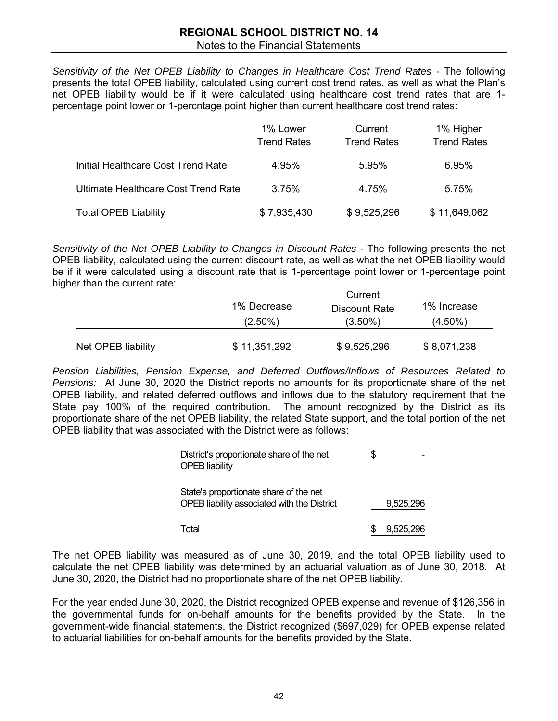#### **REGIONAL SCHOOL DISTRICT NO. 14**  Notes to the Financial Statements

Sensitivity of the Net OPEB Liability to Changes in Healthcare Cost Trend Rates - The following presents the total OPEB liability, calculated using current cost trend rates, as well as what the Plan's net OPEB liability would be if it were calculated using healthcare cost trend rates that are 1 percentage point lower or 1-percntage point higher than current healthcare cost trend rates:

|                                     | 1% Lower           | Current     | 1% Higher          |
|-------------------------------------|--------------------|-------------|--------------------|
|                                     | <b>Trend Rates</b> | Trend Rates | <b>Trend Rates</b> |
| Initial Healthcare Cost Trend Rate  | 4.95%              | 5.95%       | 6.95%              |
| Ultimate Healthcare Cost Trend Rate | 3.75%              | 4.75%       | 5.75%              |
| <b>Total OPEB Liability</b>         | \$7,935,430        | \$9,525,296 | \$11,649,062       |

Sensitivity of the Net OPEB Liability to Changes in Discount Rates - The following presents the net OPEB liability, calculated using the current discount rate, as well as what the net OPEB liability would be if it were calculated using a discount rate that is 1-percentage point lower or 1-percentage point higher than the current rate:

|                           |              | Current              |                           |  |  |  |
|---------------------------|--------------|----------------------|---------------------------|--|--|--|
| 1% Decrease<br>$(2.50\%)$ |              | <b>Discount Rate</b> | 1% Increase<br>$(4.50\%)$ |  |  |  |
|                           |              | $(3.50\%)$           |                           |  |  |  |
| Net OPEB liability        | \$11,351,292 | \$9,525,296          | \$8,071,238               |  |  |  |

*Pension Liabilities, Pension Expense, and Deferred Outflows/Inflows of Resources Related to Pensions:* At June 30, 2020 the District reports no amounts for its proportionate share of the net OPEB liability, and related deferred outflows and inflows due to the statutory requirement that the State pay 100% of the required contribution. The amount recognized by the District as its proportionate share of the net OPEB liability, the related State support, and the total portion of the net OPEB liability that was associated with the District were as follows:

| District's proportionate share of the net<br><b>OPEB liability</b>                    |           |
|---------------------------------------------------------------------------------------|-----------|
| State's proportionate share of the net<br>OPEB liability associated with the District | 9,525,296 |
| Total                                                                                 | 9,525,296 |

The net OPEB liability was measured as of June 30, 2019, and the total OPEB liability used to calculate the net OPEB liability was determined by an actuarial valuation as of June 30, 2018. At June 30, 2020, the District had no proportionate share of the net OPEB liability.

For the year ended June 30, 2020, the District recognized OPEB expense and revenue of \$126,356 in the governmental funds for on-behalf amounts for the benefits provided by the State. In the government-wide financial statements, the District recognized (\$697,029) for OPEB expense related to actuarial liabilities for on-behalf amounts for the benefits provided by the State.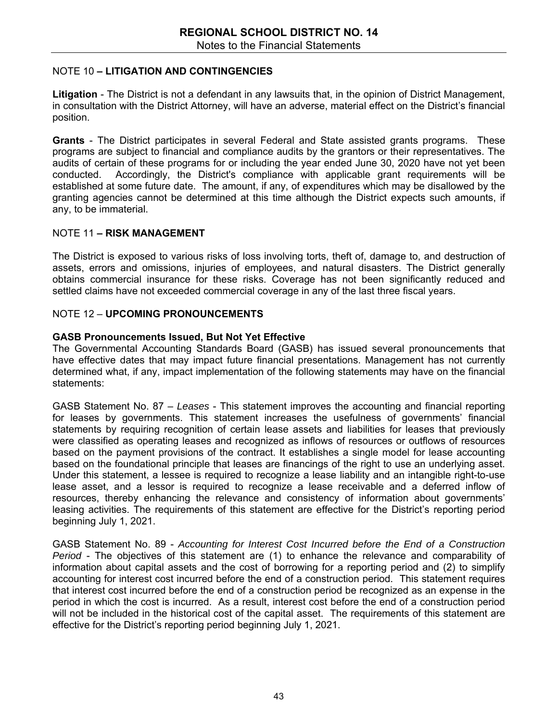## NOTE 10 **– LITIGATION AND CONTINGENCIES**

**Litigation** - The District is not a defendant in any lawsuits that, in the opinion of District Management, in consultation with the District Attorney, will have an adverse, material effect on the District's financial position.

**Grants** - The District participates in several Federal and State assisted grants programs. These programs are subject to financial and compliance audits by the grantors or their representatives. The audits of certain of these programs for or including the year ended June 30, 2020 have not yet been conducted. Accordingly, the District's compliance with applicable grant requirements will be established at some future date. The amount, if any, of expenditures which may be disallowed by the granting agencies cannot be determined at this time although the District expects such amounts, if any, to be immaterial.

### NOTE 11 **– RISK MANAGEMENT**

The District is exposed to various risks of loss involving torts, theft of, damage to, and destruction of assets, errors and omissions, injuries of employees, and natural disasters. The District generally obtains commercial insurance for these risks. Coverage has not been significantly reduced and settled claims have not exceeded commercial coverage in any of the last three fiscal years.

## NOTE 12 – **UPCOMING PRONOUNCEMENTS**

### **GASB Pronouncements Issued, But Not Yet Effective**

The Governmental Accounting Standards Board (GASB) has issued several pronouncements that have effective dates that may impact future financial presentations. Management has not currently determined what, if any, impact implementation of the following statements may have on the financial statements:

GASB Statement No. 87 – *Leases* - This statement improves the accounting and financial reporting for leases by governments. This statement increases the usefulness of governments' financial statements by requiring recognition of certain lease assets and liabilities for leases that previously were classified as operating leases and recognized as inflows of resources or outflows of resources based on the payment provisions of the contract. It establishes a single model for lease accounting based on the foundational principle that leases are financings of the right to use an underlying asset. Under this statement, a lessee is required to recognize a lease liability and an intangible right-to-use lease asset, and a lessor is required to recognize a lease receivable and a deferred inflow of resources, thereby enhancing the relevance and consistency of information about governments' leasing activities. The requirements of this statement are effective for the District's reporting period beginning July 1, 2021.

GASB Statement No. 89 - *Accounting for Interest Cost Incurred before the End of a Construction Period* - The objectives of this statement are (1) to enhance the relevance and comparability of information about capital assets and the cost of borrowing for a reporting period and (2) to simplify accounting for interest cost incurred before the end of a construction period. This statement requires that interest cost incurred before the end of a construction period be recognized as an expense in the period in which the cost is incurred. As a result, interest cost before the end of a construction period will not be included in the historical cost of the capital asset. The requirements of this statement are effective for the District's reporting period beginning July 1, 2021.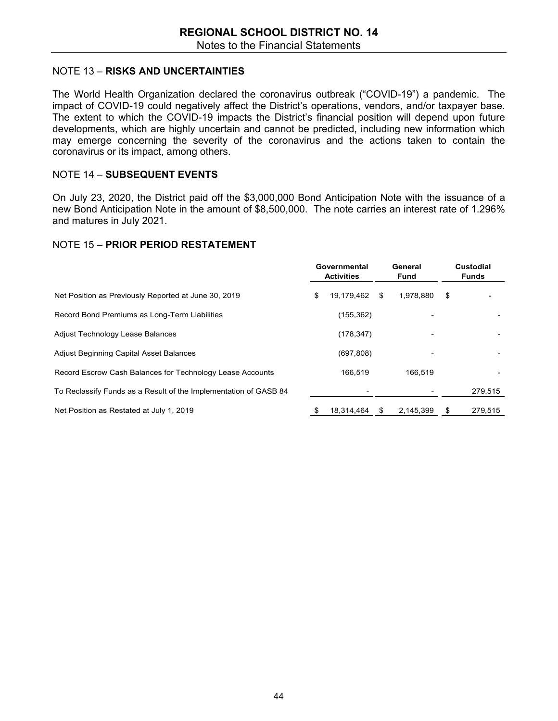#### NOTE 13 – **RISKS AND UNCERTAINTIES**

The World Health Organization declared the coronavirus outbreak ("COVID-19") a pandemic. The impact of COVID-19 could negatively affect the District's operations, vendors, and/or taxpayer base. The extent to which the COVID-19 impacts the District's financial position will depend upon future developments, which are highly uncertain and cannot be predicted, including new information which may emerge concerning the severity of the coronavirus and the actions taken to contain the coronavirus or its impact, among others.

#### NOTE 14 – **SUBSEQUENT EVENTS**

On July 23, 2020, the District paid off the \$3,000,000 Bond Anticipation Note with the issuance of a new Bond Anticipation Note in the amount of \$8,500,000. The note carries an interest rate of 1.296% and matures in July 2021.

#### NOTE 15 – **PRIOR PERIOD RESTATEMENT**

|                                                                  | Governmental<br><b>Activities</b> |            | General<br><b>Fund</b> |           | <b>Custodial</b><br><b>Funds</b> |         |
|------------------------------------------------------------------|-----------------------------------|------------|------------------------|-----------|----------------------------------|---------|
| Net Position as Previously Reported at June 30, 2019             | \$                                | 19,179,462 | \$                     | 1,978,880 | \$                               |         |
| Record Bond Premiums as Long-Term Liabilities                    | (155, 362)                        |            |                        |           |                                  |         |
| Adjust Technology Lease Balances                                 |                                   | (178, 347) |                        |           |                                  |         |
| Adjust Beginning Capital Asset Balances                          |                                   | (697, 808) |                        |           |                                  |         |
| Record Escrow Cash Balances for Technology Lease Accounts        |                                   | 166.519    |                        | 166.519   |                                  |         |
| To Reclassify Funds as a Result of the Implementation of GASB 84 |                                   |            |                        |           |                                  | 279,515 |
| Net Position as Restated at July 1, 2019                         |                                   | 18,314,464 | S                      | 2,145,399 | S                                | 279,515 |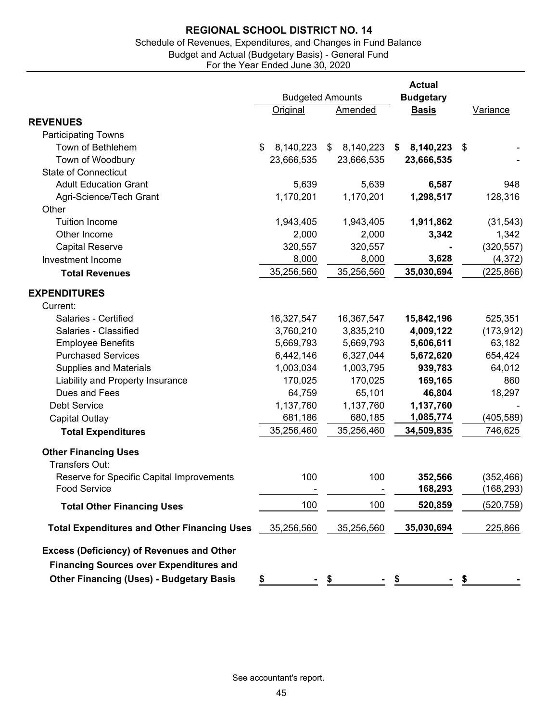#### Schedule of Revenues, Expenditures, and Changes in Fund Balance Budget and Actual (Budgetary Basis) - General Fund For the Year Ended June 30, 2020

|                                                    | <b>Budgeted Amounts</b> |                 | <b>Actual</b>                    |            |
|----------------------------------------------------|-------------------------|-----------------|----------------------------------|------------|
|                                                    | Original                | <b>Amended</b>  | <b>Budgetary</b><br><b>Basis</b> | Variance   |
| <b>REVENUES</b>                                    |                         |                 |                                  |            |
| <b>Participating Towns</b>                         |                         |                 |                                  |            |
| Town of Bethlehem                                  | \$<br>8,140,223         | 8,140,223<br>\$ | 8,140,223<br>S.                  | \$         |
| Town of Woodbury                                   | 23,666,535              | 23,666,535      | 23,666,535                       |            |
| <b>State of Connecticut</b>                        |                         |                 |                                  |            |
| <b>Adult Education Grant</b>                       | 5,639                   | 5,639           | 6,587                            | 948        |
| Agri-Science/Tech Grant                            | 1,170,201               | 1,170,201       | 1,298,517                        | 128,316    |
| Other                                              |                         |                 |                                  |            |
| <b>Tuition Income</b>                              | 1,943,405               | 1,943,405       | 1,911,862                        | (31, 543)  |
| Other Income                                       | 2,000                   | 2,000           | 3,342                            | 1,342      |
| <b>Capital Reserve</b>                             | 320,557                 | 320,557         |                                  | (320, 557) |
| Investment Income                                  | 8,000                   | 8,000           | 3,628                            | (4, 372)   |
| <b>Total Revenues</b>                              | 35,256,560              | 35,256,560      | 35,030,694                       | (225, 866) |
| <b>EXPENDITURES</b>                                |                         |                 |                                  |            |
| Current:                                           |                         |                 |                                  |            |
| Salaries - Certified                               | 16,327,547              | 16,367,547      | 15,842,196                       | 525,351    |
| Salaries - Classified                              | 3,760,210               | 3,835,210       | 4,009,122                        | (173, 912) |
| <b>Employee Benefits</b>                           | 5,669,793               | 5,669,793       | 5,606,611                        | 63,182     |
| <b>Purchased Services</b>                          | 6,442,146               | 6,327,044       | 5,672,620                        | 654,424    |
| <b>Supplies and Materials</b>                      | 1,003,034               | 1,003,795       | 939,783                          | 64,012     |
| Liability and Property Insurance                   | 170,025                 | 170,025         | 169,165                          | 860        |
| Dues and Fees                                      | 64,759                  | 65,101          | 46,804                           | 18,297     |
| Debt Service                                       | 1,137,760               | 1,137,760       | 1,137,760                        |            |
| <b>Capital Outlay</b>                              | 681,186                 | 680,185         | 1,085,774                        | (405, 589) |
| <b>Total Expenditures</b>                          | 35,256,460              | 35,256,460      | 34,509,835                       | 746,625    |
| <b>Other Financing Uses</b><br>Transfers Out:      |                         |                 |                                  |            |
| Reserve for Specific Capital Improvements          | 100                     | 100             | 352,566                          | (352, 466) |
| <b>Food Service</b>                                |                         |                 | 168,293                          | (168, 293) |
| <b>Total Other Financing Uses</b>                  | 100                     | 100             | 520,859                          | (520,759)  |
| <b>Total Expenditures and Other Financing Uses</b> | 35,256,560              | 35,256,560      | 35,030,694                       | 225,866    |
| <b>Excess (Deficiency) of Revenues and Other</b>   |                         |                 |                                  |            |
| <b>Financing Sources over Expenditures and</b>     |                         |                 |                                  |            |
| <b>Other Financing (Uses) - Budgetary Basis</b>    | \$                      |                 |                                  |            |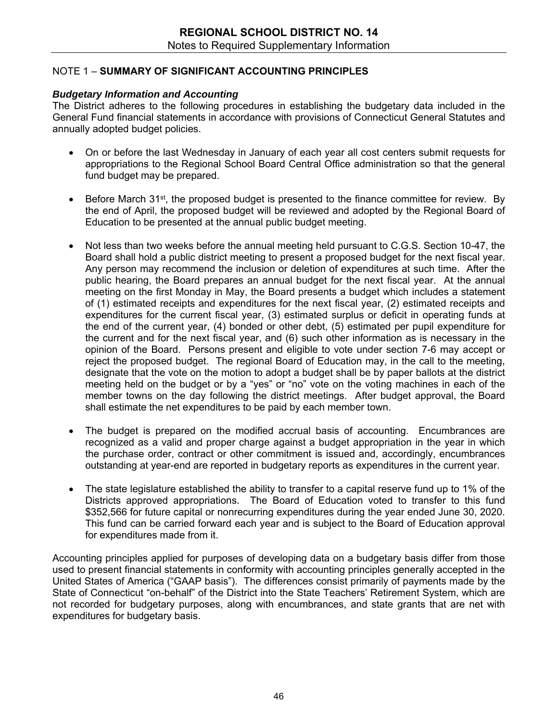## NOTE 1 – **SUMMARY OF SIGNIFICANT ACCOUNTING PRINCIPLES**

## *Budgetary Information and Accounting*

The District adheres to the following procedures in establishing the budgetary data included in the General Fund financial statements in accordance with provisions of Connecticut General Statutes and annually adopted budget policies.

- On or before the last Wednesday in January of each year all cost centers submit requests for appropriations to the Regional School Board Central Office administration so that the general fund budget may be prepared.
- **Before March 31st, the proposed budget is presented to the finance committee for review.** By the end of April, the proposed budget will be reviewed and adopted by the Regional Board of Education to be presented at the annual public budget meeting.
- Not less than two weeks before the annual meeting held pursuant to C.G.S. Section 10-47, the Board shall hold a public district meeting to present a proposed budget for the next fiscal year. Any person may recommend the inclusion or deletion of expenditures at such time. After the public hearing, the Board prepares an annual budget for the next fiscal year. At the annual meeting on the first Monday in May, the Board presents a budget which includes a statement of (1) estimated receipts and expenditures for the next fiscal year, (2) estimated receipts and expenditures for the current fiscal year, (3) estimated surplus or deficit in operating funds at the end of the current year, (4) bonded or other debt, (5) estimated per pupil expenditure for the current and for the next fiscal year, and (6) such other information as is necessary in the opinion of the Board. Persons present and eligible to vote under section 7-6 may accept or reject the proposed budget. The regional Board of Education may, in the call to the meeting, designate that the vote on the motion to adopt a budget shall be by paper ballots at the district meeting held on the budget or by a "yes" or "no" vote on the voting machines in each of the member towns on the day following the district meetings. After budget approval, the Board shall estimate the net expenditures to be paid by each member town.
- The budget is prepared on the modified accrual basis of accounting. Encumbrances are recognized as a valid and proper charge against a budget appropriation in the year in which the purchase order, contract or other commitment is issued and, accordingly, encumbrances outstanding at year-end are reported in budgetary reports as expenditures in the current year.
- The state legislature established the ability to transfer to a capital reserve fund up to 1% of the Districts approved appropriations. The Board of Education voted to transfer to this fund \$352,566 for future capital or nonrecurring expenditures during the year ended June 30, 2020. This fund can be carried forward each year and is subject to the Board of Education approval for expenditures made from it.

Accounting principles applied for purposes of developing data on a budgetary basis differ from those used to present financial statements in conformity with accounting principles generally accepted in the United States of America ("GAAP basis"). The differences consist primarily of payments made by the State of Connecticut "on-behalf" of the District into the State Teachers' Retirement System, which are not recorded for budgetary purposes, along with encumbrances, and state grants that are net with expenditures for budgetary basis.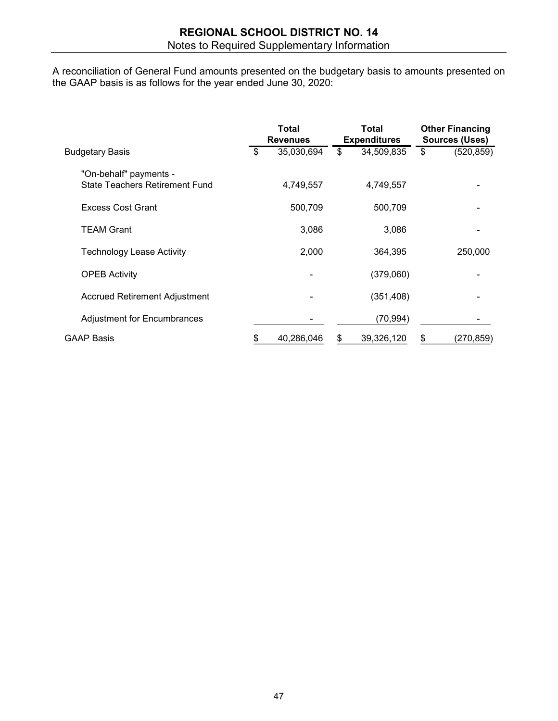A reconciliation of General Fund amounts presented on the budgetary basis to amounts presented on the GAAP basis is as follows for the year ended June 30, 2020:

|                                                                 |    | Total<br><b>Revenues</b> |                  | Total<br><b>Expenditures</b> | <b>Other Financing</b><br><b>Sources (Uses)</b> |            |  |
|-----------------------------------------------------------------|----|--------------------------|------------------|------------------------------|-------------------------------------------------|------------|--|
| <b>Budgetary Basis</b>                                          | \$ | 35,030,694               | \$<br>34,509,835 |                              | \$                                              | (520, 859) |  |
| "On-behalf" payments -<br><b>State Teachers Retirement Fund</b> |    | 4,749,557                |                  | 4,749,557                    |                                                 |            |  |
| <b>Excess Cost Grant</b>                                        |    | 500,709                  |                  | 500,709                      |                                                 |            |  |
| <b>TEAM Grant</b>                                               |    | 3,086                    |                  | 3,086                        |                                                 |            |  |
| <b>Technology Lease Activity</b>                                |    | 2,000                    |                  | 364,395                      |                                                 | 250,000    |  |
| <b>OPEB Activity</b>                                            |    |                          |                  | (379,060)                    |                                                 |            |  |
| <b>Accrued Retirement Adjustment</b>                            |    |                          |                  | (351, 408)                   |                                                 |            |  |
| <b>Adjustment for Encumbrances</b>                              |    |                          |                  | (70,994)                     |                                                 |            |  |
| <b>GAAP Basis</b>                                               | \$ | 40,286,046               | \$               | 39,326,120                   | \$                                              | (270,859)  |  |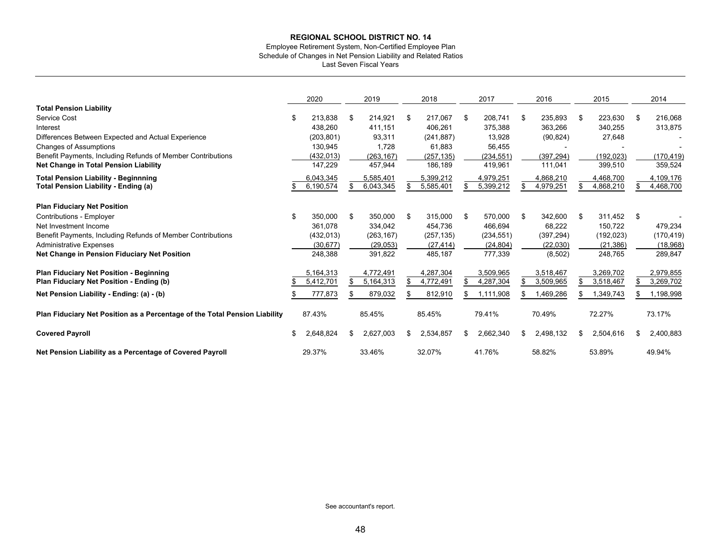#### Employee Retirement System, Non-Certified Employee Plan Schedule of Changes in Net Pension Liability and Related Ratios

Last Seven Fiscal Years

|                                                                                                                                                                                                                                                 |     | 2020                                                      |         | 2019                                                    |         | 2018                                                     |        | 2017                                                     |           | 2016                                                   |    | 2015                                                     |         | 2014                                         |
|-------------------------------------------------------------------------------------------------------------------------------------------------------------------------------------------------------------------------------------------------|-----|-----------------------------------------------------------|---------|---------------------------------------------------------|---------|----------------------------------------------------------|--------|----------------------------------------------------------|-----------|--------------------------------------------------------|----|----------------------------------------------------------|---------|----------------------------------------------|
| <b>Total Pension Liability</b><br>Service Cost<br>Interest<br>Differences Between Expected and Actual Experience<br><b>Changes of Assumptions</b><br>Benefit Payments, Including Refunds of Member Contributions                                | \$. | 213,838<br>438,260<br>(203, 801)<br>130,945<br>(432, 013) | \$      | 214,921<br>411,151<br>93,311<br>1,728<br>(263, 167)     | S       | 217,067<br>406,261<br>(241, 887)<br>61,883<br>(257, 135) | - \$   | 208,741<br>375,388<br>13,928<br>56,455<br>(234, 551)     | S.        | 235,893<br>363,266<br>(90, 824)<br>(397, 294)          | S  | 223,630<br>340,255<br>27,648<br>(192, 023)               | \$      | 216,068<br>313,875<br>(170, 419)             |
| Net Change in Total Pension Liability<br><b>Total Pension Liability - Beginnning</b><br><b>Total Pension Liability - Ending (a)</b>                                                                                                             |     | 147,229<br>6,043,345<br>6,190,574                         |         | 457,944<br>5,585,401<br>6,043,345                       |         | 186,189<br>5,399,212<br>5,585,401                        |        | 419,961<br>4,979,251<br>5,399,212                        |           | 111,041<br>4,868,210<br>4,979,251                      |    | 399,510<br>4,468,700<br>4,868,210                        |         | 359,524<br>4,109,176<br>4,468,700            |
| <b>Plan Fiduciary Net Position</b><br><b>Contributions - Employer</b><br>Net Investment Income<br>Benefit Payments, Including Refunds of Member Contributions<br><b>Administrative Expenses</b><br>Net Change in Pension Fiduciary Net Position |     | 350.000<br>361.078<br>(432, 013)<br>(30, 677)<br>248,388  | \$      | 350,000<br>334,042<br>(263, 167)<br>(29,053)<br>391,822 | \$      | 315,000<br>454,736<br>(257, 135)<br>(27, 414)<br>485,187 | \$     | 570.000<br>466,694<br>(234, 551)<br>(24, 804)<br>777,339 | \$        | 342,600<br>68,222<br>(397, 294)<br>(22,030)<br>(8,502) | \$ | 311,452<br>150,722<br>(192, 023)<br>(21, 386)<br>248,765 | \$      | 479,234<br>(170, 419)<br>(18,968)<br>289,847 |
| <b>Plan Fiduciary Net Position - Beginning</b><br>Plan Fiduciary Net Position - Ending (b)<br>Net Pension Liability - Ending: (a) - (b)                                                                                                         |     | 5.164.313<br>5,412,701<br>777,873                         | \$<br>S | 4,772,491<br>5,164,313<br>879,032                       | \$<br>S | 4,287,304<br>4,772,491<br>812,910                        | S<br>S | 3,509,965<br>4,287,304<br>1,111,908                      | \$.<br>S. | 3,518,467<br>3,509,965<br>1,469,286                    |    | 3,269,702<br>3,518,467<br>1,349,743                      | \$<br>S | 2,979,855<br>3,269,702<br>1,198,998          |
| Plan Fiduciary Net Position as a Percentage of the Total Pension Liability                                                                                                                                                                      |     | 87.43%                                                    |         | 85.45%                                                  |         | 85.45%                                                   |        | 79.41%                                                   |           | 70.49%                                                 |    | 72.27%                                                   |         | 73.17%                                       |
| <b>Covered Payroll</b><br>Net Pension Liability as a Percentage of Covered Payroll                                                                                                                                                              | \$. | 2,648,824<br>29.37%                                       | S       | 2,627,003<br>33.46%                                     | \$.     | 2,534,857<br>32.07%                                      | \$     | 2,662,340<br>41.76%                                      | S         | 2,498,132<br>58.82%                                    | £. | 2,504,616<br>53.89%                                      | \$      | 2,400,883<br>49.94%                          |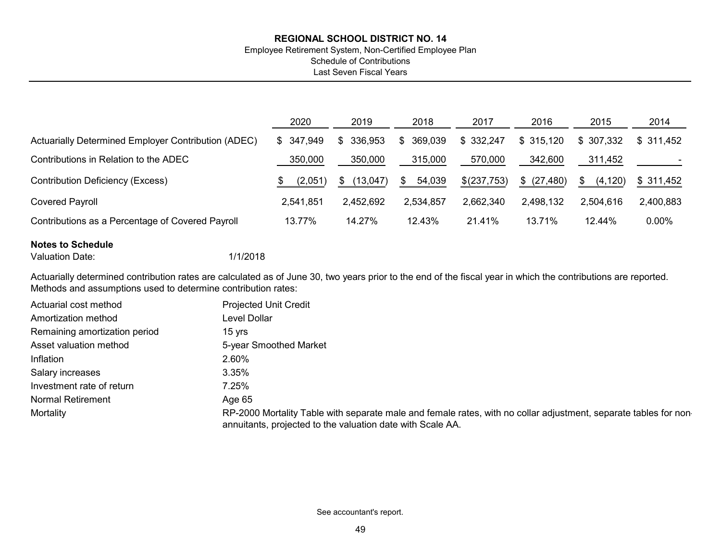#### Employee Retirement System, Non-Certified Employee Plan Schedule of Contributions

#### Last Seven Fiscal Years

|                                                     | 2020      | 2019          | 2018          | 2017        | 2016        | 2015           | 2014                     |
|-----------------------------------------------------|-----------|---------------|---------------|-------------|-------------|----------------|--------------------------|
| Actuarially Determined Employer Contribution (ADEC) | \$347,949 | 336,953<br>S. | 369,039<br>S. | \$332,247   | \$ 315,120  | \$ 307,332     | \$ 311,452               |
| Contributions in Relation to the ADEC               | 350,000   | 350,000       | 315,000       | 570,000     | 342,600     | 311,452        | $\overline{\phantom{a}}$ |
| <b>Contribution Deficiency (Excess)</b>             | (2,051)   | (13,047)      | 54,039        | \$(237,753) | \$ (27,480) | (4, 120)<br>S. | \$311,452                |
| <b>Covered Payroll</b>                              | 2,541,851 | 2,452,692     | 2,534,857     | 2,662,340   | 2,498,132   | 2,504,616      | 2,400,883                |
| Contributions as a Percentage of Covered Payroll    | 13.77%    | 14.27%        | 12.43%        | 21.41%      | 13.71%      | 12.44%         | $0.00\%$                 |

#### **Notes to Schedule**

Valuation Date:1/1/2018

Actuarially determined contribution rates are calculated as of June 30, two years prior to the end of the fiscal year in which the contributions are reported. Methods and assumptions used to determine contribution rates:

| Actuarial cost method         | <b>Projected Unit Credit</b>                                                                                                                                                   |
|-------------------------------|--------------------------------------------------------------------------------------------------------------------------------------------------------------------------------|
| Amortization method           | Level Dollar                                                                                                                                                                   |
| Remaining amortization period | $15 \text{ vrs}$                                                                                                                                                               |
| Asset valuation method        | 5-year Smoothed Market                                                                                                                                                         |
| Inflation                     | 2.60%                                                                                                                                                                          |
| Salary increases              | 3.35%                                                                                                                                                                          |
| Investment rate of return     | 7.25%                                                                                                                                                                          |
| Normal Retirement             | Age 65                                                                                                                                                                         |
| Mortality                     | RP-2000 Mortality Table with separate male and female rates, with no collar adjustment, separate tables for non-<br>annuitants, projected to the valuation date with Scale AA. |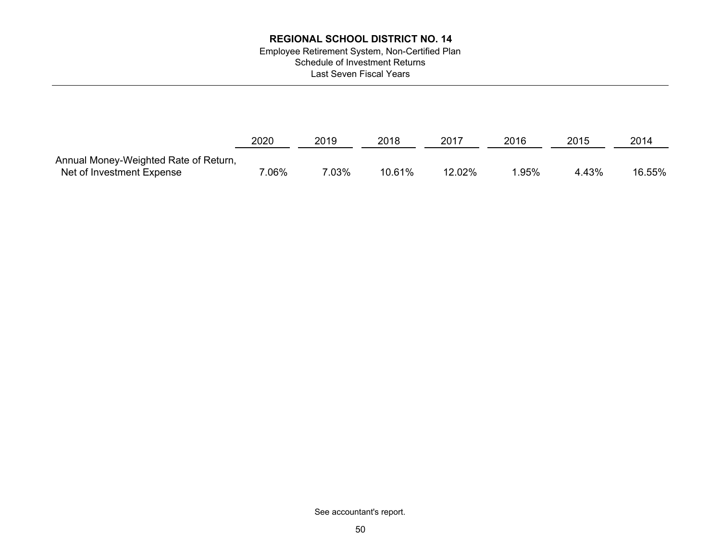Employee Retirement System, Non-Certified Plan Schedule of Investment Returns Last Seven Fiscal Years

|                                       | 2020    | 2019  | 2018   | 2017   | 2016  | 2015  | 2014   |
|---------------------------------------|---------|-------|--------|--------|-------|-------|--------|
| Annual Money-Weighted Rate of Return, |         |       |        |        |       |       |        |
| Net of Investment Expense             | $.06\%$ | 7.03% | 10.61% | 12.02% | 1.95% | 4.43% | 16.55% |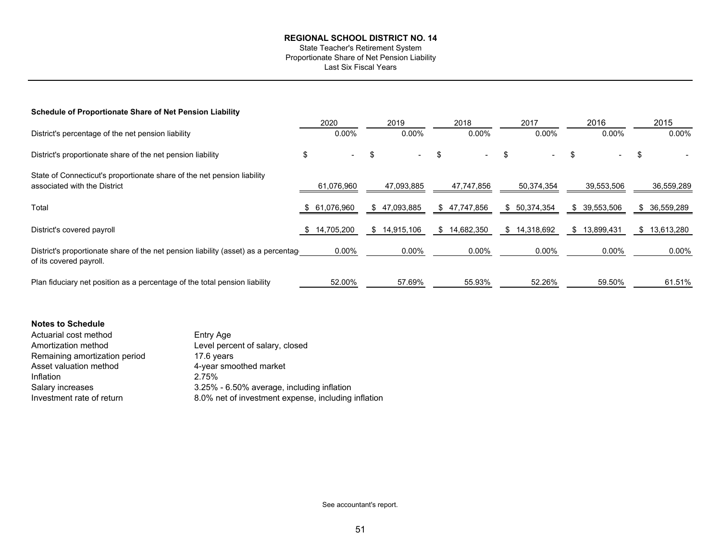#### State Teacher's Retirement System Proportionate Share of Net Pension Liability Last Six Fiscal Years

| <b>Schedule of Proportionate Share of Net Pension Liability</b>                                                |                  |              |                          |                |                  |               |
|----------------------------------------------------------------------------------------------------------------|------------------|--------------|--------------------------|----------------|------------------|---------------|
|                                                                                                                | 2020             | 2019         | 2018                     | 2017           | 2016             | 2015          |
| District's percentage of the net pension liability                                                             | 0.00%            | 0.00%        | $0.00\%$                 | $0.00\%$       | $0.00\%$         | $0.00\%$      |
| District's proportionate share of the net pension liability                                                    | \$<br>$\sim$     | ß.           | $\overline{\phantom{a}}$ | $\blacksquare$ | \$.<br>$\sim$    |               |
| State of Connecticut's proportionate share of the net pension liability<br>associated with the District        | 61,076,960       | 47,093,885   | 47,747,856               | 50,374,354     | 39,553,506       | 36,559,289    |
| Total                                                                                                          | \$ 61,076,960    | \$47,093,885 | \$47,747,856             | \$ 50,374,354  | \$39,553,506     | \$ 36,559,289 |
| District's covered payroll                                                                                     | 14,705,200<br>S. | \$14,915,106 | 14,682,350<br>S.         | \$14,318,692   | 13,899,431<br>\$ | \$13,613,280  |
| District's proportionate share of the net pension liability (asset) as a percentage<br>of its covered payroll. | $0.00\%$         | $0.00\%$     | $0.00\%$                 | $0.00\%$       | $0.00\%$         | 0.00%         |
| Plan fiduciary net position as a percentage of the total pension liability                                     | 52.00%           | 57.69%       | 55.93%                   | 52.26%         | 59.50%           | 61.51%        |

#### **Notes to Schedule**

| Actuarial cost method         | Entry Age                                           |
|-------------------------------|-----------------------------------------------------|
| Amortization method           | Level percent of salary, closed                     |
| Remaining amortization period | 17.6 years                                          |
| Asset valuation method        | 4-year smoothed market                              |
| Inflation                     | 2.75%                                               |
| Salary increases              | 3.25% - 6.50% average, including inflation          |
| Investment rate of return     | 8.0% net of investment expense, including inflation |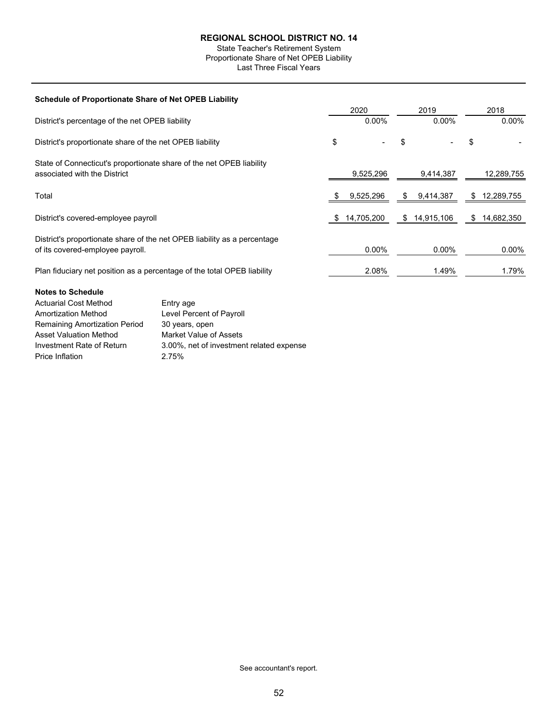State Teacher's Retirement System Proportionate Share of Net OPEB Liability Last Three Fiscal Years

| <b>Schedule of Proportionate Share of Net OPEB Liability</b>                                                 |    |            |                  |                  |
|--------------------------------------------------------------------------------------------------------------|----|------------|------------------|------------------|
|                                                                                                              |    | 2020       | 2019             | 2018             |
| District's percentage of the net OPEB liability                                                              |    | 0.00%      | $0.00\%$         | $0.00\%$         |
| District's proportionate share of the net OPEB liability                                                     | \$ |            |                  | \$               |
| State of Connecticut's proportionate share of the net OPEB liability<br>associated with the District         |    | 9,525,296  | 9,414,387        | 12,289,755       |
| Total                                                                                                        |    | 9,525,296  | \$<br>9,414,387  | \$<br>12,289,755 |
| District's covered-employee payroll                                                                          | S. | 14,705,200 | \$<br>14,915,106 | \$14,682,350     |
| District's proportionate share of the net OPEB liability as a percentage<br>of its covered-employee payroll. |    | $0.00\%$   | $0.00\%$         | $0.00\%$         |
| Plan fiduciary net position as a percentage of the total OPEB liability                                      |    | 2.08%      | 1.49%            | 1.79%            |
| <b>Notes to Schedule</b>                                                                                     |    |            |                  |                  |
| <b>Actuarial Cost Method</b><br>Entry age                                                                    |    |            |                  |                  |

| Auluanai UUSLIVICIIUU                | LIIII y ay <del>c</del>                  |
|--------------------------------------|------------------------------------------|
| <b>Amortization Method</b>           | Level Percent of Payroll                 |
| <b>Remaining Amortization Period</b> | 30 years, open                           |
| <b>Asset Valuation Method</b>        | Market Value of Assets                   |
| Investment Rate of Return            | 3.00%, net of investment related expense |
| Price Inflation                      | 2.75%                                    |
|                                      |                                          |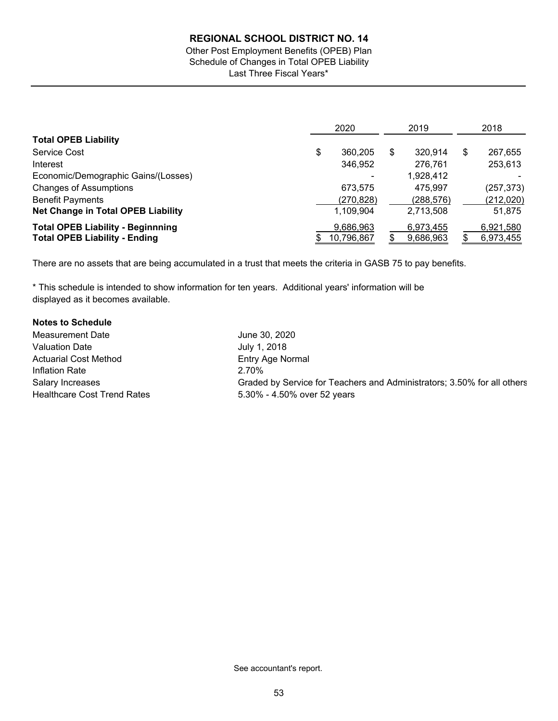#### Other Post Employment Benefits (OPEB) Plan Schedule of Changes in Total OPEB Liability Last Three Fiscal Years\*

|                                           |    | 2020       |   | 2019       |     | 2018       |
|-------------------------------------------|----|------------|---|------------|-----|------------|
| <b>Total OPEB Liability</b>               |    |            |   |            |     |            |
| Service Cost                              | \$ | 360,205    | S | 320.914    | \$  | 267,655    |
| Interest                                  |    | 346,952    |   | 276.761    |     | 253,613    |
| Economic/Demographic Gains/(Losses)       |    |            |   | 1,928,412  |     |            |
| <b>Changes of Assumptions</b>             |    | 673,575    |   | 475,997    |     | (257, 373) |
| <b>Benefit Payments</b>                   |    | (270,828)  |   | (288, 576) |     | (212,020)  |
| <b>Net Change in Total OPEB Liability</b> |    | 1,109,904  |   | 2,713,508  |     | 51,875     |
| <b>Total OPEB Liability - Beginnning</b>  |    | 9,686,963  |   | 6.973.455  |     | 6,921,580  |
| <b>Total OPEB Liability - Ending</b>      | S  | 10,796,867 |   | 9,686,963  | \$. | 6,973,455  |

There are no assets that are being accumulated in a trust that meets the criteria in GASB 75 to pay benefits.

\* This schedule is intended to show information for ten years. Additional years' information will be displayed as it becomes available.

#### **Notes to Schedule**

Measurement Date **June 30, 2020** Valuation Date **July 1, 2018** Actuarial Cost Method **Entry Age Normal** Inflation Rate 2.70% Healthcare Cost Trend Rates 6.30% - 4.50% over 52 years

Salary Increases Graded by Service for Teachers and Administrators; 3.50% for all others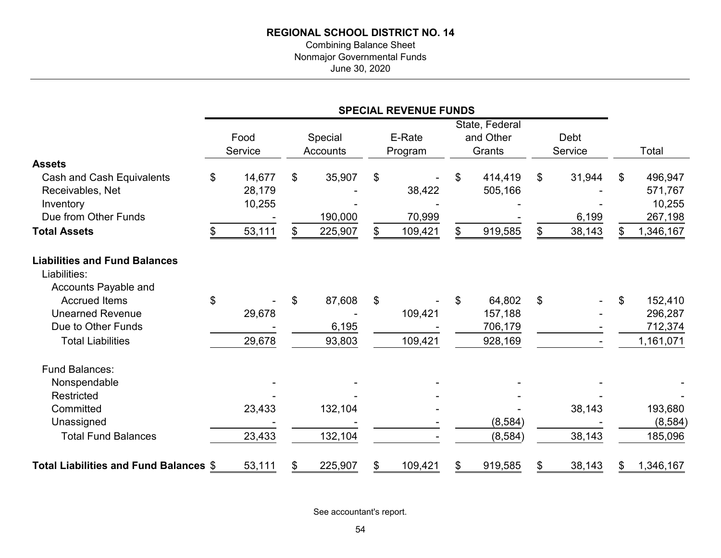Combining Balance Sheet Nonmajor Governmental Funds June 30, 2020

|                                        | <b>SPECIAL REVENUE FUNDS</b> |                 |    |                            |    |                   |    |                                       |    |                        |                 |
|----------------------------------------|------------------------------|-----------------|----|----------------------------|----|-------------------|----|---------------------------------------|----|------------------------|-----------------|
|                                        |                              | Food<br>Service |    | Special<br><b>Accounts</b> |    | E-Rate<br>Program |    | State, Federal<br>and Other<br>Grants |    | <b>Debt</b><br>Service | Total           |
| <b>Assets</b>                          |                              |                 |    |                            |    |                   |    |                                       |    |                        |                 |
| Cash and Cash Equivalents              | \$                           | 14,677          | \$ | 35,907                     | \$ |                   | \$ | 414,419                               | \$ | 31,944                 | \$<br>496,947   |
| Receivables, Net                       |                              | 28,179          |    |                            |    | 38,422            |    | 505,166                               |    |                        | 571,767         |
| Inventory                              |                              | 10,255          |    |                            |    |                   |    |                                       |    |                        | 10,255          |
| Due from Other Funds                   |                              |                 |    | 190,000                    |    | 70,999            |    |                                       |    | 6,199                  | 267,198         |
| <b>Total Assets</b>                    |                              | 53,111          | \$ | 225,907                    |    | 109,421           |    | 919,585                               | \$ | 38,143                 | 1,346,167       |
| <b>Liabilities and Fund Balances</b>   |                              |                 |    |                            |    |                   |    |                                       |    |                        |                 |
| Liabilities:                           |                              |                 |    |                            |    |                   |    |                                       |    |                        |                 |
| Accounts Payable and                   |                              |                 |    |                            |    |                   |    |                                       |    |                        |                 |
| <b>Accrued Items</b>                   | \$                           |                 | \$ | 87,608                     | \$ |                   | \$ | 64,802                                | \$ |                        | \$<br>152,410   |
| <b>Unearned Revenue</b>                |                              | 29,678          |    |                            |    | 109,421           |    | 157,188                               |    |                        | 296,287         |
| Due to Other Funds                     |                              |                 |    | 6,195                      |    |                   |    | 706,179                               |    |                        | 712,374         |
| <b>Total Liabilities</b>               |                              | 29,678          |    | 93,803                     |    | 109,421           |    | 928,169                               |    |                        | 1,161,071       |
| <b>Fund Balances:</b>                  |                              |                 |    |                            |    |                   |    |                                       |    |                        |                 |
| Nonspendable                           |                              |                 |    |                            |    |                   |    |                                       |    |                        |                 |
| Restricted                             |                              |                 |    |                            |    |                   |    |                                       |    |                        |                 |
| Committed                              |                              | 23,433          |    | 132,104                    |    |                   |    |                                       |    | 38,143                 | 193,680         |
| Unassigned                             |                              |                 |    |                            |    |                   |    | (8, 584)                              |    |                        | (8, 584)        |
| <b>Total Fund Balances</b>             |                              | 23,433          |    | 132,104                    |    |                   |    | (8, 584)                              |    | 38,143                 | 185,096         |
| Total Liabilities and Fund Balances \$ |                              | 53,111          | \$ | 225,907                    | \$ | 109,421           | S  | 919,585                               | \$ | 38,143                 | \$<br>1,346,167 |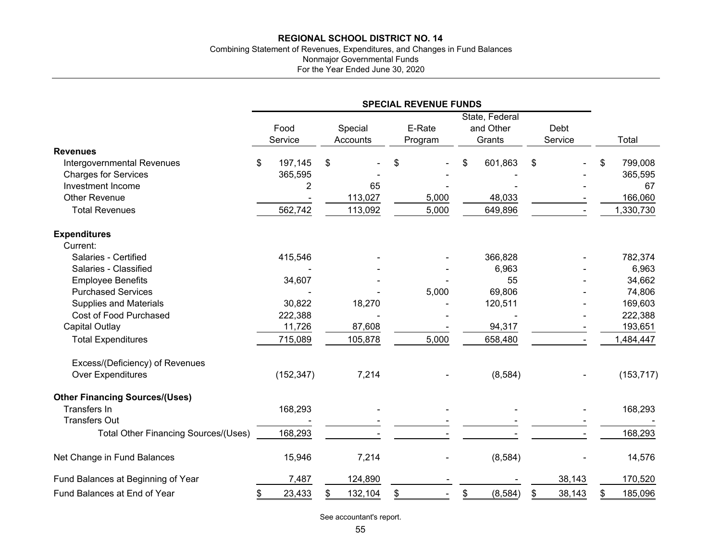#### Combining Statement of Revenues, Expenditures, and Changes in Fund Balances Nonmajor Governmental Funds For the Year Ended June 30, 2020

|                                             | Food           | Special       | E-Rate  | State, Federal<br>and Other | Debt         |              |
|---------------------------------------------|----------------|---------------|---------|-----------------------------|--------------|--------------|
|                                             | Service        | Accounts      | Program | Grants                      | Service      | Total        |
| <b>Revenues</b>                             |                |               |         |                             |              |              |
| Intergovernmental Revenues                  | 197,145<br>\$  | \$            | \$      | 601,863<br>S                | \$           | 799,008<br>S |
| <b>Charges for Services</b>                 | 365,595        |               |         |                             |              | 365,595      |
| Investment Income                           | $\overline{2}$ | 65            |         |                             |              | 67           |
| <b>Other Revenue</b>                        |                | 113,027       | 5,000   | 48,033                      |              | 166,060      |
| <b>Total Revenues</b>                       | 562,742        | 113,092       | 5,000   | 649,896                     |              | 1,330,730    |
| <b>Expenditures</b>                         |                |               |         |                             |              |              |
| Current:                                    |                |               |         |                             |              |              |
| Salaries - Certified                        | 415,546        |               |         | 366,828                     |              | 782,374      |
| Salaries - Classified                       |                |               |         | 6,963                       |              | 6,963        |
| <b>Employee Benefits</b>                    | 34,607         |               |         | 55                          |              | 34,662       |
| <b>Purchased Services</b>                   |                |               | 5,000   | 69,806                      |              | 74,806       |
| <b>Supplies and Materials</b>               | 30,822         | 18,270        |         | 120,511                     |              | 169,603      |
| Cost of Food Purchased                      | 222,388        |               |         |                             |              | 222,388      |
| <b>Capital Outlay</b>                       | 11,726         | 87,608        |         | 94,317                      |              | 193,651      |
| <b>Total Expenditures</b>                   | 715,089        | 105,878       | 5,000   | 658,480                     |              | 1,484,447    |
| Excess/(Deficiency) of Revenues             |                |               |         |                             |              |              |
| Over Expenditures                           | (152, 347)     | 7,214         |         | (8,584)                     |              | (153, 717)   |
| <b>Other Financing Sources/(Uses)</b>       |                |               |         |                             |              |              |
| Transfers In                                | 168,293        |               |         |                             |              | 168,293      |
| <b>Transfers Out</b>                        |                |               |         |                             |              |              |
| <b>Total Other Financing Sources/(Uses)</b> | 168,293        |               |         |                             |              | 168,293      |
| Net Change in Fund Balances                 | 15,946         | 7,214         |         | (8,584)                     |              | 14,576       |
| Fund Balances at Beginning of Year          | 7,487          | 124,890       |         |                             | 38,143       | 170,520      |
| Fund Balances at End of Year                | 23,433<br>\$   | 132,104<br>\$ | \$      | (8, 584)<br>\$              | 38,143<br>\$ | 185,096      |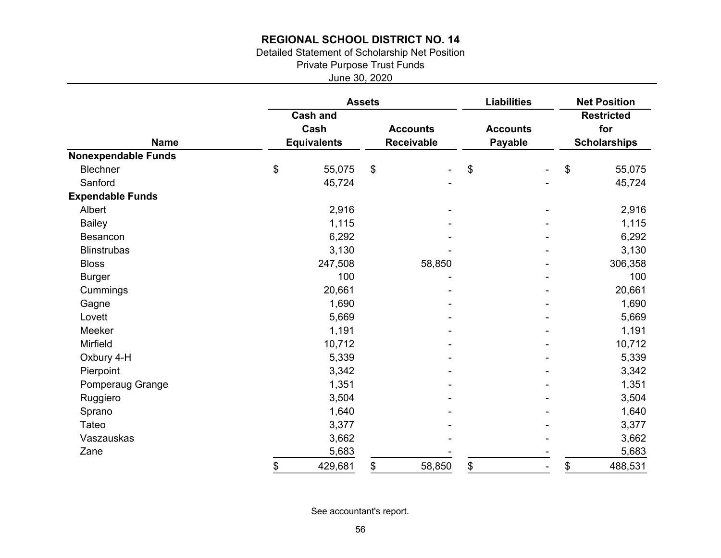## Detailed Statement of Scholarship Net Position

Private Purpose Trust Funds

## June 30, 2020

|                            |    | <b>Assets</b>      |                   |                 |         |                           | <b>Net Position</b> |  |  |
|----------------------------|----|--------------------|-------------------|-----------------|---------|---------------------------|---------------------|--|--|
|                            |    | <b>Cash and</b>    |                   |                 |         |                           | <b>Restricted</b>   |  |  |
|                            |    |                    | <b>Accounts</b>   | <b>Accounts</b> |         | for                       |                     |  |  |
| <b>Name</b>                |    | <b>Equivalents</b> | <b>Receivable</b> |                 | Payable |                           | <b>Scholarships</b> |  |  |
| <b>Nonexpendable Funds</b> |    |                    |                   |                 |         |                           |                     |  |  |
| <b>Blechner</b>            | \$ | 55,075             | \$                |                 | \$      | $\boldsymbol{\mathsf{S}}$ | 55,075              |  |  |
| Sanford                    |    | 45,724             |                   |                 |         |                           | 45,724              |  |  |
| <b>Expendable Funds</b>    |    |                    |                   |                 |         |                           |                     |  |  |
| Albert                     |    | 2,916              |                   |                 |         |                           | 2,916               |  |  |
| <b>Bailey</b>              |    | 1,115              |                   |                 |         |                           | 1,115               |  |  |
| Besancon                   |    | 6,292              |                   |                 |         |                           | 6,292               |  |  |
| <b>Blinstrubas</b>         |    | 3,130              |                   |                 |         |                           | 3,130               |  |  |
| <b>Bloss</b>               |    | 247,508            |                   | 58,850          |         |                           | 306,358             |  |  |
| <b>Burger</b>              |    | 100                |                   |                 |         |                           | 100                 |  |  |
| Cummings                   |    | 20,661             |                   |                 |         |                           | 20,661              |  |  |
| Gagne                      |    | 1,690              |                   |                 |         |                           | 1,690               |  |  |
| Lovett                     |    | 5,669              |                   |                 |         |                           | 5,669               |  |  |
| Meeker                     |    | 1,191              |                   |                 |         |                           | 1,191               |  |  |
| Mirfield                   |    | 10,712             |                   |                 |         |                           | 10,712              |  |  |
| Oxbury 4-H                 |    | 5,339              |                   |                 |         |                           | 5,339               |  |  |
| Pierpoint                  |    | 3,342              |                   |                 |         |                           | 3,342               |  |  |
| Pomperaug Grange           |    | 1,351              |                   |                 |         |                           | 1,351               |  |  |
| Ruggiero                   |    | 3,504              |                   |                 |         |                           | 3,504               |  |  |
| Sprano                     |    | 1,640              |                   |                 |         |                           | 1,640               |  |  |
| Tateo                      |    | 3,377              |                   |                 |         |                           | 3,377               |  |  |
| Vaszauskas                 |    | 3,662              |                   |                 |         |                           | 3,662               |  |  |
| Zane                       |    | 5,683              |                   |                 |         |                           | 5,683               |  |  |
|                            | \$ | 429,681            | \$                | 58,850          | \$      | \$                        | 488,531             |  |  |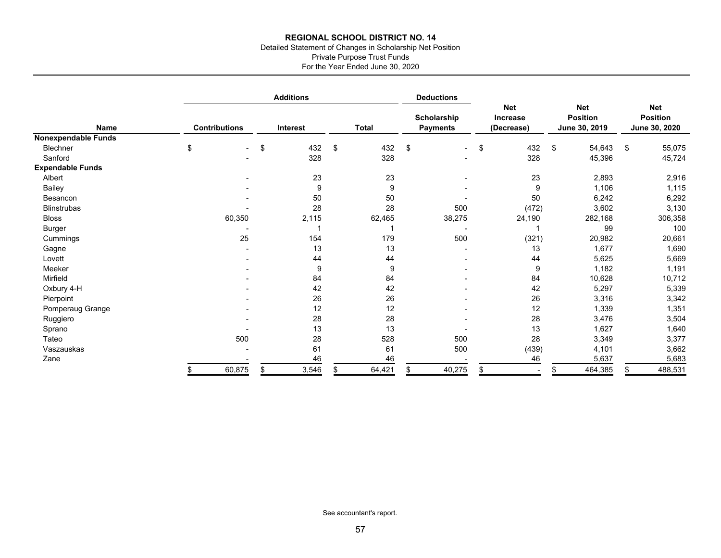#### Detailed Statement of Changes in Scholarship Net Position

Private Purpose Trust Funds

For the Year Ended June 30, 2020

|                         | <b>Additions</b>     |                          |    |          |    |              |    | <b>Deductions</b>              |    |                                      |                                                |         |                                         |         |
|-------------------------|----------------------|--------------------------|----|----------|----|--------------|----|--------------------------------|----|--------------------------------------|------------------------------------------------|---------|-----------------------------------------|---------|
| <b>Name</b>             | <b>Contributions</b> |                          |    | Interest |    | <b>Total</b> |    | Scholarship<br><b>Payments</b> |    | Net<br><b>Increase</b><br>(Decrease) | <b>Net</b><br><b>Position</b><br>June 30, 2019 |         | Net<br><b>Position</b><br>June 30, 2020 |         |
| Nonexpendable Funds     |                      |                          |    |          |    |              |    |                                |    |                                      |                                                |         |                                         |         |
| <b>Blechner</b>         | \$                   | $\overline{\phantom{a}}$ | \$ | 432      | \$ | 432          | \$ | $\overline{\phantom{a}}$       | \$ | 432                                  | \$                                             | 54,643  | \$                                      | 55,075  |
| Sanford                 |                      |                          |    | 328      |    | 328          |    |                                |    | 328                                  |                                                | 45,396  |                                         | 45,724  |
| <b>Expendable Funds</b> |                      |                          |    |          |    |              |    |                                |    |                                      |                                                |         |                                         |         |
| Albert                  |                      |                          |    | 23       |    | 23           |    |                                |    | 23                                   |                                                | 2,893   |                                         | 2,916   |
| Bailey                  |                      |                          |    | 9        |    | 9            |    |                                |    | 9                                    |                                                | 1,106   |                                         | 1,115   |
| Besancon                |                      |                          |    | 50       |    | 50           |    |                                |    | 50                                   |                                                | 6,242   |                                         | 6,292   |
| <b>Blinstrubas</b>      |                      |                          |    | 28       |    | 28           |    | 500                            |    | (472)                                |                                                | 3,602   |                                         | 3,130   |
| <b>Bloss</b>            |                      | 60,350                   |    | 2,115    |    | 62,465       |    | 38,275                         |    | 24,190                               |                                                | 282,168 |                                         | 306,358 |
| <b>Burger</b>           |                      |                          |    |          |    |              |    | $\overline{\phantom{0}}$       |    |                                      |                                                | 99      |                                         | 100     |
| Cummings                |                      | 25                       |    | 154      |    | 179          |    | 500                            |    | (321)                                |                                                | 20,982  |                                         | 20,661  |
| Gagne                   |                      |                          |    | 13       |    | 13           |    |                                |    | 13                                   |                                                | 1,677   |                                         | 1,690   |
| Lovett                  |                      |                          |    | 44       |    | 44           |    |                                |    | 44                                   |                                                | 5,625   |                                         | 5,669   |
| Meeker                  |                      |                          |    | 9        |    | 9            |    |                                |    | 9                                    |                                                | 1,182   |                                         | 1,191   |
| Mirfield                |                      |                          |    | 84       |    | 84           |    |                                |    | 84                                   |                                                | 10,628  |                                         | 10,712  |
| Oxbury 4-H              |                      |                          |    | 42       |    | 42           |    |                                |    | 42                                   |                                                | 5,297   |                                         | 5,339   |
| Pierpoint               |                      |                          |    | 26       |    | 26           |    |                                |    | 26                                   |                                                | 3,316   |                                         | 3,342   |
| Pomperaug Grange        |                      |                          |    | 12       |    | 12           |    |                                |    | 12                                   |                                                | 1,339   |                                         | 1,351   |
| Ruggiero                |                      |                          |    | 28       |    | 28           |    |                                |    | 28                                   |                                                | 3,476   |                                         | 3,504   |
| Sprano                  |                      |                          |    | 13       |    | 13           |    |                                |    | 13                                   |                                                | 1,627   |                                         | 1,640   |
| Tateo                   |                      | 500                      |    | 28       |    | 528          |    | 500                            |    | 28                                   |                                                | 3,349   |                                         | 3,377   |
| Vaszauskas              |                      |                          |    | 61       |    | 61           |    | 500                            |    | (439)                                |                                                | 4,101   |                                         | 3,662   |
| Zane                    |                      |                          |    | 46       |    | 46           |    |                                |    | 46                                   |                                                | 5,637   |                                         | 5,683   |
|                         | \$                   | 60,875                   | \$ | 3,546    | \$ | 64,421       | \$ | 40,275                         | \$ |                                      | \$                                             | 464,385 | \$                                      | 488,531 |